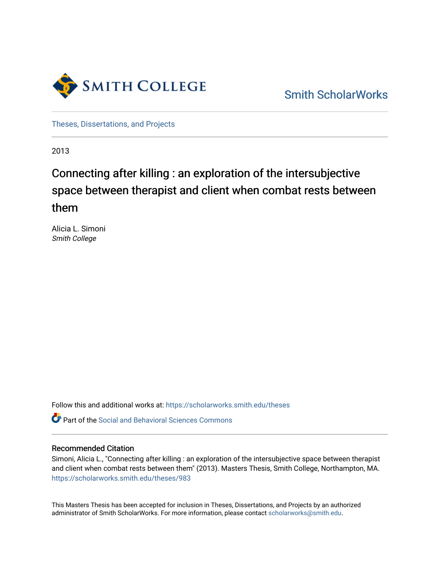

[Smith ScholarWorks](https://scholarworks.smith.edu/) 

[Theses, Dissertations, and Projects](https://scholarworks.smith.edu/theses) 

2013

# Connecting after killing : an exploration of the intersubjective space between therapist and client when combat rests between them

Alicia L. Simoni Smith College

Follow this and additional works at: [https://scholarworks.smith.edu/theses](https://scholarworks.smith.edu/theses?utm_source=scholarworks.smith.edu%2Ftheses%2F983&utm_medium=PDF&utm_campaign=PDFCoverPages) 

**C** Part of the Social and Behavioral Sciences Commons

#### Recommended Citation

Simoni, Alicia L., "Connecting after killing : an exploration of the intersubjective space between therapist and client when combat rests between them" (2013). Masters Thesis, Smith College, Northampton, MA. [https://scholarworks.smith.edu/theses/983](https://scholarworks.smith.edu/theses/983?utm_source=scholarworks.smith.edu%2Ftheses%2F983&utm_medium=PDF&utm_campaign=PDFCoverPages) 

This Masters Thesis has been accepted for inclusion in Theses, Dissertations, and Projects by an authorized administrator of Smith ScholarWorks. For more information, please contact [scholarworks@smith.edu](mailto:scholarworks@smith.edu).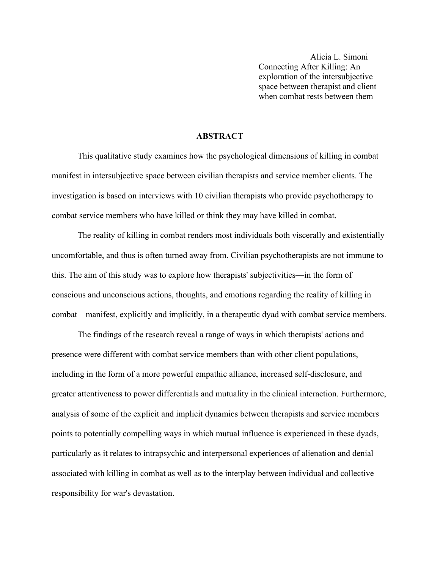Alicia L. Simoni Connecting After Killing: An exploration of the intersubjective space between therapist and client when combat rests between them

## **ABSTRACT**

This qualitative study examines how the psychological dimensions of killing in combat manifest in intersubjective space between civilian therapists and service member clients. The investigation is based on interviews with 10 civilian therapists who provide psychotherapy to combat service members who have killed or think they may have killed in combat.

The reality of killing in combat renders most individuals both viscerally and existentially uncomfortable, and thus is often turned away from. Civilian psychotherapists are not immune to this. The aim of this study was to explore how therapists' subjectivities—in the form of conscious and unconscious actions, thoughts, and emotions regarding the reality of killing in combat—manifest, explicitly and implicitly, in a therapeutic dyad with combat service members.

The findings of the research reveal a range of ways in which therapists' actions and presence were different with combat service members than with other client populations, including in the form of a more powerful empathic alliance, increased self-disclosure, and greater attentiveness to power differentials and mutuality in the clinical interaction. Furthermore, analysis of some of the explicit and implicit dynamics between therapists and service members points to potentially compelling ways in which mutual influence is experienced in these dyads, particularly as it relates to intrapsychic and interpersonal experiences of alienation and denial associated with killing in combat as well as to the interplay between individual and collective responsibility for war's devastation.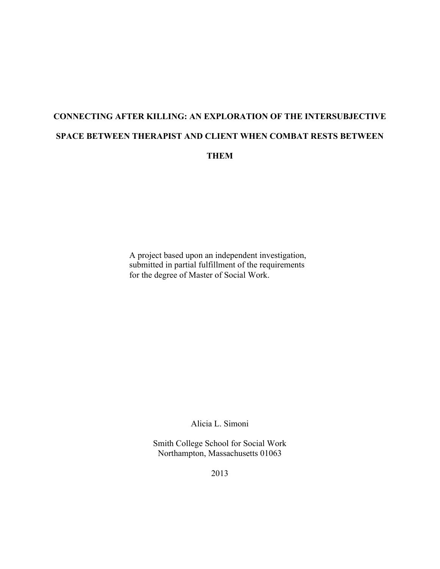# **CONNECTING AFTER KILLING: AN EXPLORATION OF THE INTERSUBJECTIVE SPACE BETWEEN THERAPIST AND CLIENT WHEN COMBAT RESTS BETWEEN THEM**

A project based upon an independent investigation, submitted in partial fulfillment of the requirements for the degree of Master of Social Work.

Alicia L. Simoni

Smith College School for Social Work Northampton, Massachusetts 01063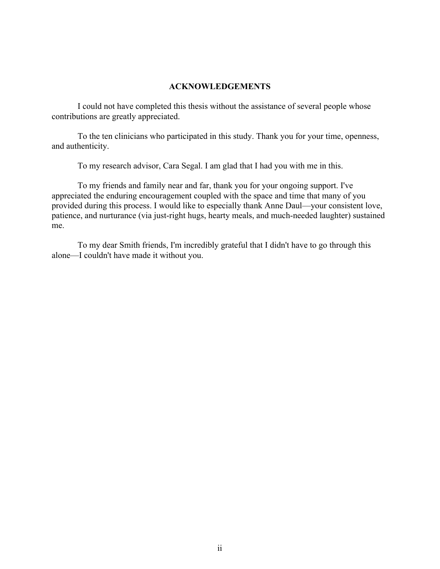#### **ACKNOWLEDGEMENTS**

I could not have completed this thesis without the assistance of several people whose contributions are greatly appreciated.

To the ten clinicians who participated in this study. Thank you for your time, openness, and authenticity.

To my research advisor, Cara Segal. I am glad that I had you with me in this.

To my friends and family near and far, thank you for your ongoing support. I've appreciated the enduring encouragement coupled with the space and time that many of you provided during this process. I would like to especially thank Anne Daul—your consistent love, patience, and nurturance (via just-right hugs, hearty meals, and much-needed laughter) sustained me.

To my dear Smith friends, I'm incredibly grateful that I didn't have to go through this alone—I couldn't have made it without you.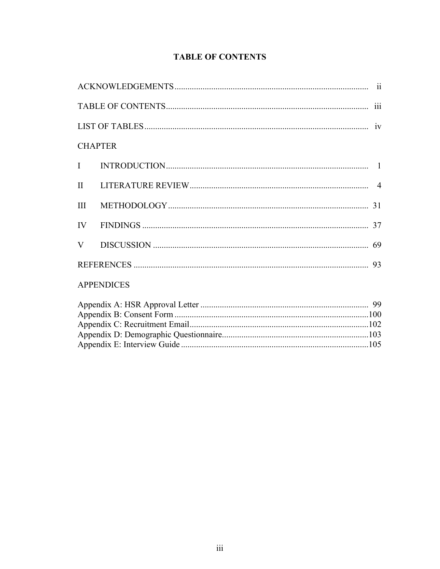## **TABLE OF CONTENTS**

| <b>CHAPTER</b>    |  |  |  |  |  |
|-------------------|--|--|--|--|--|
|                   |  |  |  |  |  |
|                   |  |  |  |  |  |
|                   |  |  |  |  |  |
|                   |  |  |  |  |  |
|                   |  |  |  |  |  |
|                   |  |  |  |  |  |
| <b>APPENDICES</b> |  |  |  |  |  |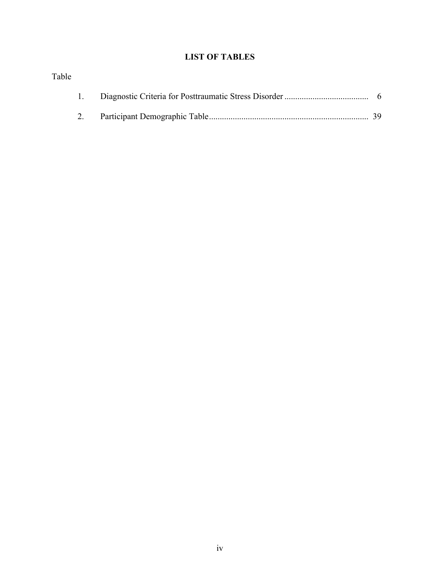## **LIST OF TABLES**

| Table |  |  |
|-------|--|--|
|       |  |  |
|       |  |  |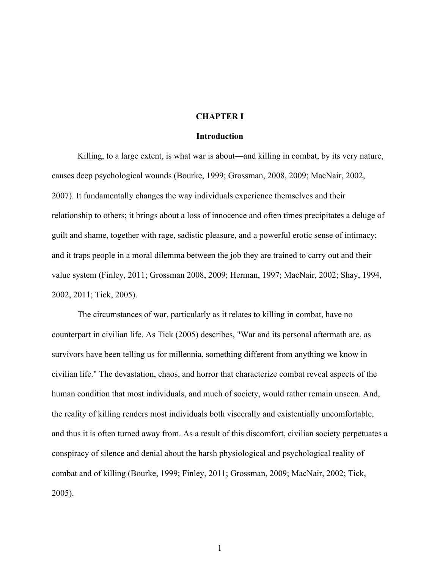#### **CHAPTER I**

#### **Introduction**

Killing, to a large extent, is what war is about—and killing in combat, by its very nature, causes deep psychological wounds (Bourke, 1999; Grossman, 2008, 2009; MacNair, 2002, 2007). It fundamentally changes the way individuals experience themselves and their relationship to others; it brings about a loss of innocence and often times precipitates a deluge of guilt and shame, together with rage, sadistic pleasure, and a powerful erotic sense of intimacy; and it traps people in a moral dilemma between the job they are trained to carry out and their value system (Finley, 2011; Grossman 2008, 2009; Herman, 1997; MacNair, 2002; Shay, 1994, 2002, 2011; Tick, 2005).

The circumstances of war, particularly as it relates to killing in combat, have no counterpart in civilian life. As Tick (2005) describes, "War and its personal aftermath are, as survivors have been telling us for millennia, something different from anything we know in civilian life." The devastation, chaos, and horror that characterize combat reveal aspects of the human condition that most individuals, and much of society, would rather remain unseen. And, the reality of killing renders most individuals both viscerally and existentially uncomfortable, and thus it is often turned away from. As a result of this discomfort, civilian society perpetuates a conspiracy of silence and denial about the harsh physiological and psychological reality of combat and of killing (Bourke, 1999; Finley, 2011; Grossman, 2009; MacNair, 2002; Tick, 2005).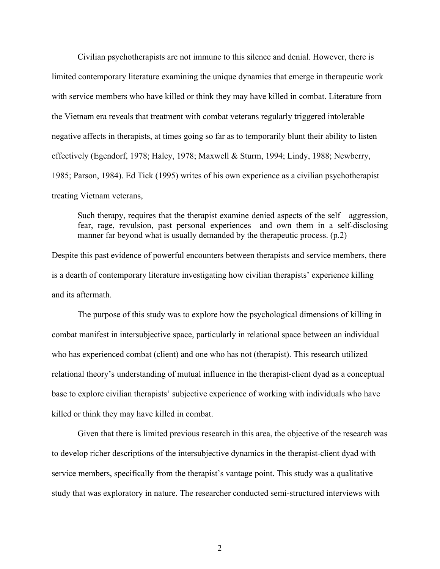Civilian psychotherapists are not immune to this silence and denial. However, there is limited contemporary literature examining the unique dynamics that emerge in therapeutic work with service members who have killed or think they may have killed in combat. Literature from the Vietnam era reveals that treatment with combat veterans regularly triggered intolerable negative affects in therapists, at times going so far as to temporarily blunt their ability to listen effectively (Egendorf, 1978; Haley, 1978; Maxwell & Sturm, 1994; Lindy, 1988; Newberry, 1985; Parson, 1984). Ed Tick (1995) writes of his own experience as a civilian psychotherapist treating Vietnam veterans,

Such therapy, requires that the therapist examine denied aspects of the self—aggression, fear, rage, revulsion, past personal experiences—and own them in a self-disclosing manner far beyond what is usually demanded by the therapeutic process. (p.2)

Despite this past evidence of powerful encounters between therapists and service members, there is a dearth of contemporary literature investigating how civilian therapists' experience killing and its aftermath.

The purpose of this study was to explore how the psychological dimensions of killing in combat manifest in intersubjective space, particularly in relational space between an individual who has experienced combat (client) and one who has not (therapist). This research utilized relational theory's understanding of mutual influence in the therapist-client dyad as a conceptual base to explore civilian therapists' subjective experience of working with individuals who have killed or think they may have killed in combat.

Given that there is limited previous research in this area, the objective of the research was to develop richer descriptions of the intersubjective dynamics in the therapist-client dyad with service members, specifically from the therapist's vantage point. This study was a qualitative study that was exploratory in nature. The researcher conducted semi-structured interviews with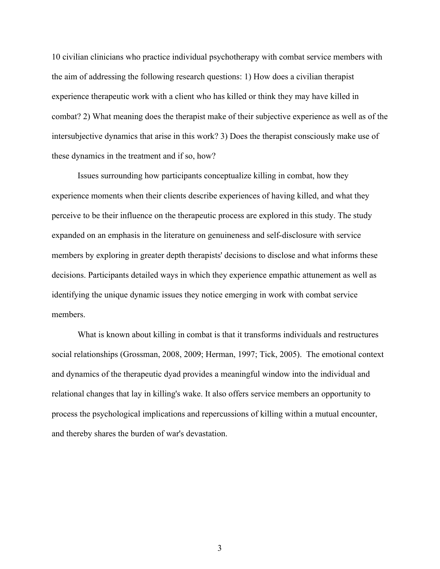10 civilian clinicians who practice individual psychotherapy with combat service members with the aim of addressing the following research questions: 1) How does a civilian therapist experience therapeutic work with a client who has killed or think they may have killed in combat? 2) What meaning does the therapist make of their subjective experience as well as of the intersubjective dynamics that arise in this work? 3) Does the therapist consciously make use of these dynamics in the treatment and if so, how?

Issues surrounding how participants conceptualize killing in combat, how they experience moments when their clients describe experiences of having killed, and what they perceive to be their influence on the therapeutic process are explored in this study. The study expanded on an emphasis in the literature on genuineness and self-disclosure with service members by exploring in greater depth therapists' decisions to disclose and what informs these decisions. Participants detailed ways in which they experience empathic attunement as well as identifying the unique dynamic issues they notice emerging in work with combat service members.

What is known about killing in combat is that it transforms individuals and restructures social relationships (Grossman, 2008, 2009; Herman, 1997; Tick, 2005). The emotional context and dynamics of the therapeutic dyad provides a meaningful window into the individual and relational changes that lay in killing's wake. It also offers service members an opportunity to process the psychological implications and repercussions of killing within a mutual encounter, and thereby shares the burden of war's devastation.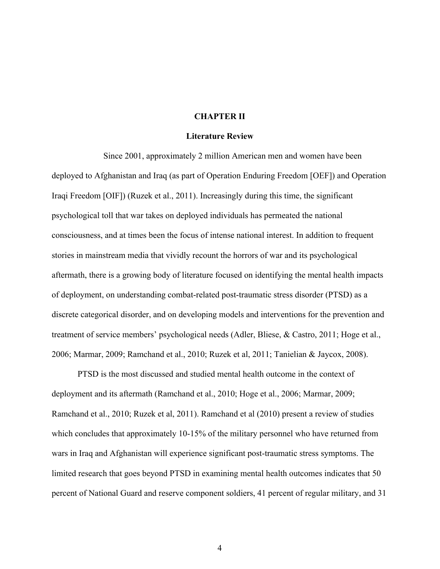#### **CHAPTER II**

#### **Literature Review**

Since 2001, approximately 2 million American men and women have been deployed to Afghanistan and Iraq (as part of Operation Enduring Freedom [OEF]) and Operation Iraqi Freedom [OIF]) (Ruzek et al., 2011). Increasingly during this time, the significant psychological toll that war takes on deployed individuals has permeated the national consciousness, and at times been the focus of intense national interest. In addition to frequent stories in mainstream media that vividly recount the horrors of war and its psychological aftermath, there is a growing body of literature focused on identifying the mental health impacts of deployment, on understanding combat-related post-traumatic stress disorder (PTSD) as a discrete categorical disorder, and on developing models and interventions for the prevention and treatment of service members' psychological needs (Adler, Bliese, & Castro, 2011; Hoge et al., 2006; Marmar, 2009; Ramchand et al., 2010; Ruzek et al, 2011; Tanielian & Jaycox, 2008).

PTSD is the most discussed and studied mental health outcome in the context of deployment and its aftermath (Ramchand et al., 2010; Hoge et al., 2006; Marmar, 2009; Ramchand et al., 2010; Ruzek et al, 2011). Ramchand et al (2010) present a review of studies which concludes that approximately 10-15% of the military personnel who have returned from wars in Iraq and Afghanistan will experience significant post-traumatic stress symptoms. The limited research that goes beyond PTSD in examining mental health outcomes indicates that 50 percent of National Guard and reserve component soldiers, 41 percent of regular military, and 31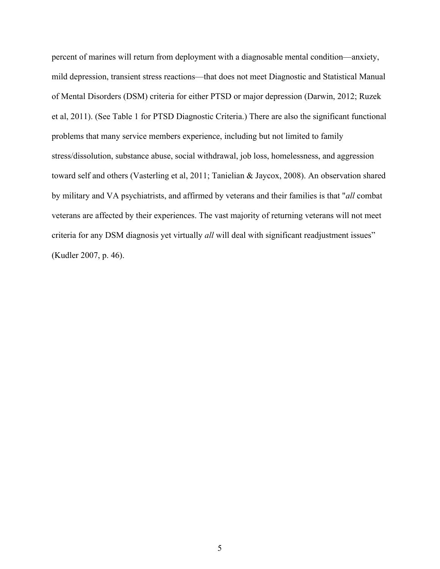percent of marines will return from deployment with a diagnosable mental condition—anxiety, mild depression, transient stress reactions—that does not meet Diagnostic and Statistical Manual of Mental Disorders (DSM) criteria for either PTSD or major depression (Darwin, 2012; Ruzek et al, 2011). (See Table 1 for PTSD Diagnostic Criteria.) There are also the significant functional problems that many service members experience, including but not limited to family stress/dissolution, substance abuse, social withdrawal, job loss, homelessness, and aggression toward self and others (Vasterling et al, 2011; Tanielian & Jaycox, 2008). An observation shared by military and VA psychiatrists, and affirmed by veterans and their families is that "*all* combat veterans are affected by their experiences. The vast majority of returning veterans will not meet criteria for any DSM diagnosis yet virtually *all* will deal with significant readjustment issues" (Kudler 2007, p. 46).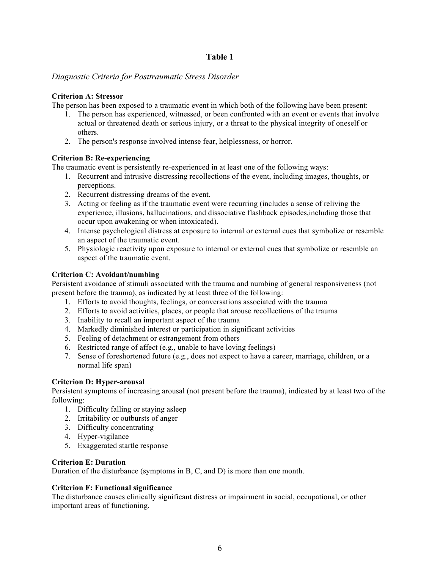## **Table 1**

## *Diagnostic Criteria for Posttraumatic Stress Disorder*

### **Criterion A: Stressor**

The person has been exposed to a traumatic event in which both of the following have been present:

- 1. The person has experienced, witnessed, or been confronted with an event or events that involve actual or threatened death or serious injury, or a threat to the physical integrity of oneself or others.
- 2. The person's response involved intense fear, helplessness, or horror.

## **Criterion B: Re-experiencing**

The traumatic event is persistently re-experienced in at least one of the following ways:

- 1. Recurrent and intrusive distressing recollections of the event, including images, thoughts, or perceptions.
- 2. Recurrent distressing dreams of the event.
- 3. Acting or feeling as if the traumatic event were recurring (includes a sense of reliving the experience, illusions, hallucinations, and dissociative flashback episodes,including those that occur upon awakening or when intoxicated).
- 4. Intense psychological distress at exposure to internal or external cues that symbolize or resemble an aspect of the traumatic event.
- 5. Physiologic reactivity upon exposure to internal or external cues that symbolize or resemble an aspect of the traumatic event.

## **Criterion C: Avoidant/numbing**

Persistent avoidance of stimuli associated with the trauma and numbing of general responsiveness (not present before the trauma), as indicated by at least three of the following:

- 1. Efforts to avoid thoughts, feelings, or conversations associated with the trauma
- 2. Efforts to avoid activities, places, or people that arouse recollections of the trauma
- 3. Inability to recall an important aspect of the trauma
- 4. Markedly diminished interest or participation in significant activities
- 5. Feeling of detachment or estrangement from others
- 6. Restricted range of affect (e.g., unable to have loving feelings)
- 7. Sense of foreshortened future (e.g., does not expect to have a career, marriage, children, or a normal life span)

## **Criterion D: Hyper-arousal**

Persistent symptoms of increasing arousal (not present before the trauma), indicated by at least two of the following:

- 1. Difficulty falling or staying asleep
- 2. Irritability or outbursts of anger
- 3. Difficulty concentrating
- 4. Hyper-vigilance
- 5. Exaggerated startle response

### **Criterion E: Duration**

Duration of the disturbance (symptoms in B, C, and D) is more than one month.

## **Criterion F: Functional significance**

The disturbance causes clinically significant distress or impairment in social, occupational, or other important areas of functioning.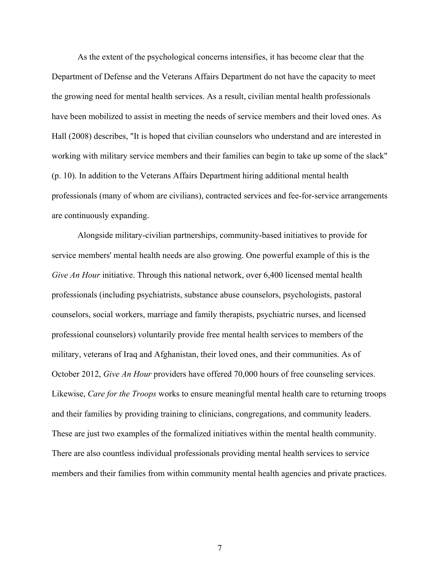As the extent of the psychological concerns intensifies, it has become clear that the Department of Defense and the Veterans Affairs Department do not have the capacity to meet the growing need for mental health services. As a result, civilian mental health professionals have been mobilized to assist in meeting the needs of service members and their loved ones. As Hall (2008) describes, "It is hoped that civilian counselors who understand and are interested in working with military service members and their families can begin to take up some of the slack" (p. 10). In addition to the Veterans Affairs Department hiring additional mental health professionals (many of whom are civilians), contracted services and fee-for-service arrangements are continuously expanding.

Alongside military-civilian partnerships, community-based initiatives to provide for service members' mental health needs are also growing. One powerful example of this is the *Give An Hour* initiative. Through this national network, over 6,400 licensed mental health professionals (including psychiatrists, substance abuse counselors, psychologists, pastoral counselors, social workers, marriage and family therapists, psychiatric nurses, and licensed professional counselors) voluntarily provide free mental health services to members of the military, veterans of Iraq and Afghanistan, their loved ones, and their communities. As of October 2012, *Give An Hour* providers have offered 70,000 hours of free counseling services. Likewise, *Care for the Troops* works to ensure meaningful mental health care to returning troops and their families by providing training to clinicians, congregations, and community leaders. These are just two examples of the formalized initiatives within the mental health community. There are also countless individual professionals providing mental health services to service members and their families from within community mental health agencies and private practices.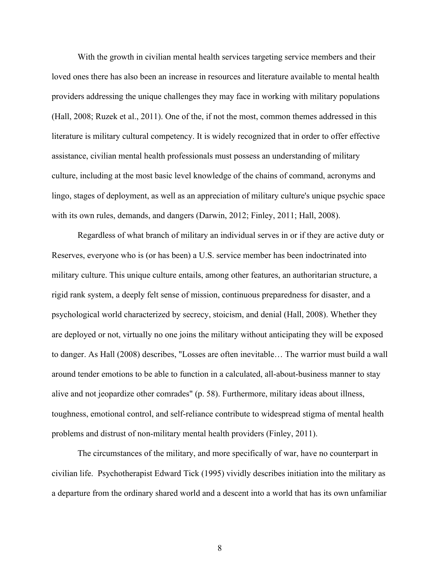With the growth in civilian mental health services targeting service members and their loved ones there has also been an increase in resources and literature available to mental health providers addressing the unique challenges they may face in working with military populations (Hall, 2008; Ruzek et al., 2011). One of the, if not the most, common themes addressed in this literature is military cultural competency. It is widely recognized that in order to offer effective assistance, civilian mental health professionals must possess an understanding of military culture, including at the most basic level knowledge of the chains of command, acronyms and lingo, stages of deployment, as well as an appreciation of military culture's unique psychic space with its own rules, demands, and dangers (Darwin, 2012; Finley, 2011; Hall, 2008).

Regardless of what branch of military an individual serves in or if they are active duty or Reserves, everyone who is (or has been) a U.S. service member has been indoctrinated into military culture. This unique culture entails, among other features, an authoritarian structure, a rigid rank system, a deeply felt sense of mission, continuous preparedness for disaster, and a psychological world characterized by secrecy, stoicism, and denial (Hall, 2008). Whether they are deployed or not, virtually no one joins the military without anticipating they will be exposed to danger. As Hall (2008) describes, "Losses are often inevitable… The warrior must build a wall around tender emotions to be able to function in a calculated, all-about-business manner to stay alive and not jeopardize other comrades" (p. 58). Furthermore, military ideas about illness, toughness, emotional control, and self-reliance contribute to widespread stigma of mental health problems and distrust of non-military mental health providers (Finley, 2011).

The circumstances of the military, and more specifically of war, have no counterpart in civilian life. Psychotherapist Edward Tick (1995) vividly describes initiation into the military as a departure from the ordinary shared world and a descent into a world that has its own unfamiliar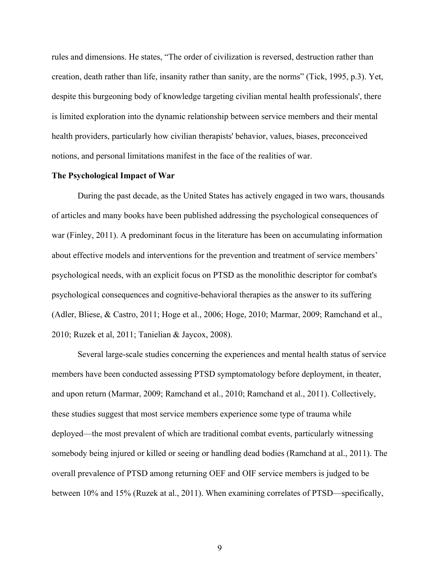rules and dimensions. He states, "The order of civilization is reversed, destruction rather than creation, death rather than life, insanity rather than sanity, are the norms" (Tick, 1995, p.3). Yet, despite this burgeoning body of knowledge targeting civilian mental health professionals', there is limited exploration into the dynamic relationship between service members and their mental health providers, particularly how civilian therapists' behavior, values, biases, preconceived notions, and personal limitations manifest in the face of the realities of war.

#### **The Psychological Impact of War**

During the past decade, as the United States has actively engaged in two wars, thousands of articles and many books have been published addressing the psychological consequences of war (Finley, 2011). A predominant focus in the literature has been on accumulating information about effective models and interventions for the prevention and treatment of service members' psychological needs, with an explicit focus on PTSD as the monolithic descriptor for combat's psychological consequences and cognitive-behavioral therapies as the answer to its suffering (Adler, Bliese, & Castro, 2011; Hoge et al., 2006; Hoge, 2010; Marmar, 2009; Ramchand et al., 2010; Ruzek et al, 2011; Tanielian & Jaycox, 2008).

Several large-scale studies concerning the experiences and mental health status of service members have been conducted assessing PTSD symptomatology before deployment, in theater, and upon return (Marmar, 2009; Ramchand et al., 2010; Ramchand et al., 2011). Collectively, these studies suggest that most service members experience some type of trauma while deployed—the most prevalent of which are traditional combat events, particularly witnessing somebody being injured or killed or seeing or handling dead bodies (Ramchand at al., 2011). The overall prevalence of PTSD among returning OEF and OIF service members is judged to be between 10% and 15% (Ruzek at al., 2011). When examining correlates of PTSD—specifically,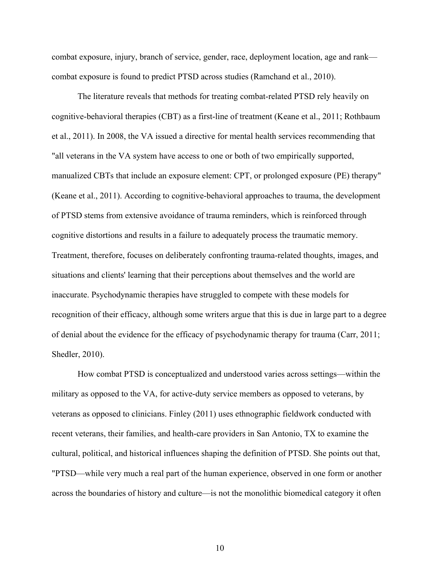combat exposure, injury, branch of service, gender, race, deployment location, age and rank combat exposure is found to predict PTSD across studies (Ramchand et al., 2010).

The literature reveals that methods for treating combat-related PTSD rely heavily on cognitive-behavioral therapies (CBT) as a first-line of treatment (Keane et al., 2011; Rothbaum et al., 2011). In 2008, the VA issued a directive for mental health services recommending that "all veterans in the VA system have access to one or both of two empirically supported, manualized CBTs that include an exposure element: CPT, or prolonged exposure (PE) therapy" (Keane et al., 2011). According to cognitive-behavioral approaches to trauma, the development of PTSD stems from extensive avoidance of trauma reminders, which is reinforced through cognitive distortions and results in a failure to adequately process the traumatic memory. Treatment, therefore, focuses on deliberately confronting trauma-related thoughts, images, and situations and clients' learning that their perceptions about themselves and the world are inaccurate. Psychodynamic therapies have struggled to compete with these models for recognition of their efficacy, although some writers argue that this is due in large part to a degree of denial about the evidence for the efficacy of psychodynamic therapy for trauma (Carr, 2011; Shedler, 2010).

How combat PTSD is conceptualized and understood varies across settings—within the military as opposed to the VA, for active-duty service members as opposed to veterans, by veterans as opposed to clinicians. Finley (2011) uses ethnographic fieldwork conducted with recent veterans, their families, and health-care providers in San Antonio, TX to examine the cultural, political, and historical influences shaping the definition of PTSD. She points out that, "PTSD—while very much a real part of the human experience, observed in one form or another across the boundaries of history and culture—is not the monolithic biomedical category it often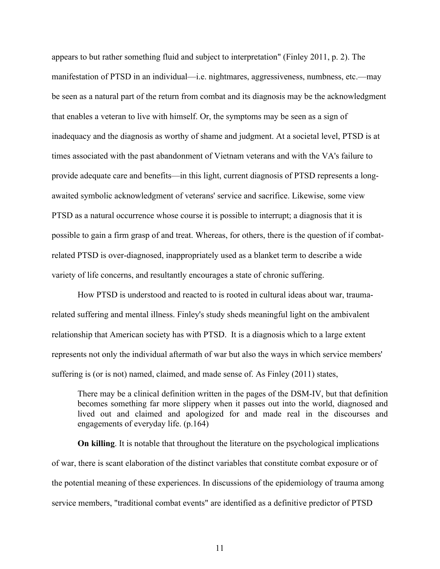appears to but rather something fluid and subject to interpretation" (Finley 2011, p. 2). The manifestation of PTSD in an individual—i.e. nightmares, aggressiveness, numbness, etc.—may be seen as a natural part of the return from combat and its diagnosis may be the acknowledgment that enables a veteran to live with himself. Or, the symptoms may be seen as a sign of inadequacy and the diagnosis as worthy of shame and judgment. At a societal level, PTSD is at times associated with the past abandonment of Vietnam veterans and with the VA's failure to provide adequate care and benefits—in this light, current diagnosis of PTSD represents a longawaited symbolic acknowledgment of veterans' service and sacrifice. Likewise, some view PTSD as a natural occurrence whose course it is possible to interrupt; a diagnosis that it is possible to gain a firm grasp of and treat. Whereas, for others, there is the question of if combatrelated PTSD is over-diagnosed, inappropriately used as a blanket term to describe a wide variety of life concerns, and resultantly encourages a state of chronic suffering.

How PTSD is understood and reacted to is rooted in cultural ideas about war, traumarelated suffering and mental illness. Finley's study sheds meaningful light on the ambivalent relationship that American society has with PTSD. It is a diagnosis which to a large extent represents not only the individual aftermath of war but also the ways in which service members' suffering is (or is not) named, claimed, and made sense of. As Finley (2011) states,

There may be a clinical definition written in the pages of the DSM-IV, but that definition becomes something far more slippery when it passes out into the world, diagnosed and lived out and claimed and apologized for and made real in the discourses and engagements of everyday life. (p.164)

**On killing**. It is notable that throughout the literature on the psychological implications of war, there is scant elaboration of the distinct variables that constitute combat exposure or of the potential meaning of these experiences. In discussions of the epidemiology of trauma among service members, "traditional combat events" are identified as a definitive predictor of PTSD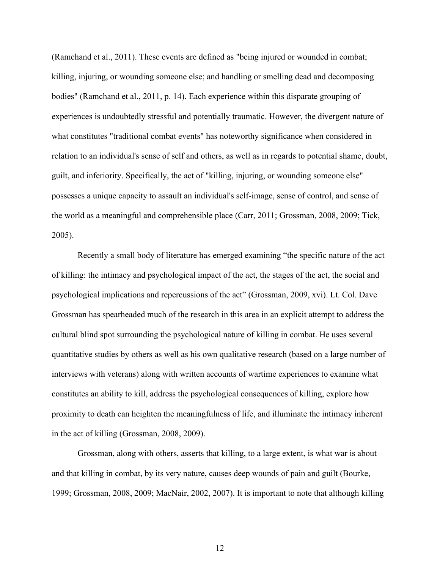(Ramchand et al., 2011). These events are defined as "being injured or wounded in combat; killing, injuring, or wounding someone else; and handling or smelling dead and decomposing bodies" (Ramchand et al., 2011, p. 14). Each experience within this disparate grouping of experiences is undoubtedly stressful and potentially traumatic. However, the divergent nature of what constitutes "traditional combat events" has noteworthy significance when considered in relation to an individual's sense of self and others, as well as in regards to potential shame, doubt, guilt, and inferiority. Specifically, the act of "killing, injuring, or wounding someone else" possesses a unique capacity to assault an individual's self-image, sense of control, and sense of the world as a meaningful and comprehensible place (Carr, 2011; Grossman, 2008, 2009; Tick, 2005).

Recently a small body of literature has emerged examining "the specific nature of the act of killing: the intimacy and psychological impact of the act, the stages of the act, the social and psychological implications and repercussions of the act" (Grossman, 2009, xvi). Lt. Col. Dave Grossman has spearheaded much of the research in this area in an explicit attempt to address the cultural blind spot surrounding the psychological nature of killing in combat. He uses several quantitative studies by others as well as his own qualitative research (based on a large number of interviews with veterans) along with written accounts of wartime experiences to examine what constitutes an ability to kill, address the psychological consequences of killing, explore how proximity to death can heighten the meaningfulness of life, and illuminate the intimacy inherent in the act of killing (Grossman, 2008, 2009).

Grossman, along with others, asserts that killing, to a large extent, is what war is about and that killing in combat, by its very nature, causes deep wounds of pain and guilt (Bourke, 1999; Grossman, 2008, 2009; MacNair, 2002, 2007). It is important to note that although killing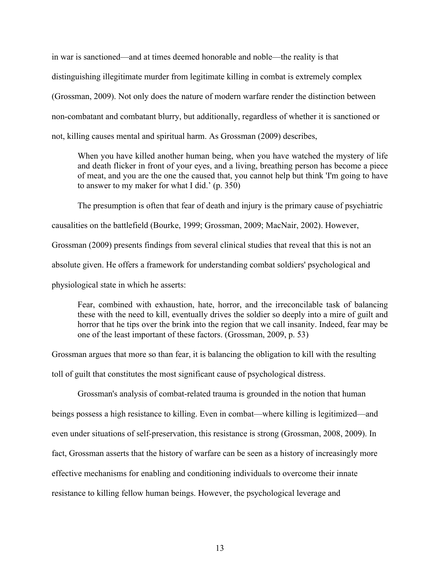in war is sanctioned—and at times deemed honorable and noble—the reality is that distinguishing illegitimate murder from legitimate killing in combat is extremely complex (Grossman, 2009). Not only does the nature of modern warfare render the distinction between non-combatant and combatant blurry, but additionally, regardless of whether it is sanctioned or not, killing causes mental and spiritual harm. As Grossman (2009) describes,

When you have killed another human being, when you have watched the mystery of life and death flicker in front of your eyes, and a living, breathing person has become a piece of meat, and you are the one the caused that, you cannot help but think 'I'm going to have to answer to my maker for what I did.' (p. 350)

The presumption is often that fear of death and injury is the primary cause of psychiatric causalities on the battlefield (Bourke, 1999; Grossman, 2009; MacNair, 2002). However, Grossman (2009) presents findings from several clinical studies that reveal that this is not an absolute given. He offers a framework for understanding combat soldiers' psychological and physiological state in which he asserts:

Fear, combined with exhaustion, hate, horror, and the irreconcilable task of balancing these with the need to kill, eventually drives the soldier so deeply into a mire of guilt and horror that he tips over the brink into the region that we call insanity. Indeed, fear may be one of the least important of these factors. (Grossman, 2009, p. 53)

Grossman argues that more so than fear, it is balancing the obligation to kill with the resulting

toll of guilt that constitutes the most significant cause of psychological distress.

Grossman's analysis of combat-related trauma is grounded in the notion that human

beings possess a high resistance to killing. Even in combat—where killing is legitimized—and

even under situations of self-preservation, this resistance is strong (Grossman, 2008, 2009). In

fact, Grossman asserts that the history of warfare can be seen as a history of increasingly more

effective mechanisms for enabling and conditioning individuals to overcome their innate

resistance to killing fellow human beings. However, the psychological leverage and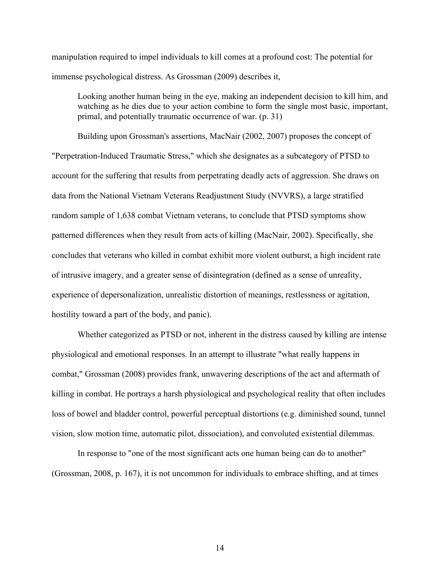manipulation required to impel individuals to kill comes at a profound cost: The potential for immense psychological distress. As Grossman (2009) describes it,

Looking another human being in the eye, making an independent decision to kill him, and watching as he dies due to your action combine to form the single most basic, important, primal, and potentially traumatic occurrence of war. (p. 31)

Building upon Grossman's assertions, MacNair (2002, 2007) proposes the concept of "Perpetration-Induced Traumatic Stress," which she designates as a subcategory of PTSD to account for the suffering that results from perpetrating deadly acts of aggression. She draws on data from the National Vietnam Veterans Readjustment Study (NVVRS), a large stratified random sample of 1,638 combat Vietnam veterans, to conclude that PTSD symptoms show patterned differences when they result from acts of killing (MacNair, 2002). Specifically, she concludes that veterans who killed in combat exhibit more violent outburst, a high incident rate of intrusive imagery, and a greater sense of disintegration (defined as a sense of unreality, experience of depersonalization, unrealistic distortion of meanings, restlessness or agitation, hostility toward a part of the body, and panic).

Whether categorized as PTSD or not, inherent in the distress caused by killing are intense physiological and emotional responses. In an attempt to illustrate "what really happens in combat," Grossman (2008) provides frank, unwavering descriptions of the act and aftermath of killing in combat. He portrays a harsh physiological and psychological reality that often includes loss of bowel and bladder control, powerful perceptual distortions (e.g. diminished sound, tunnel vision, slow motion time, automatic pilot, dissociation), and convoluted existential dilemmas.

In response to "one of the most significant acts one human being can do to another" (Grossman, 2008, p. 167), it is not uncommon for individuals to embrace shifting, and at times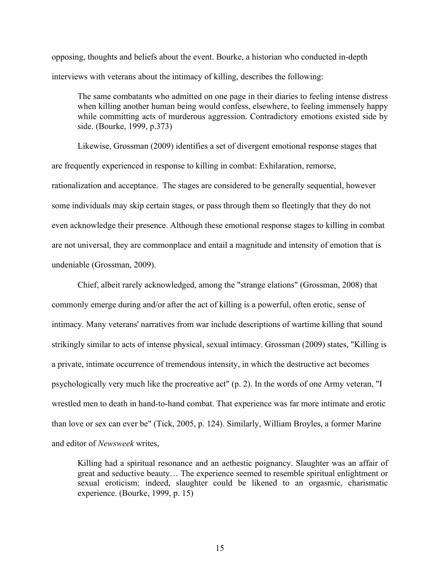opposing, thoughts and beliefs about the event. Bourke, a historian who conducted in-depth interviews with veterans about the intimacy of killing, describes the following:

The same combatants who admitted on one page in their diaries to feeling intense distress when killing another human being would confess, elsewhere, to feeling immensely happy while committing acts of murderous aggression. Contradictory emotions existed side by side. (Bourke, 1999, p.373)

Likewise, Grossman (2009) identifies a set of divergent emotional response stages that are frequently experienced in response to killing in combat: Exhilaration, remorse, rationalization and acceptance. The stages are considered to be generally sequential, however some individuals may skip certain stages, or pass through them so fleetingly that they do not even acknowledge their presence. Although these emotional response stages to killing in combat are not universal, they are commonplace and entail a magnitude and intensity of emotion that is undeniable (Grossman, 2009).

Chief, albeit rarely acknowledged, among the "strange elations" (Grossman, 2008) that commonly emerge during and/or after the act of killing is a powerful, often erotic, sense of intimacy. Many veterans' narratives from war include descriptions of wartime killing that sound strikingly similar to acts of intense physical, sexual intimacy. Grossman (2009) states, "Killing is a private, intimate occurrence of tremendous intensity, in which the destructive act becomes psychologically very much like the procreative act" (p. 2). In the words of one Army veteran, "I wrestled men to death in hand-to-hand combat. That experience was far more intimate and erotic than love or sex can ever be" (Tick, 2005, p. 124). Similarly, William Broyles, a former Marine and editor of *Newsweek* writes,

Killing had a spiritual resonance and an aethestic poignancy. Slaughter was an affair of great and seductive beauty… The experience seemed to resemble spiritual enlightment or sexual eroticism: indeed, slaughter could be likened to an orgasmic, charismatic experience. (Bourke, 1999, p. 15)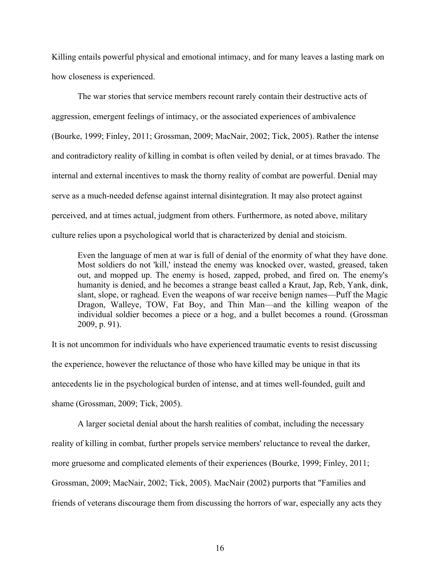Killing entails powerful physical and emotional intimacy, and for many leaves a lasting mark on how closeness is experienced.

The war stories that service members recount rarely contain their destructive acts of aggression, emergent feelings of intimacy, or the associated experiences of ambivalence (Bourke, 1999; Finley, 2011; Grossman, 2009; MacNair, 2002; Tick, 2005). Rather the intense and contradictory reality of killing in combat is often veiled by denial, or at times bravado. The internal and external incentives to mask the thorny reality of combat are powerful. Denial may serve as a much-needed defense against internal disintegration. It may also protect against perceived, and at times actual, judgment from others. Furthermore, as noted above, military culture relies upon a psychological world that is characterized by denial and stoicism.

Even the language of men at war is full of denial of the enormity of what they have done. Most soldiers do not 'kill,' instead the enemy was knocked over, wasted, greased, taken out, and mopped up. The enemy is hosed, zapped, probed, and fired on. The enemy's humanity is denied, and he becomes a strange beast called a Kraut, Jap, Reb, Yank, dink, slant, slope, or raghead. Even the weapons of war receive benign names—Puff the Magic Dragon, Walleye, TOW, Fat Boy, and Thin Man—and the killing weapon of the individual soldier becomes a piece or a hog, and a bullet becomes a round. (Grossman 2009, p. 91).

It is not uncommon for individuals who have experienced traumatic events to resist discussing the experience, however the reluctance of those who have killed may be unique in that its antecedents lie in the psychological burden of intense, and at times well-founded, guilt and shame (Grossman, 2009; Tick, 2005).

A larger societal denial about the harsh realities of combat, including the necessary reality of killing in combat, further propels service members' reluctance to reveal the darker, more gruesome and complicated elements of their experiences (Bourke, 1999; Finley, 2011; Grossman, 2009; MacNair, 2002; Tick, 2005). MacNair (2002) purports that "Families and friends of veterans discourage them from discussing the horrors of war, especially any acts they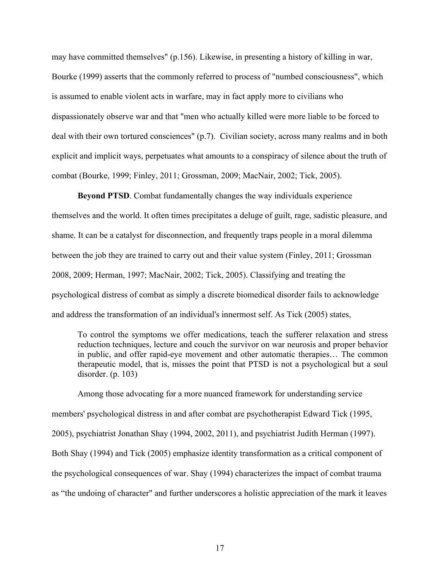may have committed themselves" (p.156). Likewise, in presenting a history of killing in war, Bourke (1999) asserts that the commonly referred to process of "numbed consciousness", which is assumed to enable violent acts in warfare, may in fact apply more to civilians who dispassionately observe war and that "men who actually killed were more liable to be forced to deal with their own tortured consciences" (p.7). Civilian society, across many realms and in both explicit and implicit ways, perpetuates what amounts to a conspiracy of silence about the truth of combat (Bourke, 1999; Finley, 2011; Grossman, 2009; MacNair, 2002; Tick, 2005).

**Beyond PTSD**. Combat fundamentally changes the way individuals experience themselves and the world. It often times precipitates a deluge of guilt, rage, sadistic pleasure, and shame. It can be a catalyst for disconnection, and frequently traps people in a moral dilemma between the job they are trained to carry out and their value system (Finley, 2011; Grossman 2008, 2009; Herman, 1997; MacNair, 2002; Tick, 2005). Classifying and treating the psychological distress of combat as simply a discrete biomedical disorder fails to acknowledge and address the transformation of an individual's innermost self. As Tick (2005) states,

To control the symptoms we offer medications, teach the sufferer relaxation and stress reduction techniques, lecture and couch the survivor on war neurosis and proper behavior in public, and offer rapid-eye movement and other automatic therapies… The common therapeutic model, that is, misses the point that PTSD is not a psychological but a soul disorder. (p. 103)

Among those advocating for a more nuanced framework for understanding service members' psychological distress in and after combat are psychotherapist Edward Tick (1995, 2005), psychiatrist Jonathan Shay (1994, 2002, 2011), and psychiatrist Judith Herman (1997). Both Shay (1994) and Tick (2005) emphasize identity transformation as a critical component of the psychological consequences of war. Shay (1994) characterizes the impact of combat trauma as "the undoing of character" and further underscores a holistic appreciation of the mark it leaves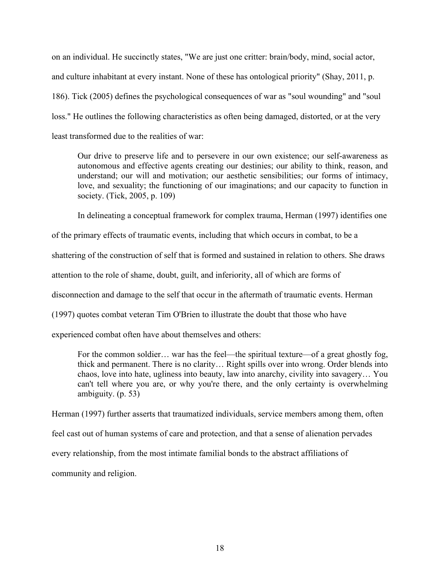on an individual. He succinctly states, "We are just one critter: brain/body, mind, social actor, and culture inhabitant at every instant. None of these has ontological priority" (Shay, 2011, p. 186). Tick (2005) defines the psychological consequences of war as "soul wounding" and "soul loss." He outlines the following characteristics as often being damaged, distorted, or at the very least transformed due to the realities of war:

Our drive to preserve life and to persevere in our own existence; our self-awareness as autonomous and effective agents creating our destinies; our ability to think, reason, and understand; our will and motivation; our aesthetic sensibilities; our forms of intimacy, love, and sexuality; the functioning of our imaginations; and our capacity to function in society. (Tick, 2005, p. 109)

In delineating a conceptual framework for complex trauma, Herman (1997) identifies one

of the primary effects of traumatic events, including that which occurs in combat, to be a

shattering of the construction of self that is formed and sustained in relation to others. She draws

attention to the role of shame, doubt, guilt, and inferiority, all of which are forms of

disconnection and damage to the self that occur in the aftermath of traumatic events. Herman

(1997) quotes combat veteran Tim O'Brien to illustrate the doubt that those who have

experienced combat often have about themselves and others:

For the common soldier… war has the feel—the spiritual texture—of a great ghostly fog, thick and permanent. There is no clarity… Right spills over into wrong. Order blends into chaos, love into hate, ugliness into beauty, law into anarchy, civility into savagery… You can't tell where you are, or why you're there, and the only certainty is overwhelming ambiguity. (p. 53)

Herman (1997) further asserts that traumatized individuals, service members among them, often

feel cast out of human systems of care and protection, and that a sense of alienation pervades

every relationship, from the most intimate familial bonds to the abstract affiliations of

community and religion.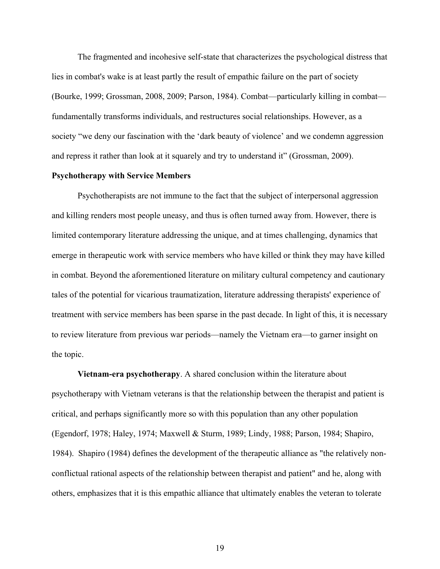The fragmented and incohesive self-state that characterizes the psychological distress that lies in combat's wake is at least partly the result of empathic failure on the part of society (Bourke, 1999; Grossman, 2008, 2009; Parson, 1984). Combat—particularly killing in combat fundamentally transforms individuals, and restructures social relationships. However, as a society "we deny our fascination with the 'dark beauty of violence' and we condemn aggression and repress it rather than look at it squarely and try to understand it" (Grossman, 2009).

#### **Psychotherapy with Service Members**

Psychotherapists are not immune to the fact that the subject of interpersonal aggression and killing renders most people uneasy, and thus is often turned away from. However, there is limited contemporary literature addressing the unique, and at times challenging, dynamics that emerge in therapeutic work with service members who have killed or think they may have killed in combat. Beyond the aforementioned literature on military cultural competency and cautionary tales of the potential for vicarious traumatization, literature addressing therapists' experience of treatment with service members has been sparse in the past decade. In light of this, it is necessary to review literature from previous war periods—namely the Vietnam era—to garner insight on the topic.

**Vietnam-era psychotherapy**. A shared conclusion within the literature about psychotherapy with Vietnam veterans is that the relationship between the therapist and patient is critical, and perhaps significantly more so with this population than any other population (Egendorf, 1978; Haley, 1974; Maxwell & Sturm, 1989; Lindy, 1988; Parson, 1984; Shapiro, 1984). Shapiro (1984) defines the development of the therapeutic alliance as "the relatively nonconflictual rational aspects of the relationship between therapist and patient" and he, along with others, emphasizes that it is this empathic alliance that ultimately enables the veteran to tolerate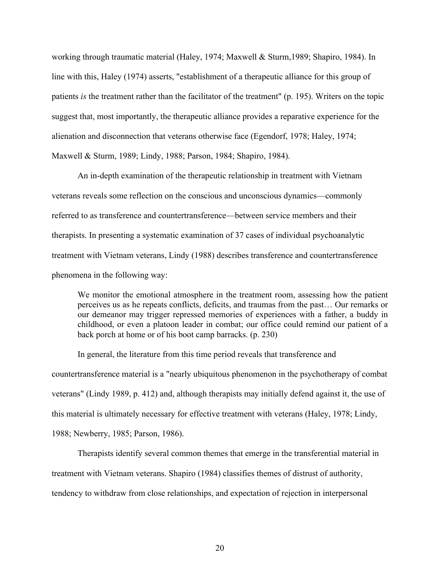working through traumatic material (Haley, 1974; Maxwell & Sturm,1989; Shapiro, 1984). In line with this, Haley (1974) asserts, "establishment of a therapeutic alliance for this group of patients *is* the treatment rather than the facilitator of the treatment" (p. 195). Writers on the topic suggest that, most importantly, the therapeutic alliance provides a reparative experience for the alienation and disconnection that veterans otherwise face (Egendorf, 1978; Haley, 1974; Maxwell & Sturm, 1989; Lindy, 1988; Parson, 1984; Shapiro, 1984).

An in-depth examination of the therapeutic relationship in treatment with Vietnam veterans reveals some reflection on the conscious and unconscious dynamics—commonly referred to as transference and countertransference—between service members and their therapists. In presenting a systematic examination of 37 cases of individual psychoanalytic treatment with Vietnam veterans, Lindy (1988) describes transference and countertransference phenomena in the following way:

We monitor the emotional atmosphere in the treatment room, assessing how the patient perceives us as he repeats conflicts, deficits, and traumas from the past… Our remarks or our demeanor may trigger repressed memories of experiences with a father, a buddy in childhood, or even a platoon leader in combat; our office could remind our patient of a back porch at home or of his boot camp barracks. (p. 230)

In general, the literature from this time period reveals that transference and countertransference material is a "nearly ubiquitous phenomenon in the psychotherapy of combat veterans" (Lindy 1989, p. 412) and, although therapists may initially defend against it, the use of this material is ultimately necessary for effective treatment with veterans (Haley, 1978; Lindy, 1988; Newberry, 1985; Parson, 1986).

Therapists identify several common themes that emerge in the transferential material in treatment with Vietnam veterans. Shapiro (1984) classifies themes of distrust of authority, tendency to withdraw from close relationships, and expectation of rejection in interpersonal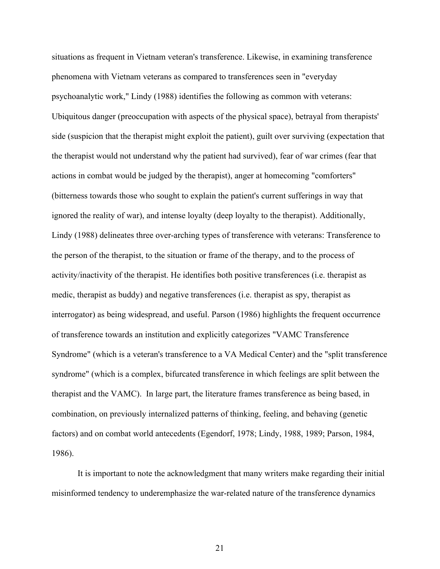situations as frequent in Vietnam veteran's transference. Likewise, in examining transference phenomena with Vietnam veterans as compared to transferences seen in "everyday psychoanalytic work," Lindy (1988) identifies the following as common with veterans: Ubiquitous danger (preoccupation with aspects of the physical space), betrayal from therapists' side (suspicion that the therapist might exploit the patient), guilt over surviving (expectation that the therapist would not understand why the patient had survived), fear of war crimes (fear that actions in combat would be judged by the therapist), anger at homecoming "comforters" (bitterness towards those who sought to explain the patient's current sufferings in way that ignored the reality of war), and intense loyalty (deep loyalty to the therapist). Additionally, Lindy (1988) delineates three over-arching types of transference with veterans: Transference to the person of the therapist, to the situation or frame of the therapy, and to the process of activity/inactivity of the therapist. He identifies both positive transferences (i.e. therapist as medic, therapist as buddy) and negative transferences (i.e. therapist as spy, therapist as interrogator) as being widespread, and useful. Parson (1986) highlights the frequent occurrence of transference towards an institution and explicitly categorizes "VAMC Transference Syndrome" (which is a veteran's transference to a VA Medical Center) and the "split transference syndrome" (which is a complex, bifurcated transference in which feelings are split between the therapist and the VAMC). In large part, the literature frames transference as being based, in combination, on previously internalized patterns of thinking, feeling, and behaving (genetic factors) and on combat world antecedents (Egendorf, 1978; Lindy, 1988, 1989; Parson, 1984, 1986).

It is important to note the acknowledgment that many writers make regarding their initial misinformed tendency to underemphasize the war-related nature of the transference dynamics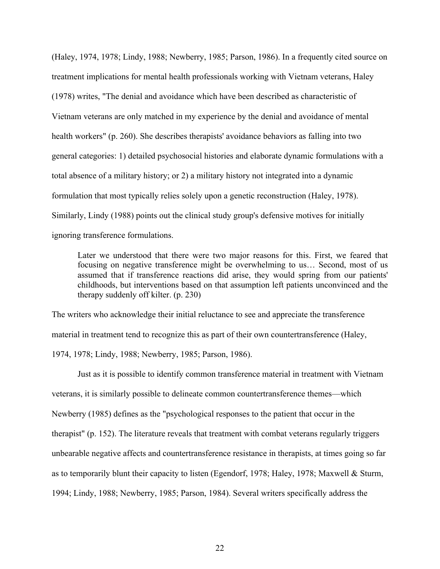(Haley, 1974, 1978; Lindy, 1988; Newberry, 1985; Parson, 1986). In a frequently cited source on treatment implications for mental health professionals working with Vietnam veterans, Haley (1978) writes, "The denial and avoidance which have been described as characteristic of Vietnam veterans are only matched in my experience by the denial and avoidance of mental health workers" (p. 260). She describes therapists' avoidance behaviors as falling into two general categories: 1) detailed psychosocial histories and elaborate dynamic formulations with a total absence of a military history; or 2) a military history not integrated into a dynamic formulation that most typically relies solely upon a genetic reconstruction (Haley, 1978). Similarly, Lindy (1988) points out the clinical study group's defensive motives for initially ignoring transference formulations.

Later we understood that there were two major reasons for this. First, we feared that focusing on negative transference might be overwhelming to us… Second, most of us assumed that if transference reactions did arise, they would spring from our patients' childhoods, but interventions based on that assumption left patients unconvinced and the therapy suddenly off kilter. (p. 230)

The writers who acknowledge their initial reluctance to see and appreciate the transference material in treatment tend to recognize this as part of their own countertransference (Haley, 1974, 1978; Lindy, 1988; Newberry, 1985; Parson, 1986).

Just as it is possible to identify common transference material in treatment with Vietnam veterans, it is similarly possible to delineate common countertransference themes—which Newberry (1985) defines as the "psychological responses to the patient that occur in the therapist" (p. 152). The literature reveals that treatment with combat veterans regularly triggers unbearable negative affects and countertransference resistance in therapists, at times going so far as to temporarily blunt their capacity to listen (Egendorf, 1978; Haley, 1978; Maxwell & Sturm, 1994; Lindy, 1988; Newberry, 1985; Parson, 1984). Several writers specifically address the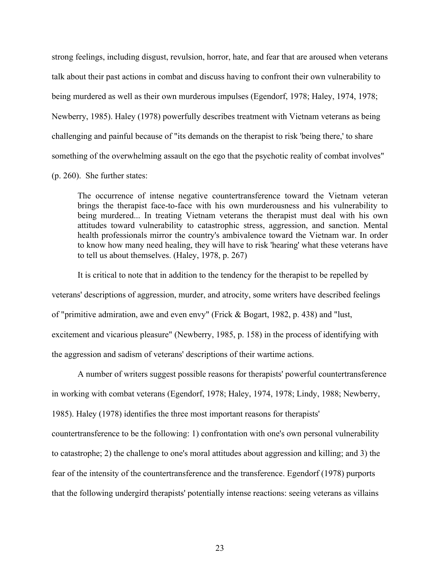strong feelings, including disgust, revulsion, horror, hate, and fear that are aroused when veterans talk about their past actions in combat and discuss having to confront their own vulnerability to being murdered as well as their own murderous impulses (Egendorf, 1978; Haley, 1974, 1978; Newberry, 1985). Haley (1978) powerfully describes treatment with Vietnam veterans as being challenging and painful because of "its demands on the therapist to risk 'being there,' to share something of the overwhelming assault on the ego that the psychotic reality of combat involves"

(p. 260). She further states:

The occurrence of intense negative countertransference toward the Vietnam veteran brings the therapist face-to-face with his own murderousness and his vulnerability to being murdered... In treating Vietnam veterans the therapist must deal with his own attitudes toward vulnerability to catastrophic stress, aggression, and sanction. Mental health professionals mirror the country's ambivalence toward the Vietnam war. In order to know how many need healing, they will have to risk 'hearing' what these veterans have to tell us about themselves. (Haley, 1978, p. 267)

It is critical to note that in addition to the tendency for the therapist to be repelled by veterans' descriptions of aggression, murder, and atrocity, some writers have described feelings of "primitive admiration, awe and even envy" (Frick & Bogart, 1982, p. 438) and "lust, excitement and vicarious pleasure" (Newberry, 1985, p. 158) in the process of identifying with the aggression and sadism of veterans' descriptions of their wartime actions.

A number of writers suggest possible reasons for therapists' powerful countertransference in working with combat veterans (Egendorf, 1978; Haley, 1974, 1978; Lindy, 1988; Newberry, 1985). Haley (1978) identifies the three most important reasons for therapists' countertransference to be the following: 1) confrontation with one's own personal vulnerability to catastrophe; 2) the challenge to one's moral attitudes about aggression and killing; and 3) the fear of the intensity of the countertransference and the transference. Egendorf (1978) purports that the following undergird therapists' potentially intense reactions: seeing veterans as villains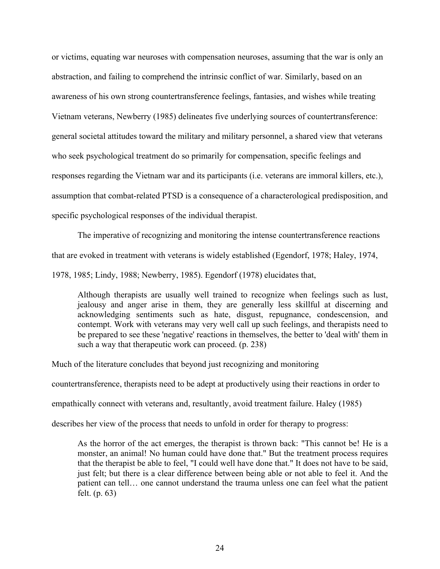or victims, equating war neuroses with compensation neuroses, assuming that the war is only an abstraction, and failing to comprehend the intrinsic conflict of war. Similarly, based on an awareness of his own strong countertransference feelings, fantasies, and wishes while treating Vietnam veterans, Newberry (1985) delineates five underlying sources of countertransference: general societal attitudes toward the military and military personnel, a shared view that veterans who seek psychological treatment do so primarily for compensation, specific feelings and responses regarding the Vietnam war and its participants (i.e. veterans are immoral killers, etc.), assumption that combat-related PTSD is a consequence of a characterological predisposition, and specific psychological responses of the individual therapist.

The imperative of recognizing and monitoring the intense countertransference reactions that are evoked in treatment with veterans is widely established (Egendorf, 1978; Haley, 1974,

1978, 1985; Lindy, 1988; Newberry, 1985). Egendorf (1978) elucidates that,

Although therapists are usually well trained to recognize when feelings such as lust, jealousy and anger arise in them, they are generally less skillful at discerning and acknowledging sentiments such as hate, disgust, repugnance, condescension, and contempt. Work with veterans may very well call up such feelings, and therapists need to be prepared to see these 'negative' reactions in themselves, the better to 'deal with' them in such a way that therapeutic work can proceed. (p. 238)

Much of the literature concludes that beyond just recognizing and monitoring

countertransference, therapists need to be adept at productively using their reactions in order to

empathically connect with veterans and, resultantly, avoid treatment failure. Haley (1985)

describes her view of the process that needs to unfold in order for therapy to progress:

As the horror of the act emerges, the therapist is thrown back: "This cannot be! He is a monster, an animal! No human could have done that." But the treatment process requires that the therapist be able to feel, "I could well have done that." It does not have to be said, just felt; but there is a clear difference between being able or not able to feel it. And the patient can tell… one cannot understand the trauma unless one can feel what the patient felt. (p. 63)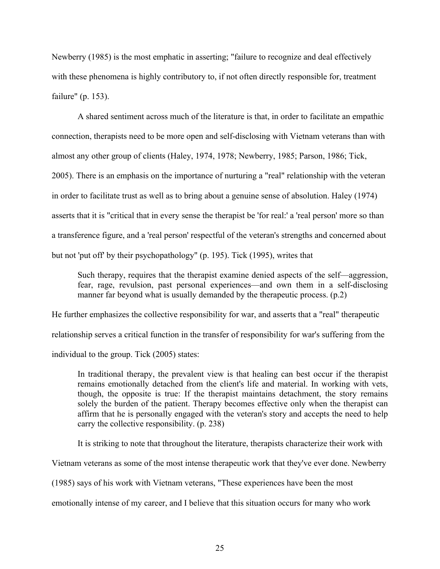Newberry (1985) is the most emphatic in asserting; "failure to recognize and deal effectively with these phenomena is highly contributory to, if not often directly responsible for, treatment failure" (p. 153).

A shared sentiment across much of the literature is that, in order to facilitate an empathic connection, therapists need to be more open and self-disclosing with Vietnam veterans than with almost any other group of clients (Haley, 1974, 1978; Newberry, 1985; Parson, 1986; Tick, 2005). There is an emphasis on the importance of nurturing a "real" relationship with the veteran in order to facilitate trust as well as to bring about a genuine sense of absolution. Haley (1974) asserts that it is "critical that in every sense the therapist be 'for real:' a 'real person' more so than a transference figure, and a 'real person' respectful of the veteran's strengths and concerned about but not 'put off' by their psychopathology" (p. 195). Tick (1995), writes that

Such therapy, requires that the therapist examine denied aspects of the self—aggression, fear, rage, revulsion, past personal experiences—and own them in a self-disclosing manner far beyond what is usually demanded by the therapeutic process. (p.2)

He further emphasizes the collective responsibility for war, and asserts that a "real" therapeutic relationship serves a critical function in the transfer of responsibility for war's suffering from the individual to the group. Tick (2005) states:

In traditional therapy, the prevalent view is that healing can best occur if the therapist remains emotionally detached from the client's life and material. In working with vets, though, the opposite is true: If the therapist maintains detachment, the story remains solely the burden of the patient. Therapy becomes effective only when the therapist can affirm that he is personally engaged with the veteran's story and accepts the need to help carry the collective responsibility. (p. 238)

It is striking to note that throughout the literature, therapists characterize their work with

Vietnam veterans as some of the most intense therapeutic work that they've ever done. Newberry

(1985) says of his work with Vietnam veterans, "These experiences have been the most

emotionally intense of my career, and I believe that this situation occurs for many who work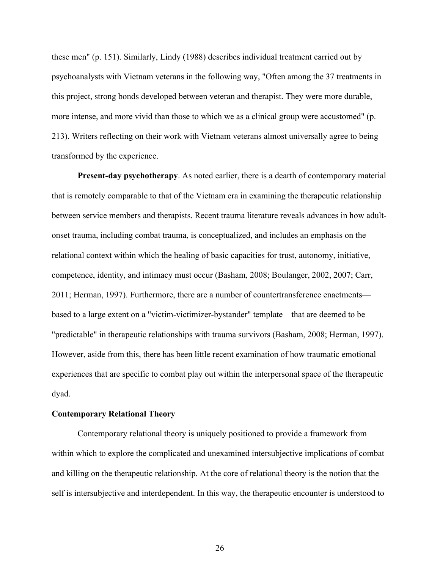these men" (p. 151). Similarly, Lindy (1988) describes individual treatment carried out by psychoanalysts with Vietnam veterans in the following way, "Often among the 37 treatments in this project, strong bonds developed between veteran and therapist. They were more durable, more intense, and more vivid than those to which we as a clinical group were accustomed" (p. 213). Writers reflecting on their work with Vietnam veterans almost universally agree to being transformed by the experience.

**Present-day psychotherapy**. As noted earlier, there is a dearth of contemporary material that is remotely comparable to that of the Vietnam era in examining the therapeutic relationship between service members and therapists. Recent trauma literature reveals advances in how adultonset trauma, including combat trauma, is conceptualized, and includes an emphasis on the relational context within which the healing of basic capacities for trust, autonomy, initiative, competence, identity, and intimacy must occur (Basham, 2008; Boulanger, 2002, 2007; Carr, 2011; Herman, 1997). Furthermore, there are a number of countertransference enactments based to a large extent on a "victim-victimizer-bystander" template—that are deemed to be "predictable" in therapeutic relationships with trauma survivors (Basham, 2008; Herman, 1997). However, aside from this, there has been little recent examination of how traumatic emotional experiences that are specific to combat play out within the interpersonal space of the therapeutic dyad.

#### **Contemporary Relational Theory**

Contemporary relational theory is uniquely positioned to provide a framework from within which to explore the complicated and unexamined intersubjective implications of combat and killing on the therapeutic relationship. At the core of relational theory is the notion that the self is intersubjective and interdependent. In this way, the therapeutic encounter is understood to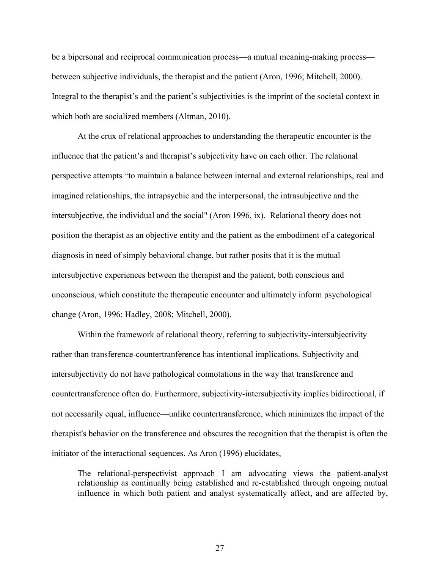be a bipersonal and reciprocal communication process—a mutual meaning-making process between subjective individuals, the therapist and the patient (Aron, 1996; Mitchell, 2000). Integral to the therapist's and the patient's subjectivities is the imprint of the societal context in which both are socialized members (Altman, 2010).

At the crux of relational approaches to understanding the therapeutic encounter is the influence that the patient's and therapist's subjectivity have on each other. The relational perspective attempts "to maintain a balance between internal and external relationships, real and imagined relationships, the intrapsychic and the interpersonal, the intrasubjective and the intersubjective, the individual and the social" (Aron 1996, ix). Relational theory does not position the therapist as an objective entity and the patient as the embodiment of a categorical diagnosis in need of simply behavioral change, but rather posits that it is the mutual intersubjective experiences between the therapist and the patient, both conscious and unconscious, which constitute the therapeutic encounter and ultimately inform psychological change (Aron, 1996; Hadley, 2008; Mitchell, 2000).

Within the framework of relational theory, referring to subjectivity-intersubjectivity rather than transference-countertranference has intentional implications. Subjectivity and intersubjectivity do not have pathological connotations in the way that transference and countertransference often do. Furthermore, subjectivity-intersubjectivity implies bidirectional, if not necessarily equal, influence—unlike countertransference, which minimizes the impact of the therapist's behavior on the transference and obscures the recognition that the therapist is often the initiator of the interactional sequences. As Aron (1996) elucidates,

The relational-perspectivist approach I am advocating views the patient-analyst relationship as continually being established and re-established through ongoing mutual influence in which both patient and analyst systematically affect, and are affected by,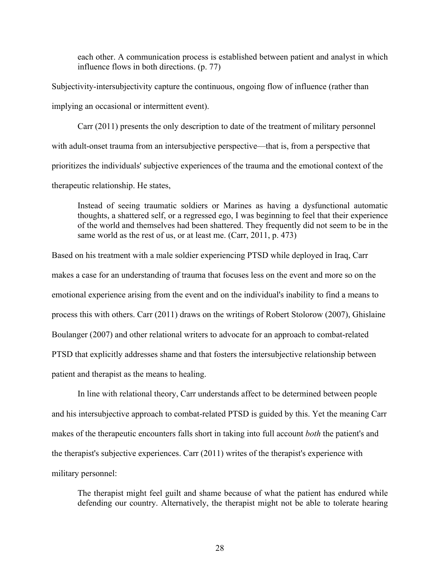each other. A communication process is established between patient and analyst in which influence flows in both directions. (p. 77)

Subjectivity-intersubjectivity capture the continuous, ongoing flow of influence (rather than implying an occasional or intermittent event).

Carr (2011) presents the only description to date of the treatment of military personnel with adult-onset trauma from an intersubjective perspective—that is, from a perspective that prioritizes the individuals' subjective experiences of the trauma and the emotional context of the therapeutic relationship. He states,

Instead of seeing traumatic soldiers or Marines as having a dysfunctional automatic thoughts, a shattered self, or a regressed ego, I was beginning to feel that their experience of the world and themselves had been shattered. They frequently did not seem to be in the same world as the rest of us, or at least me. (Carr, 2011, p. 473)

Based on his treatment with a male soldier experiencing PTSD while deployed in Iraq, Carr makes a case for an understanding of trauma that focuses less on the event and more so on the emotional experience arising from the event and on the individual's inability to find a means to process this with others. Carr (2011) draws on the writings of Robert Stolorow (2007), Ghislaine Boulanger (2007) and other relational writers to advocate for an approach to combat-related PTSD that explicitly addresses shame and that fosters the intersubjective relationship between patient and therapist as the means to healing.

In line with relational theory, Carr understands affect to be determined between people and his intersubjective approach to combat-related PTSD is guided by this. Yet the meaning Carr makes of the therapeutic encounters falls short in taking into full account *both* the patient's and the therapist's subjective experiences. Carr (2011) writes of the therapist's experience with military personnel:

The therapist might feel guilt and shame because of what the patient has endured while defending our country. Alternatively, the therapist might not be able to tolerate hearing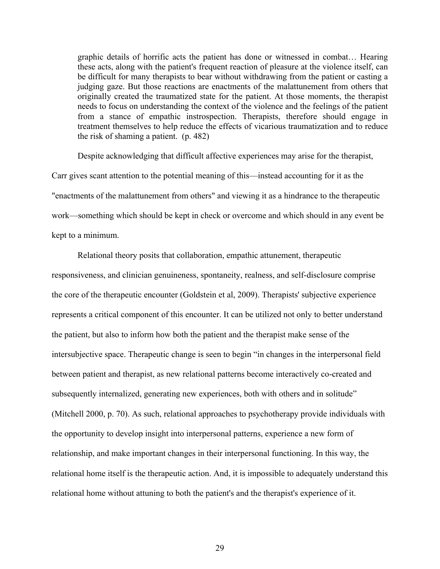graphic details of horrific acts the patient has done or witnessed in combat… Hearing these acts, along with the patient's frequent reaction of pleasure at the violence itself, can be difficult for many therapists to bear without withdrawing from the patient or casting a judging gaze. But those reactions are enactments of the malattunement from others that originally created the traumatized state for the patient. At those moments, the therapist needs to focus on understanding the context of the violence and the feelings of the patient from a stance of empathic instrospection. Therapists, therefore should engage in treatment themselves to help reduce the effects of vicarious traumatization and to reduce the risk of shaming a patient. (p. 482)

Despite acknowledging that difficult affective experiences may arise for the therapist, Carr gives scant attention to the potential meaning of this—instead accounting for it as the "enactments of the malattunement from others" and viewing it as a hindrance to the therapeutic work—something which should be kept in check or overcome and which should in any event be kept to a minimum.

Relational theory posits that collaboration, empathic attunement, therapeutic responsiveness, and clinician genuineness, spontaneity, realness, and self-disclosure comprise the core of the therapeutic encounter (Goldstein et al, 2009). Therapists' subjective experience represents a critical component of this encounter. It can be utilized not only to better understand the patient, but also to inform how both the patient and the therapist make sense of the intersubjective space. Therapeutic change is seen to begin "in changes in the interpersonal field between patient and therapist, as new relational patterns become interactively co-created and subsequently internalized, generating new experiences, both with others and in solitude" (Mitchell 2000, p. 70). As such, relational approaches to psychotherapy provide individuals with the opportunity to develop insight into interpersonal patterns, experience a new form of relationship, and make important changes in their interpersonal functioning. In this way, the relational home itself is the therapeutic action. And, it is impossible to adequately understand this relational home without attuning to both the patient's and the therapist's experience of it.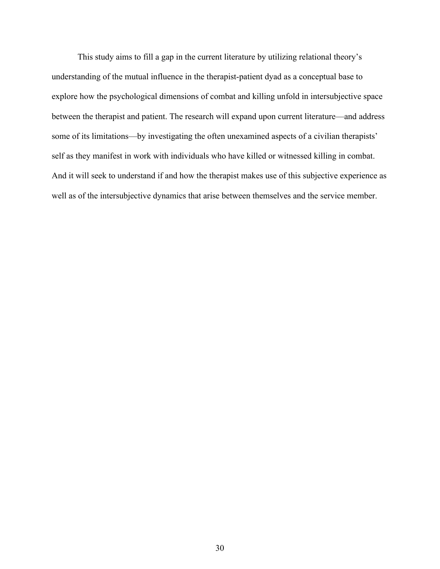This study aims to fill a gap in the current literature by utilizing relational theory's understanding of the mutual influence in the therapist-patient dyad as a conceptual base to explore how the psychological dimensions of combat and killing unfold in intersubjective space between the therapist and patient. The research will expand upon current literature—and address some of its limitations—by investigating the often unexamined aspects of a civilian therapists' self as they manifest in work with individuals who have killed or witnessed killing in combat. And it will seek to understand if and how the therapist makes use of this subjective experience as well as of the intersubjective dynamics that arise between themselves and the service member.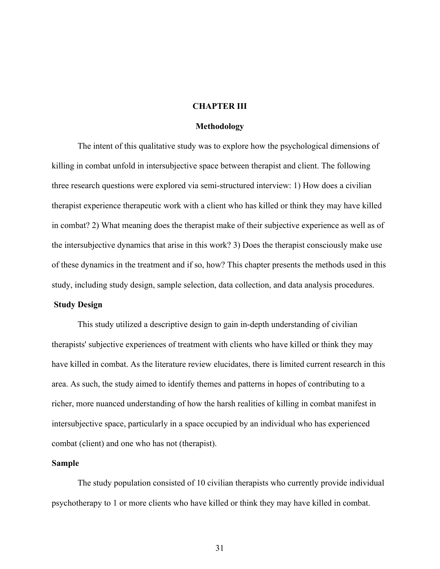### **CHAPTER III**

### **Methodology**

The intent of this qualitative study was to explore how the psychological dimensions of killing in combat unfold in intersubjective space between therapist and client. The following three research questions were explored via semi-structured interview: 1) How does a civilian therapist experience therapeutic work with a client who has killed or think they may have killed in combat? 2) What meaning does the therapist make of their subjective experience as well as of the intersubjective dynamics that arise in this work? 3) Does the therapist consciously make use of these dynamics in the treatment and if so, how? This chapter presents the methods used in this study, including study design, sample selection, data collection, and data analysis procedures.

# **Study Design**

This study utilized a descriptive design to gain in-depth understanding of civilian therapists' subjective experiences of treatment with clients who have killed or think they may have killed in combat. As the literature review elucidates, there is limited current research in this area. As such, the study aimed to identify themes and patterns in hopes of contributing to a richer, more nuanced understanding of how the harsh realities of killing in combat manifest in intersubjective space, particularly in a space occupied by an individual who has experienced combat (client) and one who has not (therapist).

### **Sample**

The study population consisted of 10 civilian therapists who currently provide individual psychotherapy to 1 or more clients who have killed or think they may have killed in combat.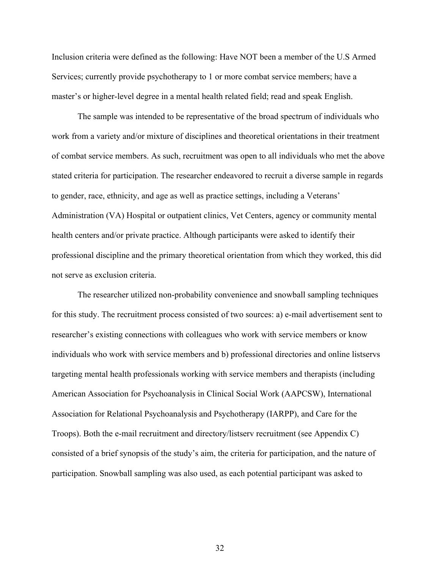Inclusion criteria were defined as the following: Have NOT been a member of the U.S Armed Services; currently provide psychotherapy to 1 or more combat service members; have a master's or higher-level degree in a mental health related field; read and speak English.

The sample was intended to be representative of the broad spectrum of individuals who work from a variety and/or mixture of disciplines and theoretical orientations in their treatment of combat service members. As such, recruitment was open to all individuals who met the above stated criteria for participation. The researcher endeavored to recruit a diverse sample in regards to gender, race, ethnicity, and age as well as practice settings, including a Veterans' Administration (VA) Hospital or outpatient clinics, Vet Centers, agency or community mental health centers and/or private practice. Although participants were asked to identify their professional discipline and the primary theoretical orientation from which they worked, this did not serve as exclusion criteria.

The researcher utilized non-probability convenience and snowball sampling techniques for this study. The recruitment process consisted of two sources: a) e-mail advertisement sent to researcher's existing connections with colleagues who work with service members or know individuals who work with service members and b) professional directories and online listservs targeting mental health professionals working with service members and therapists (including American Association for Psychoanalysis in Clinical Social Work (AAPCSW), International Association for Relational Psychoanalysis and Psychotherapy (IARPP), and Care for the Troops). Both the e-mail recruitment and directory/listserv recruitment (see Appendix C) consisted of a brief synopsis of the study's aim, the criteria for participation, and the nature of participation. Snowball sampling was also used, as each potential participant was asked to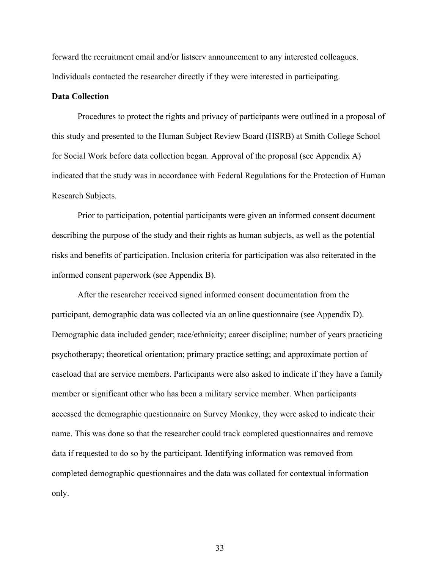forward the recruitment email and/or listserv announcement to any interested colleagues. Individuals contacted the researcher directly if they were interested in participating.

# **Data Collection**

Procedures to protect the rights and privacy of participants were outlined in a proposal of this study and presented to the Human Subject Review Board (HSRB) at Smith College School for Social Work before data collection began. Approval of the proposal (see Appendix A) indicated that the study was in accordance with Federal Regulations for the Protection of Human Research Subjects.

Prior to participation, potential participants were given an informed consent document describing the purpose of the study and their rights as human subjects, as well as the potential risks and benefits of participation. Inclusion criteria for participation was also reiterated in the informed consent paperwork (see Appendix B).

After the researcher received signed informed consent documentation from the participant, demographic data was collected via an online questionnaire (see Appendix D). Demographic data included gender; race/ethnicity; career discipline; number of years practicing psychotherapy; theoretical orientation; primary practice setting; and approximate portion of caseload that are service members. Participants were also asked to indicate if they have a family member or significant other who has been a military service member. When participants accessed the demographic questionnaire on Survey Monkey, they were asked to indicate their name. This was done so that the researcher could track completed questionnaires and remove data if requested to do so by the participant. Identifying information was removed from completed demographic questionnaires and the data was collated for contextual information only.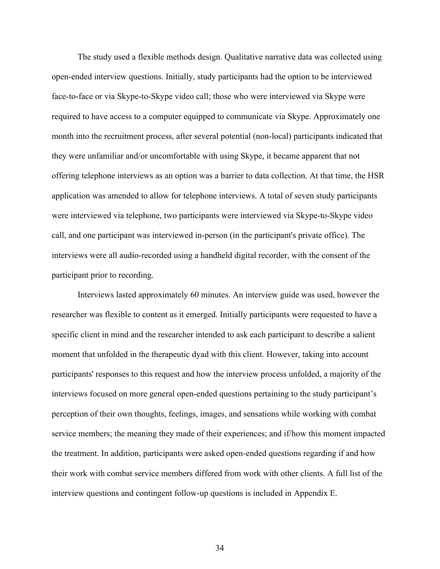The study used a flexible methods design. Qualitative narrative data was collected using open-ended interview questions. Initially, study participants had the option to be interviewed face-to-face or via Skype-to-Skype video call; those who were interviewed via Skype were required to have access to a computer equipped to communicate via Skype. Approximately one month into the recruitment process, after several potential (non-local) participants indicated that they were unfamiliar and/or uncomfortable with using Skype, it became apparent that not offering telephone interviews as an option was a barrier to data collection. At that time, the HSR application was amended to allow for telephone interviews. A total of seven study participants were interviewed via telephone, two participants were interviewed via Skype-to-Skype video call, and one participant was interviewed in-person (in the participant's private office). The interviews were all audio-recorded using a handheld digital recorder, with the consent of the participant prior to recording.

Interviews lasted approximately 60 minutes. An interview guide was used, however the researcher was flexible to content as it emerged. Initially participants were requested to have a specific client in mind and the researcher intended to ask each participant to describe a salient moment that unfolded in the therapeutic dyad with this client. However, taking into account participants' responses to this request and how the interview process unfolded, a majority of the interviews focused on more general open-ended questions pertaining to the study participant's perception of their own thoughts, feelings, images, and sensations while working with combat service members; the meaning they made of their experiences; and if/how this moment impacted the treatment. In addition, participants were asked open-ended questions regarding if and how their work with combat service members differed from work with other clients. A full list of the interview questions and contingent follow-up questions is included in Appendix E.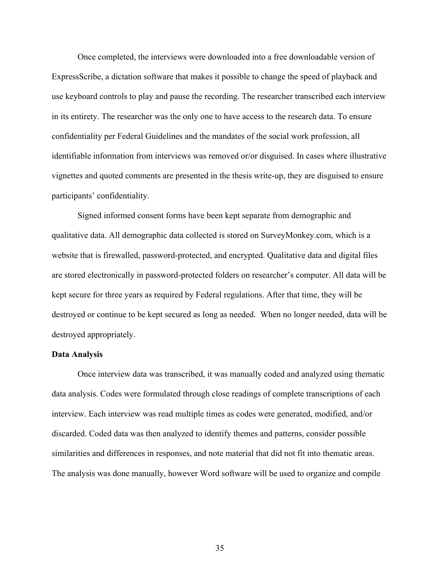Once completed, the interviews were downloaded into a free downloadable version of ExpressScribe, a dictation software that makes it possible to change the speed of playback and use keyboard controls to play and pause the recording. The researcher transcribed each interview in its entirety. The researcher was the only one to have access to the research data. To ensure confidentiality per Federal Guidelines and the mandates of the social work profession, all identifiable information from interviews was removed or/or disguised. In cases where illustrative vignettes and quoted comments are presented in the thesis write-up, they are disguised to ensure participants' confidentiality.

Signed informed consent forms have been kept separate from demographic and qualitative data. All demographic data collected is stored on SurveyMonkey.com, which is a website that is firewalled, password-protected, and encrypted. Qualitative data and digital files are stored electronically in password-protected folders on researcher's computer. All data will be kept secure for three years as required by Federal regulations. After that time, they will be destroyed or continue to be kept secured as long as needed. When no longer needed, data will be destroyed appropriately.

### **Data Analysis**

Once interview data was transcribed, it was manually coded and analyzed using thematic data analysis. Codes were formulated through close readings of complete transcriptions of each interview. Each interview was read multiple times as codes were generated, modified, and/or discarded. Coded data was then analyzed to identify themes and patterns, consider possible similarities and differences in responses, and note material that did not fit into thematic areas. The analysis was done manually, however Word software will be used to organize and compile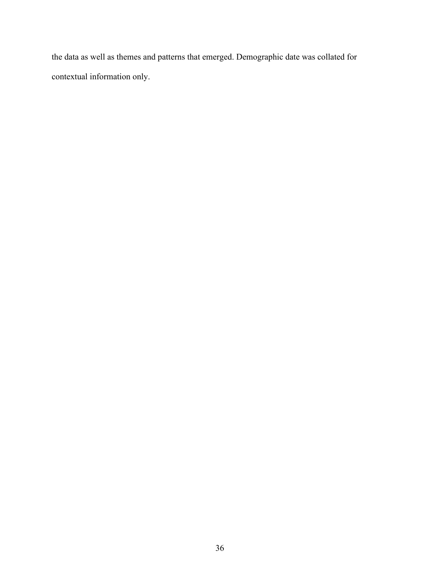the data as well as themes and patterns that emerged. Demographic date was collated for contextual information only.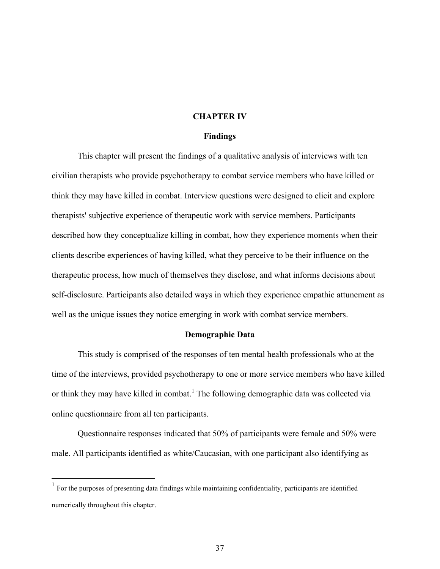### **CHAPTER IV**

### **Findings**

This chapter will present the findings of a qualitative analysis of interviews with ten civilian therapists who provide psychotherapy to combat service members who have killed or think they may have killed in combat. Interview questions were designed to elicit and explore therapists' subjective experience of therapeutic work with service members. Participants described how they conceptualize killing in combat, how they experience moments when their clients describe experiences of having killed, what they perceive to be their influence on the therapeutic process, how much of themselves they disclose, and what informs decisions about self-disclosure. Participants also detailed ways in which they experience empathic attunement as well as the unique issues they notice emerging in work with combat service members.

### **Demographic Data**

This study is comprised of the responses of ten mental health professionals who at the time of the interviews, provided psychotherapy to one or more service members who have killed or think they may have killed in combat.<sup>1</sup> The following demographic data was collected via online questionnaire from all ten participants.

Questionnaire responses indicated that 50% of participants were female and 50% were male. All participants identified as white/Caucasian, with one participant also identifying as

<sup>&</sup>lt;sup>1</sup> For the purposes of presenting data findings while maintaining confidentiality, participants are identified numerically throughout this chapter.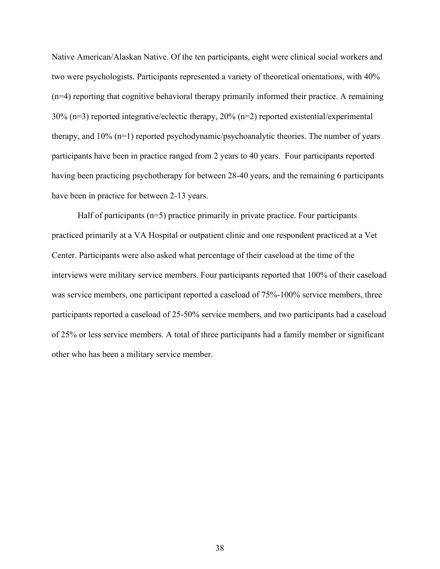Native American/Alaskan Native. Of the ten participants, eight were clinical social workers and two were psychologists. Participants represented a variety of theoretical orientations, with 40% (n=4) reporting that cognitive behavioral therapy primarily informed their practice. A remaining 30% (n=3) reported integrative/eclectic therapy, 20% (n=2) reported existential/experimental therapy, and 10% (n=1) reported psychodynamic/psychoanalytic theories. The number of years participants have been in practice ranged from 2 years to 40 years. Four participants reported having been practicing psychotherapy for between 28-40 years, and the remaining 6 participants have been in practice for between 2-13 years.

Half of participants (n=5) practice primarily in private practice. Four participants practiced primarily at a VA Hospital or outpatient clinic and one respondent practiced at a Vet Center. Participants were also asked what percentage of their caseload at the time of the interviews were military service members. Four participants reported that 100% of their caseload was service members, one participant reported a caseload of  $75\%$ -100% service members, three participants reported a caseload of 25-50% service members, and two participants had a caseload of 25% or less service members. A total of three participants had a family member or significant other who has been a military service member.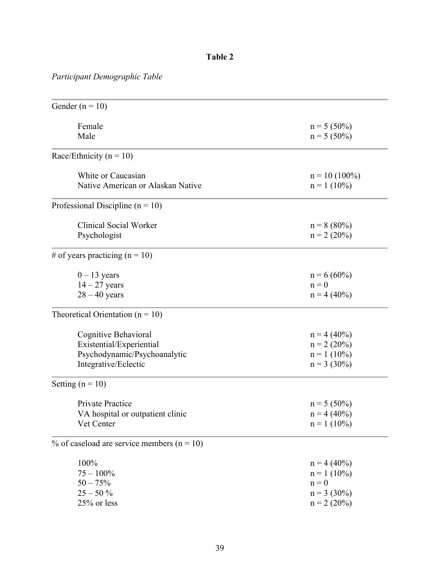# **Table 2**

# *Participant Demographic Table*

| Gender ( $n = 10$ )                            |                 |
|------------------------------------------------|-----------------|
| Female                                         | $n = 5(50\%)$   |
| Male                                           | $n = 5(50\%)$   |
| Race/Ethnicity ( $n = 10$ )                    |                 |
| White or Caucasian                             | $n = 10(100\%)$ |
| Native American or Alaskan Native              | $n = 1 (10\%)$  |
| Professional Discipline ( $n = 10$ )           |                 |
| Clinical Social Worker                         | $n = 8 (80\%)$  |
| Psychologist                                   | $n = 2 (20\%)$  |
| # of years practicing $(n = 10)$               |                 |
| $0 - 13$ years                                 | $n = 6(60\%)$   |
| $14 - 27$ years                                | $n = 0$         |
| $28 - 40$ years                                | $n = 4(40\%)$   |
| Theoretical Orientation ( $n = 10$ )           |                 |
| Cognitive Behavioral                           | $n = 4 (40\%)$  |
| Existential/Experiential                       | $n = 2 (20\%)$  |
| Psychodynamic/Psychoanalytic                   | $n = 1 (10\%)$  |
| Integrative/Eclectic                           | $n = 3(30\%)$   |
| Setting $(n = 10)$                             |                 |
| Private Practice                               | $n = 5(50\%)$   |
| VA hospital or outpatient clinic               | $n = 4 (40\%)$  |
| Vet Center                                     | $n = 1 (10\%)$  |
| % of caseload are service members ( $n = 10$ ) |                 |
| 100%                                           | $n = 4(40\%)$   |
| $75 - 100\%$                                   | $n = 1 (10\%)$  |
| $50 - 75%$                                     | $n = 0$         |
| $25 - 50\%$                                    | $n = 3(30\%)$   |
| 25% or less                                    | $n = 2 (20\%)$  |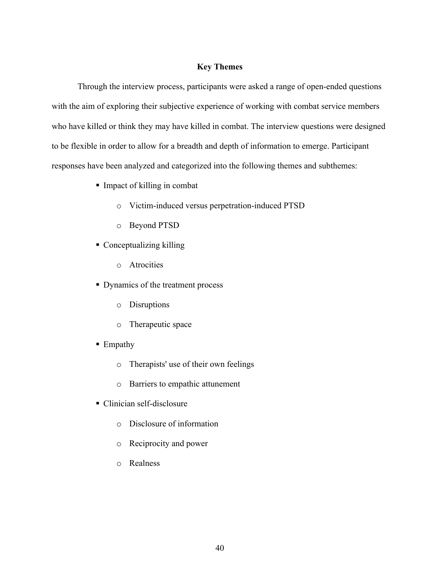# **Key Themes**

Through the interview process, participants were asked a range of open-ended questions with the aim of exploring their subjective experience of working with combat service members who have killed or think they may have killed in combat. The interview questions were designed to be flexible in order to allow for a breadth and depth of information to emerge. Participant responses have been analyzed and categorized into the following themes and subthemes:

- Impact of killing in combat
	- o Victim-induced versus perpetration-induced PTSD
	- o Beyond PTSD
- § Conceptualizing killing
	- o Atrocities
- Dynamics of the treatment process
	- o Disruptions
	- o Therapeutic space
- Empathy
	- o Therapists' use of their own feelings
	- o Barriers to empathic attunement
- Clinician self-disclosure
	- o Disclosure of information
	- o Reciprocity and power
	- o Realness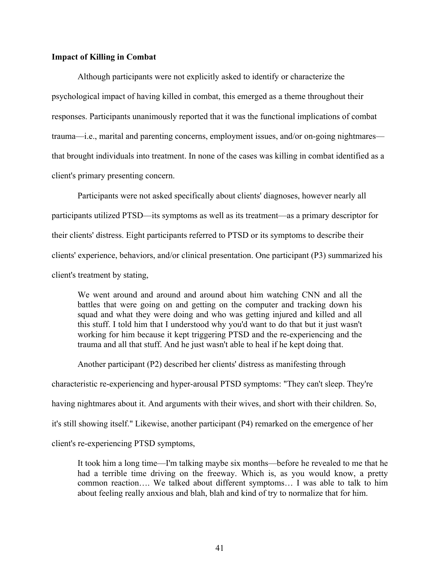# **Impact of Killing in Combat**

Although participants were not explicitly asked to identify or characterize the psychological impact of having killed in combat, this emerged as a theme throughout their responses. Participants unanimously reported that it was the functional implications of combat trauma—i.e., marital and parenting concerns, employment issues, and/or on-going nightmares that brought individuals into treatment. In none of the cases was killing in combat identified as a client's primary presenting concern.

Participants were not asked specifically about clients' diagnoses, however nearly all participants utilized PTSD—its symptoms as well as its treatment—as a primary descriptor for their clients' distress. Eight participants referred to PTSD or its symptoms to describe their clients' experience, behaviors, and/or clinical presentation. One participant (P3) summarized his client's treatment by stating,

We went around and around and around about him watching CNN and all the battles that were going on and getting on the computer and tracking down his squad and what they were doing and who was getting injured and killed and all this stuff. I told him that I understood why you'd want to do that but it just wasn't working for him because it kept triggering PTSD and the re-experiencing and the trauma and all that stuff. And he just wasn't able to heal if he kept doing that.

Another participant (P2) described her clients' distress as manifesting through characteristic re-experiencing and hyper-arousal PTSD symptoms: "They can't sleep. They're having nightmares about it. And arguments with their wives, and short with their children. So, it's still showing itself." Likewise, another participant (P4) remarked on the emergence of her client's re-experiencing PTSD symptoms,

It took him a long time—I'm talking maybe six months—before he revealed to me that he had a terrible time driving on the freeway. Which is, as you would know, a pretty common reaction…. We talked about different symptoms… I was able to talk to him about feeling really anxious and blah, blah and kind of try to normalize that for him.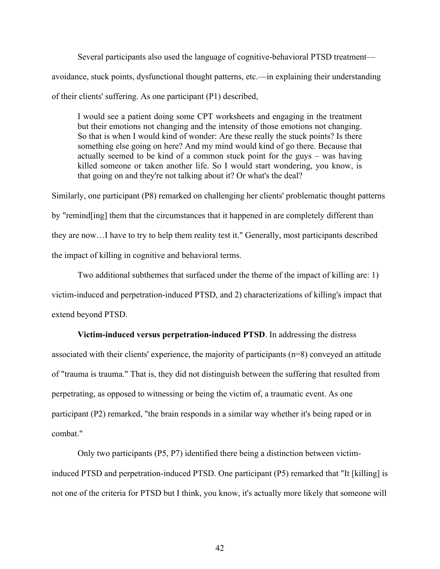Several participants also used the language of cognitive-behavioral PTSD treatment avoidance, stuck points, dysfunctional thought patterns, etc.—in explaining their understanding of their clients' suffering. As one participant (P1) described,

I would see a patient doing some CPT worksheets and engaging in the treatment but their emotions not changing and the intensity of those emotions not changing. So that is when I would kind of wonder: Are these really the stuck points? Is there something else going on here? And my mind would kind of go there. Because that actually seemed to be kind of a common stuck point for the guys – was having killed someone or taken another life. So I would start wondering, you know, is that going on and they're not talking about it? Or what's the deal?

Similarly, one participant (P8) remarked on challenging her clients' problematic thought patterns by "remind[ing] them that the circumstances that it happened in are completely different than they are now…I have to try to help them reality test it." Generally, most participants described the impact of killing in cognitive and behavioral terms.

Two additional subthemes that surfaced under the theme of the impact of killing are: 1) victim-induced and perpetration-induced PTSD, and 2) characterizations of killing's impact that extend beyond PTSD.

**Victim-induced versus perpetration-induced PTSD**. In addressing the distress

associated with their clients' experience, the majority of participants (n=8) conveyed an attitude of "trauma is trauma." That is, they did not distinguish between the suffering that resulted from perpetrating, as opposed to witnessing or being the victim of, a traumatic event. As one participant (P2) remarked, "the brain responds in a similar way whether it's being raped or in combat."

Only two participants (P5, P7) identified there being a distinction between victiminduced PTSD and perpetration-induced PTSD. One participant (P5) remarked that "It [killing] is not one of the criteria for PTSD but I think, you know, it's actually more likely that someone will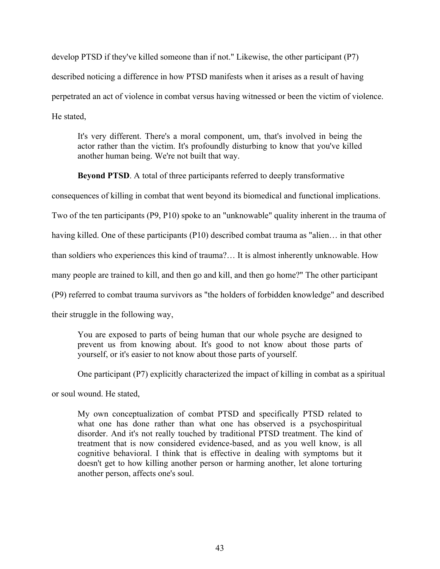develop PTSD if they've killed someone than if not." Likewise, the other participant (P7) described noticing a difference in how PTSD manifests when it arises as a result of having perpetrated an act of violence in combat versus having witnessed or been the victim of violence. He stated,

It's very different. There's a moral component, um, that's involved in being the actor rather than the victim. It's profoundly disturbing to know that you've killed another human being. We're not built that way.

**Beyond PTSD**. A total of three participants referred to deeply transformative

consequences of killing in combat that went beyond its biomedical and functional implications.

Two of the ten participants (P9, P10) spoke to an "unknowable" quality inherent in the trauma of

having killed. One of these participants (P10) described combat trauma as "alien... in that other

than soldiers who experiences this kind of trauma?… It is almost inherently unknowable. How

many people are trained to kill, and then go and kill, and then go home?" The other participant

(P9) referred to combat trauma survivors as "the holders of forbidden knowledge" and described

their struggle in the following way,

You are exposed to parts of being human that our whole psyche are designed to prevent us from knowing about. It's good to not know about those parts of yourself, or it's easier to not know about those parts of yourself.

One participant (P7) explicitly characterized the impact of killing in combat as a spiritual

or soul wound. He stated,

My own conceptualization of combat PTSD and specifically PTSD related to what one has done rather than what one has observed is a psychospiritual disorder. And it's not really touched by traditional PTSD treatment. The kind of treatment that is now considered evidence-based, and as you well know, is all cognitive behavioral. I think that is effective in dealing with symptoms but it doesn't get to how killing another person or harming another, let alone torturing another person, affects one's soul.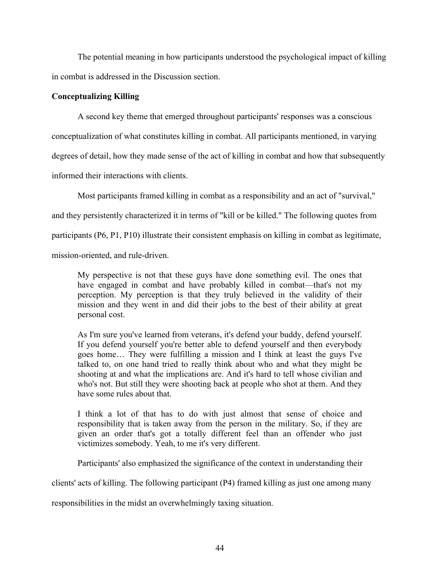The potential meaning in how participants understood the psychological impact of killing in combat is addressed in the Discussion section.

# **Conceptualizing Killing**

A second key theme that emerged throughout participants' responses was a conscious conceptualization of what constitutes killing in combat. All participants mentioned, in varying degrees of detail, how they made sense of the act of killing in combat and how that subsequently informed their interactions with clients.

Most participants framed killing in combat as a responsibility and an act of "survival," and they persistently characterized it in terms of "kill or be killed." The following quotes from participants (P6, P1, P10) illustrate their consistent emphasis on killing in combat as legitimate, mission-oriented, and rule-driven.

My perspective is not that these guys have done something evil. The ones that have engaged in combat and have probably killed in combat—that's not my perception. My perception is that they truly believed in the validity of their mission and they went in and did their jobs to the best of their ability at great personal cost.

As I'm sure you've learned from veterans, it's defend your buddy, defend yourself. If you defend yourself you're better able to defend yourself and then everybody goes home… They were fulfilling a mission and I think at least the guys I've talked to, on one hand tried to really think about who and what they might be shooting at and what the implications are. And it's hard to tell whose civilian and who's not. But still they were shooting back at people who shot at them. And they have some rules about that.

I think a lot of that has to do with just almost that sense of choice and responsibility that is taken away from the person in the military. So, if they are given an order that's got a totally different feel than an offender who just victimizes somebody. Yeah, to me it's very different.

Participants' also emphasized the significance of the context in understanding their

clients' acts of killing. The following participant (P4) framed killing as just one among many

responsibilities in the midst an overwhelmingly taxing situation.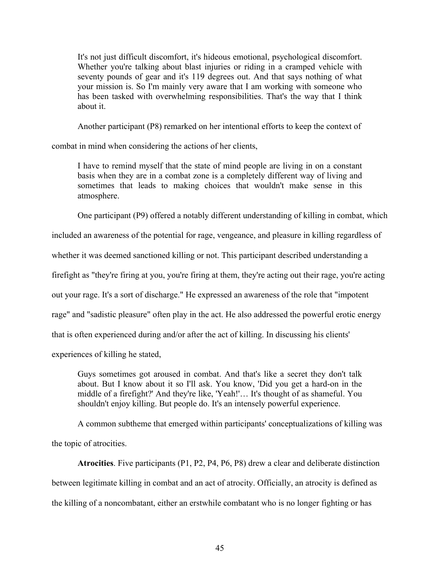It's not just difficult discomfort, it's hideous emotional, psychological discomfort. Whether you're talking about blast injuries or riding in a cramped vehicle with seventy pounds of gear and it's 119 degrees out. And that says nothing of what your mission is. So I'm mainly very aware that I am working with someone who has been tasked with overwhelming responsibilities. That's the way that I think about it.

Another participant (P8) remarked on her intentional efforts to keep the context of

combat in mind when considering the actions of her clients,

I have to remind myself that the state of mind people are living in on a constant basis when they are in a combat zone is a completely different way of living and sometimes that leads to making choices that wouldn't make sense in this atmosphere.

One participant (P9) offered a notably different understanding of killing in combat, which

included an awareness of the potential for rage, vengeance, and pleasure in killing regardless of

whether it was deemed sanctioned killing or not. This participant described understanding a

firefight as "they're firing at you, you're firing at them, they're acting out their rage, you're acting

out your rage. It's a sort of discharge." He expressed an awareness of the role that "impotent

rage" and "sadistic pleasure" often play in the act. He also addressed the powerful erotic energy

that is often experienced during and/or after the act of killing. In discussing his clients'

experiences of killing he stated,

Guys sometimes got aroused in combat. And that's like a secret they don't talk about. But I know about it so I'll ask. You know, 'Did you get a hard-on in the middle of a firefight?' And they're like, 'Yeah!'… It's thought of as shameful. You shouldn't enjoy killing. But people do. It's an intensely powerful experience.

A common subtheme that emerged within participants' conceptualizations of killing was the topic of atrocities.

**Atrocities**. Five participants (P1, P2, P4, P6, P8) drew a clear and deliberate distinction between legitimate killing in combat and an act of atrocity. Officially, an atrocity is defined as the killing of a noncombatant, either an erstwhile combatant who is no longer fighting or has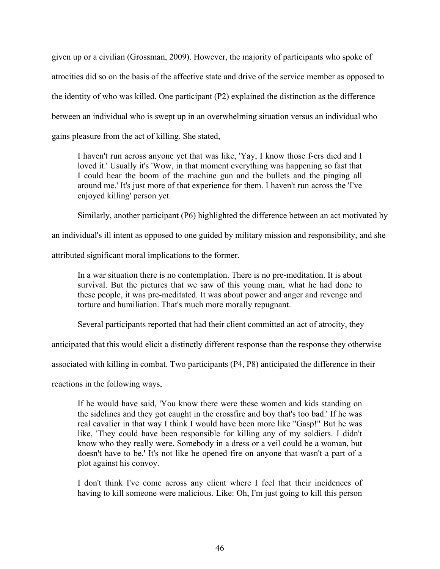given up or a civilian (Grossman, 2009). However, the majority of participants who spoke of atrocities did so on the basis of the affective state and drive of the service member as opposed to the identity of who was killed. One participant (P2) explained the distinction as the difference between an individual who is swept up in an overwhelming situation versus an individual who gains pleasure from the act of killing. She stated,

I haven't run across anyone yet that was like, 'Yay, I know those f-ers died and I loved it.' Usually it's 'Wow, in that moment everything was happening so fast that I could hear the boom of the machine gun and the bullets and the pinging all around me.' It's just more of that experience for them. I haven't run across the 'I've enjoyed killing' person yet.

Similarly, another participant (P6) highlighted the difference between an act motivated by

an individual's ill intent as opposed to one guided by military mission and responsibility, and she

attributed significant moral implications to the former.

In a war situation there is no contemplation. There is no pre-meditation. It is about survival. But the pictures that we saw of this young man, what he had done to these people, it was pre-meditated. It was about power and anger and revenge and torture and humiliation. That's much more morally repugnant.

Several participants reported that had their client committed an act of atrocity, they

anticipated that this would elicit a distinctly different response than the response they otherwise

associated with killing in combat. Two participants (P4, P8) anticipated the difference in their

reactions in the following ways,

If he would have said, 'You know there were these women and kids standing on the sidelines and they got caught in the crossfire and boy that's too bad.' If he was real cavalier in that way I think I would have been more like "Gasp!" But he was like, 'They could have been responsible for killing any of my soldiers. I didn't know who they really were. Somebody in a dress or a veil could be a woman, but doesn't have to be.' It's not like he opened fire on anyone that wasn't a part of a plot against his convoy.

I don't think I've come across any client where I feel that their incidences of having to kill someone were malicious. Like: Oh, I'm just going to kill this person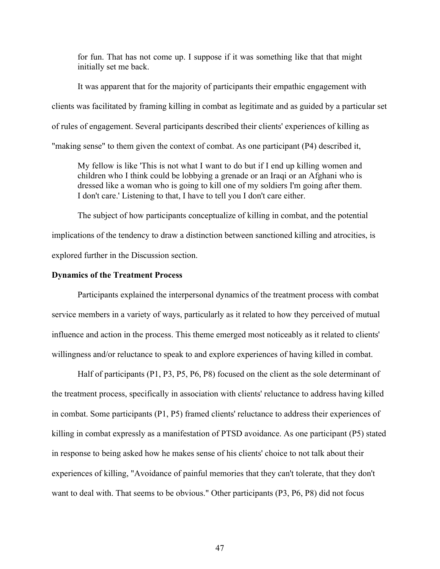for fun. That has not come up. I suppose if it was something like that that might initially set me back.

It was apparent that for the majority of participants their empathic engagement with clients was facilitated by framing killing in combat as legitimate and as guided by a particular set of rules of engagement. Several participants described their clients' experiences of killing as "making sense" to them given the context of combat. As one participant (P4) described it,

My fellow is like 'This is not what I want to do but if I end up killing women and children who I think could be lobbying a grenade or an Iraqi or an Afghani who is dressed like a woman who is going to kill one of my soldiers I'm going after them. I don't care.' Listening to that, I have to tell you I don't care either.

The subject of how participants conceptualize of killing in combat, and the potential implications of the tendency to draw a distinction between sanctioned killing and atrocities, is explored further in the Discussion section.

### **Dynamics of the Treatment Process**

Participants explained the interpersonal dynamics of the treatment process with combat service members in a variety of ways, particularly as it related to how they perceived of mutual influence and action in the process. This theme emerged most noticeably as it related to clients' willingness and/or reluctance to speak to and explore experiences of having killed in combat.

Half of participants (P1, P3, P5, P6, P8) focused on the client as the sole determinant of the treatment process, specifically in association with clients' reluctance to address having killed in combat. Some participants (P1, P5) framed clients' reluctance to address their experiences of killing in combat expressly as a manifestation of PTSD avoidance. As one participant (P5) stated in response to being asked how he makes sense of his clients' choice to not talk about their experiences of killing, "Avoidance of painful memories that they can't tolerate, that they don't want to deal with. That seems to be obvious." Other participants (P3, P6, P8) did not focus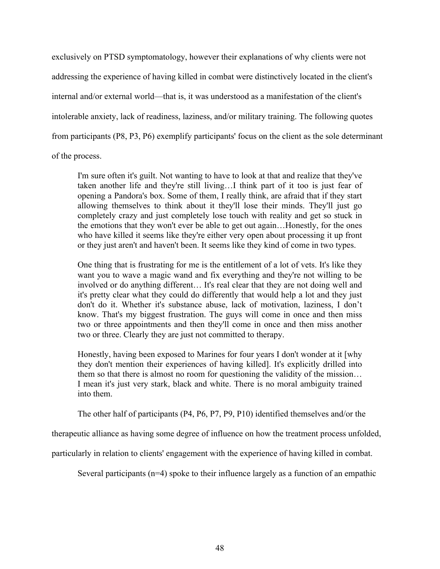exclusively on PTSD symptomatology, however their explanations of why clients were not addressing the experience of having killed in combat were distinctively located in the client's internal and/or external world—that is, it was understood as a manifestation of the client's intolerable anxiety, lack of readiness, laziness, and/or military training. The following quotes from participants (P8, P3, P6) exemplify participants' focus on the client as the sole determinant of the process.

I'm sure often it's guilt. Not wanting to have to look at that and realize that they've taken another life and they're still living…I think part of it too is just fear of opening a Pandora's box. Some of them, I really think, are afraid that if they start allowing themselves to think about it they'll lose their minds. They'll just go completely crazy and just completely lose touch with reality and get so stuck in the emotions that they won't ever be able to get out again…Honestly, for the ones who have killed it seems like they're either very open about processing it up front or they just aren't and haven't been. It seems like they kind of come in two types.

One thing that is frustrating for me is the entitlement of a lot of vets. It's like they want you to wave a magic wand and fix everything and they're not willing to be involved or do anything different… It's real clear that they are not doing well and it's pretty clear what they could do differently that would help a lot and they just don't do it. Whether it's substance abuse, lack of motivation, laziness, I don't know. That's my biggest frustration. The guys will come in once and then miss two or three appointments and then they'll come in once and then miss another two or three. Clearly they are just not committed to therapy.

Honestly, having been exposed to Marines for four years I don't wonder at it [why they don't mention their experiences of having killed]. It's explicitly drilled into them so that there is almost no room for questioning the validity of the mission… I mean it's just very stark, black and white. There is no moral ambiguity trained into them.

The other half of participants (P4, P6, P7, P9, P10) identified themselves and/or the

therapeutic alliance as having some degree of influence on how the treatment process unfolded,

particularly in relation to clients' engagement with the experience of having killed in combat.

Several participants (n=4) spoke to their influence largely as a function of an empathic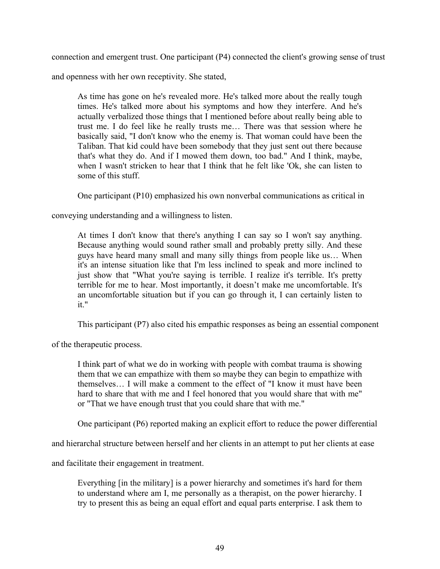connection and emergent trust. One participant (P4) connected the client's growing sense of trust

and openness with her own receptivity. She stated,

As time has gone on he's revealed more. He's talked more about the really tough times. He's talked more about his symptoms and how they interfere. And he's actually verbalized those things that I mentioned before about really being able to trust me. I do feel like he really trusts me… There was that session where he basically said, "I don't know who the enemy is. That woman could have been the Taliban. That kid could have been somebody that they just sent out there because that's what they do. And if I mowed them down, too bad." And I think, maybe, when I wasn't stricken to hear that I think that he felt like 'Ok, she can listen to some of this stuff.

One participant (P10) emphasized his own nonverbal communications as critical in

conveying understanding and a willingness to listen.

At times I don't know that there's anything I can say so I won't say anything. Because anything would sound rather small and probably pretty silly. And these guys have heard many small and many silly things from people like us… When it's an intense situation like that I'm less inclined to speak and more inclined to just show that "What you're saying is terrible. I realize it's terrible. It's pretty terrible for me to hear. Most importantly, it doesn't make me uncomfortable. It's an uncomfortable situation but if you can go through it, I can certainly listen to it."

This participant (P7) also cited his empathic responses as being an essential component

of the therapeutic process.

I think part of what we do in working with people with combat trauma is showing them that we can empathize with them so maybe they can begin to empathize with themselves… I will make a comment to the effect of "I know it must have been hard to share that with me and I feel honored that you would share that with me" or "That we have enough trust that you could share that with me."

One participant (P6) reported making an explicit effort to reduce the power differential

and hierarchal structure between herself and her clients in an attempt to put her clients at ease

and facilitate their engagement in treatment.

Everything [in the military] is a power hierarchy and sometimes it's hard for them to understand where am I, me personally as a therapist, on the power hierarchy. I try to present this as being an equal effort and equal parts enterprise. I ask them to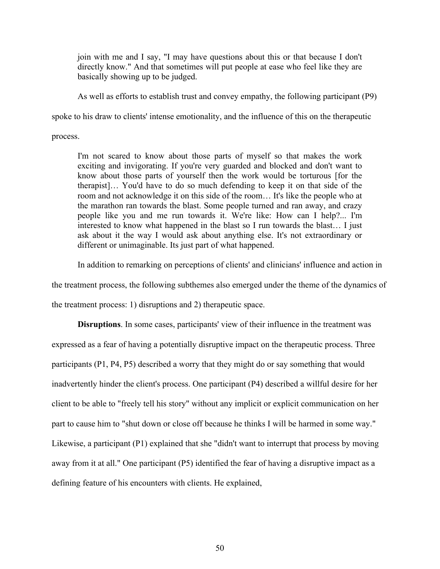join with me and I say, "I may have questions about this or that because I don't directly know." And that sometimes will put people at ease who feel like they are basically showing up to be judged.

As well as efforts to establish trust and convey empathy, the following participant (P9)

spoke to his draw to clients' intense emotionality, and the influence of this on the therapeutic

process.

I'm not scared to know about those parts of myself so that makes the work exciting and invigorating. If you're very guarded and blocked and don't want to know about those parts of yourself then the work would be torturous [for the therapist]… You'd have to do so much defending to keep it on that side of the room and not acknowledge it on this side of the room… It's like the people who at the marathon ran towards the blast. Some people turned and ran away, and crazy people like you and me run towards it. We're like: How can I help?... I'm interested to know what happened in the blast so I run towards the blast… I just ask about it the way I would ask about anything else. It's not extraordinary or different or unimaginable. Its just part of what happened.

In addition to remarking on perceptions of clients' and clinicians' influence and action in

the treatment process, the following subthemes also emerged under the theme of the dynamics of

the treatment process: 1) disruptions and 2) therapeutic space.

**Disruptions**. In some cases, participants' view of their influence in the treatment was expressed as a fear of having a potentially disruptive impact on the therapeutic process. Three participants (P1, P4, P5) described a worry that they might do or say something that would inadvertently hinder the client's process. One participant (P4) described a willful desire for her client to be able to "freely tell his story" without any implicit or explicit communication on her part to cause him to "shut down or close off because he thinks I will be harmed in some way." Likewise, a participant (P1) explained that she "didn't want to interrupt that process by moving away from it at all." One participant (P5) identified the fear of having a disruptive impact as a defining feature of his encounters with clients. He explained,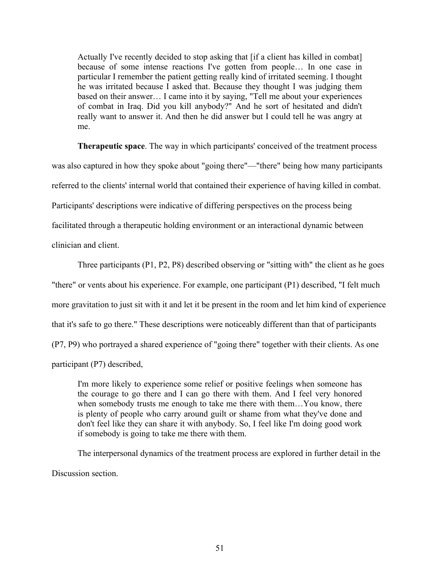Actually I've recently decided to stop asking that [if a client has killed in combat] because of some intense reactions I've gotten from people… In one case in particular I remember the patient getting really kind of irritated seeming. I thought he was irritated because I asked that. Because they thought I was judging them based on their answer… I came into it by saying, "Tell me about your experiences of combat in Iraq. Did you kill anybody?" And he sort of hesitated and didn't really want to answer it. And then he did answer but I could tell he was angry at me.

**Therapeutic space**. The way in which participants' conceived of the treatment process was also captured in how they spoke about "going there"—"there" being how many participants referred to the clients' internal world that contained their experience of having killed in combat. Participants' descriptions were indicative of differing perspectives on the process being facilitated through a therapeutic holding environment or an interactional dynamic between clinician and client.

Three participants (P1, P2, P8) described observing or "sitting with" the client as he goes "there" or vents about his experience. For example, one participant (P1) described, "I felt much more gravitation to just sit with it and let it be present in the room and let him kind of experience that it's safe to go there." These descriptions were noticeably different than that of participants (P7, P9) who portrayed a shared experience of "going there" together with their clients. As one participant (P7) described,

I'm more likely to experience some relief or positive feelings when someone has the courage to go there and I can go there with them. And I feel very honored when somebody trusts me enough to take me there with them...You know, there is plenty of people who carry around guilt or shame from what they've done and don't feel like they can share it with anybody. So, I feel like I'm doing good work if somebody is going to take me there with them.

The interpersonal dynamics of the treatment process are explored in further detail in the Discussion section.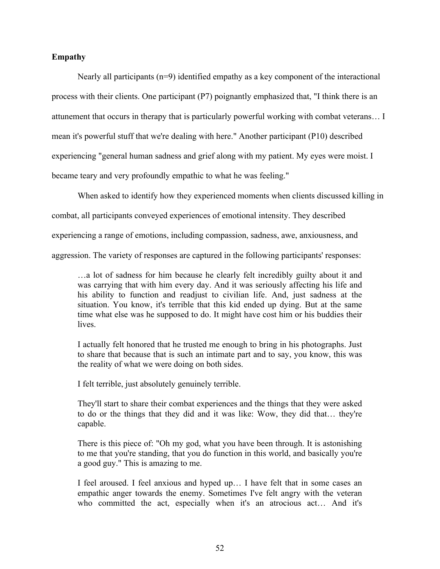# **Empathy**

Nearly all participants (n=9) identified empathy as a key component of the interactional process with their clients. One participant (P7) poignantly emphasized that, "I think there is an attunement that occurs in therapy that is particularly powerful working with combat veterans… I mean it's powerful stuff that we're dealing with here." Another participant (P10) described experiencing "general human sadness and grief along with my patient. My eyes were moist. I became teary and very profoundly empathic to what he was feeling."

When asked to identify how they experienced moments when clients discussed killing in

combat, all participants conveyed experiences of emotional intensity. They described

experiencing a range of emotions, including compassion, sadness, awe, anxiousness, and

aggression. The variety of responses are captured in the following participants' responses:

…a lot of sadness for him because he clearly felt incredibly guilty about it and was carrying that with him every day. And it was seriously affecting his life and his ability to function and readjust to civilian life. And, just sadness at the situation. You know, it's terrible that this kid ended up dying. But at the same time what else was he supposed to do. It might have cost him or his buddies their lives.

I actually felt honored that he trusted me enough to bring in his photographs. Just to share that because that is such an intimate part and to say, you know, this was the reality of what we were doing on both sides.

I felt terrible, just absolutely genuinely terrible.

They'll start to share their combat experiences and the things that they were asked to do or the things that they did and it was like: Wow, they did that… they're capable.

There is this piece of: "Oh my god, what you have been through. It is astonishing to me that you're standing, that you do function in this world, and basically you're a good guy." This is amazing to me.

I feel aroused. I feel anxious and hyped up… I have felt that in some cases an empathic anger towards the enemy. Sometimes I've felt angry with the veteran who committed the act, especially when it's an atrocious act… And it's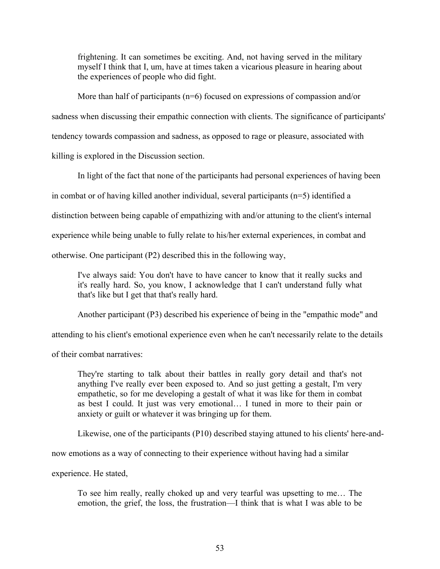frightening. It can sometimes be exciting. And, not having served in the military myself I think that I, um, have at times taken a vicarious pleasure in hearing about the experiences of people who did fight.

More than half of participants (n=6) focused on expressions of compassion and/or

sadness when discussing their empathic connection with clients. The significance of participants'

tendency towards compassion and sadness, as opposed to rage or pleasure, associated with

killing is explored in the Discussion section.

In light of the fact that none of the participants had personal experiences of having been

in combat or of having killed another individual, several participants (n=5) identified a

distinction between being capable of empathizing with and/or attuning to the client's internal

experience while being unable to fully relate to his/her external experiences, in combat and

otherwise. One participant (P2) described this in the following way,

I've always said: You don't have to have cancer to know that it really sucks and it's really hard. So, you know, I acknowledge that I can't understand fully what that's like but I get that that's really hard.

Another participant (P3) described his experience of being in the "empathic mode" and

attending to his client's emotional experience even when he can't necessarily relate to the details

of their combat narratives:

They're starting to talk about their battles in really gory detail and that's not anything I've really ever been exposed to. And so just getting a gestalt, I'm very empathetic, so for me developing a gestalt of what it was like for them in combat as best I could. It just was very emotional… I tuned in more to their pain or anxiety or guilt or whatever it was bringing up for them.

Likewise, one of the participants (P10) described staying attuned to his clients' here-and-

now emotions as a way of connecting to their experience without having had a similar

experience. He stated,

To see him really, really choked up and very tearful was upsetting to me… The emotion, the grief, the loss, the frustration—I think that is what I was able to be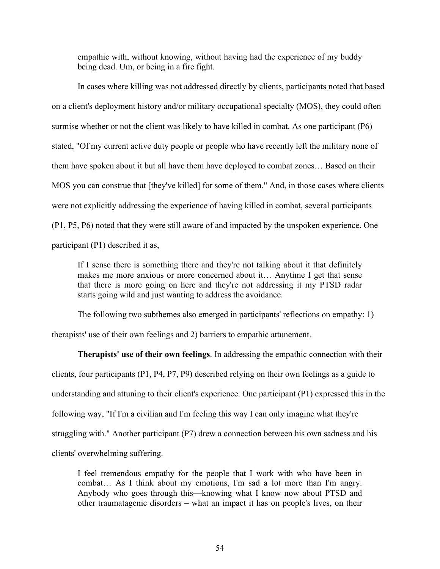empathic with, without knowing, without having had the experience of my buddy being dead. Um, or being in a fire fight.

In cases where killing was not addressed directly by clients, participants noted that based on a client's deployment history and/or military occupational specialty (MOS), they could often surmise whether or not the client was likely to have killed in combat. As one participant (P6) stated, "Of my current active duty people or people who have recently left the military none of them have spoken about it but all have them have deployed to combat zones… Based on their MOS you can construe that [they've killed] for some of them." And, in those cases where clients were not explicitly addressing the experience of having killed in combat, several participants (P1, P5, P6) noted that they were still aware of and impacted by the unspoken experience. One participant (P1) described it as,

If I sense there is something there and they're not talking about it that definitely makes me more anxious or more concerned about it… Anytime I get that sense that there is more going on here and they're not addressing it my PTSD radar starts going wild and just wanting to address the avoidance.

The following two subthemes also emerged in participants' reflections on empathy: 1) therapists' use of their own feelings and 2) barriers to empathic attunement.

**Therapists' use of their own feelings**. In addressing the empathic connection with their clients, four participants (P1, P4, P7, P9) described relying on their own feelings as a guide to understanding and attuning to their client's experience. One participant (P1) expressed this in the following way, "If I'm a civilian and I'm feeling this way I can only imagine what they're struggling with." Another participant (P7) drew a connection between his own sadness and his clients' overwhelming suffering.

I feel tremendous empathy for the people that I work with who have been in combat… As I think about my emotions, I'm sad a lot more than I'm angry. Anybody who goes through this—knowing what I know now about PTSD and other traumatagenic disorders – what an impact it has on people's lives, on their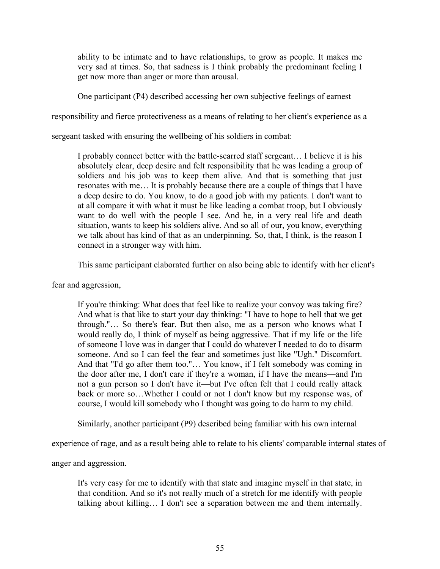ability to be intimate and to have relationships, to grow as people. It makes me very sad at times. So, that sadness is I think probably the predominant feeling I get now more than anger or more than arousal.

One participant (P4) described accessing her own subjective feelings of earnest

responsibility and fierce protectiveness as a means of relating to her client's experience as a

sergeant tasked with ensuring the wellbeing of his soldiers in combat:

I probably connect better with the battle-scarred staff sergeant… I believe it is his absolutely clear, deep desire and felt responsibility that he was leading a group of soldiers and his job was to keep them alive. And that is something that just resonates with me… It is probably because there are a couple of things that I have a deep desire to do. You know, to do a good job with my patients. I don't want to at all compare it with what it must be like leading a combat troop, but I obviously want to do well with the people I see. And he, in a very real life and death situation, wants to keep his soldiers alive. And so all of our, you know, everything we talk about has kind of that as an underpinning. So, that, I think, is the reason I connect in a stronger way with him.

This same participant elaborated further on also being able to identify with her client's

fear and aggression,

If you're thinking: What does that feel like to realize your convoy was taking fire? And what is that like to start your day thinking: "I have to hope to hell that we get through."… So there's fear. But then also, me as a person who knows what I would really do, I think of myself as being aggressive. That if my life or the life of someone I love was in danger that I could do whatever I needed to do to disarm someone. And so I can feel the fear and sometimes just like "Ugh." Discomfort. And that "I'd go after them too."… You know, if I felt somebody was coming in the door after me, I don't care if they're a woman, if I have the means—and I'm not a gun person so I don't have it—but I've often felt that I could really attack back or more so…Whether I could or not I don't know but my response was, of course, I would kill somebody who I thought was going to do harm to my child.

Similarly, another participant (P9) described being familiar with his own internal

experience of rage, and as a result being able to relate to his clients' comparable internal states of

anger and aggression.

It's very easy for me to identify with that state and imagine myself in that state, in that condition. And so it's not really much of a stretch for me identify with people talking about killing… I don't see a separation between me and them internally.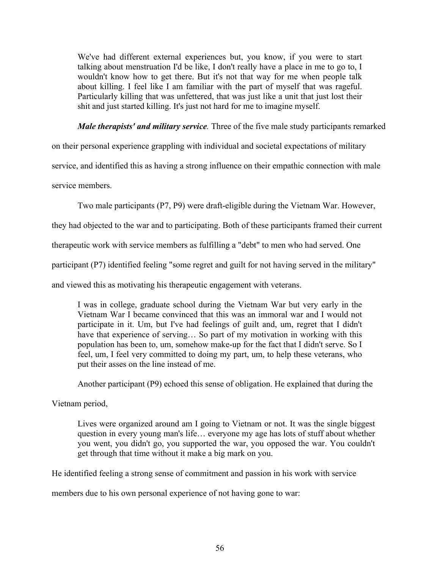We've had different external experiences but, you know, if you were to start talking about menstruation I'd be like, I don't really have a place in me to go to, I wouldn't know how to get there. But it's not that way for me when people talk about killing. I feel like I am familiar with the part of myself that was rageful. Particularly killing that was unfettered, that was just like a unit that just lost their shit and just started killing. It's just not hard for me to imagine myself.

*Male therapists' and military service.* Three of the five male study participants remarked

on their personal experience grappling with individual and societal expectations of military

service, and identified this as having a strong influence on their empathic connection with male

service members.

Two male participants (P7, P9) were draft-eligible during the Vietnam War. However,

they had objected to the war and to participating. Both of these participants framed their current

therapeutic work with service members as fulfilling a "debt" to men who had served. One

participant (P7) identified feeling "some regret and guilt for not having served in the military"

and viewed this as motivating his therapeutic engagement with veterans.

I was in college, graduate school during the Vietnam War but very early in the Vietnam War I became convinced that this was an immoral war and I would not participate in it. Um, but I've had feelings of guilt and, um, regret that I didn't have that experience of serving... So part of my motivation in working with this population has been to, um, somehow make-up for the fact that I didn't serve. So I feel, um, I feel very committed to doing my part, um, to help these veterans, who put their asses on the line instead of me.

Another participant (P9) echoed this sense of obligation. He explained that during the

Vietnam period,

Lives were organized around am I going to Vietnam or not. It was the single biggest question in every young man's life… everyone my age has lots of stuff about whether you went, you didn't go, you supported the war, you opposed the war. You couldn't get through that time without it make a big mark on you.

He identified feeling a strong sense of commitment and passion in his work with service

members due to his own personal experience of not having gone to war: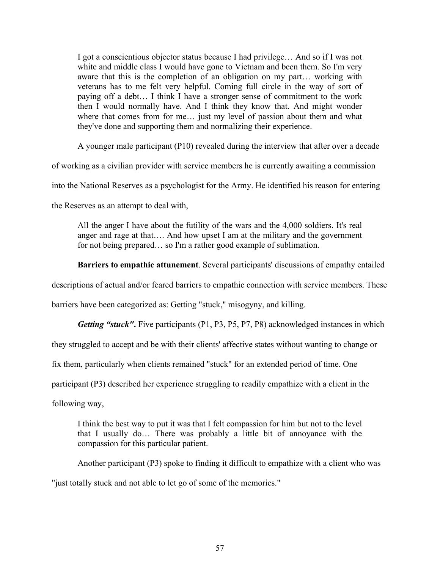I got a conscientious objector status because I had privilege… And so if I was not white and middle class I would have gone to Vietnam and been them. So I'm very aware that this is the completion of an obligation on my part… working with veterans has to me felt very helpful. Coming full circle in the way of sort of paying off a debt… I think I have a stronger sense of commitment to the work then I would normally have. And I think they know that. And might wonder where that comes from for me… just my level of passion about them and what they've done and supporting them and normalizing their experience.

A younger male participant (P10) revealed during the interview that after over a decade

of working as a civilian provider with service members he is currently awaiting a commission

into the National Reserves as a psychologist for the Army. He identified his reason for entering

the Reserves as an attempt to deal with,

All the anger I have about the futility of the wars and the 4,000 soldiers. It's real anger and rage at that…. And how upset I am at the military and the government for not being prepared… so I'm a rather good example of sublimation.

**Barriers to empathic attunement**. Several participants' discussions of empathy entailed

descriptions of actual and/or feared barriers to empathic connection with service members. These

barriers have been categorized as: Getting "stuck," misogyny, and killing.

*Getting "stuck"***.** Five participants (P1, P3, P5, P7, P8) acknowledged instances in which

they struggled to accept and be with their clients' affective states without wanting to change or

fix them, particularly when clients remained "stuck" for an extended period of time. One

participant (P3) described her experience struggling to readily empathize with a client in the

following way,

I think the best way to put it was that I felt compassion for him but not to the level that I usually do… There was probably a little bit of annoyance with the compassion for this particular patient.

Another participant (P3) spoke to finding it difficult to empathize with a client who was

"just totally stuck and not able to let go of some of the memories."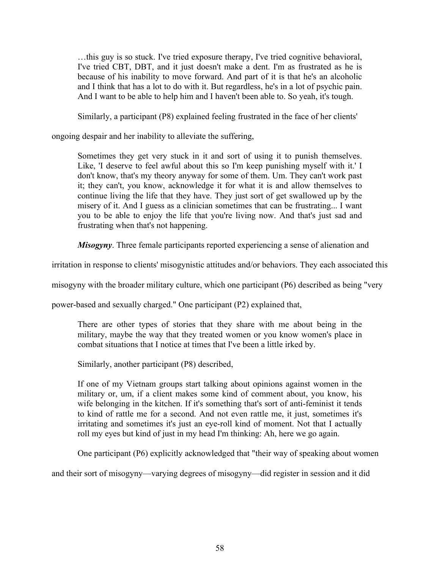…this guy is so stuck. I've tried exposure therapy, I've tried cognitive behavioral, I've tried CBT, DBT, and it just doesn't make a dent. I'm as frustrated as he is because of his inability to move forward. And part of it is that he's an alcoholic and I think that has a lot to do with it. But regardless, he's in a lot of psychic pain. And I want to be able to help him and I haven't been able to. So yeah, it's tough.

Similarly, a participant (P8) explained feeling frustrated in the face of her clients'

ongoing despair and her inability to alleviate the suffering,

Sometimes they get very stuck in it and sort of using it to punish themselves. Like, 'I deserve to feel awful about this so I'm keep punishing myself with it.' I don't know, that's my theory anyway for some of them. Um. They can't work past it; they can't, you know, acknowledge it for what it is and allow themselves to continue living the life that they have. They just sort of get swallowed up by the misery of it. And I guess as a clinician sometimes that can be frustrating... I want you to be able to enjoy the life that you're living now. And that's just sad and frustrating when that's not happening.

*Misogyny*. Three female participants reported experiencing a sense of alienation and

irritation in response to clients' misogynistic attitudes and/or behaviors. They each associated this

misogyny with the broader military culture, which one participant (P6) described as being "very

power-based and sexually charged." One participant (P2) explained that,

There are other types of stories that they share with me about being in the military, maybe the way that they treated women or you know women's place in combat situations that I notice at times that I've been a little irked by.

Similarly, another participant (P8) described,

If one of my Vietnam groups start talking about opinions against women in the military or, um, if a client makes some kind of comment about, you know, his wife belonging in the kitchen. If it's something that's sort of anti-feminist it tends to kind of rattle me for a second. And not even rattle me, it just, sometimes it's irritating and sometimes it's just an eye-roll kind of moment. Not that I actually roll my eyes but kind of just in my head I'm thinking: Ah, here we go again.

One participant (P6) explicitly acknowledged that "their way of speaking about women

and their sort of misogyny—varying degrees of misogyny—did register in session and it did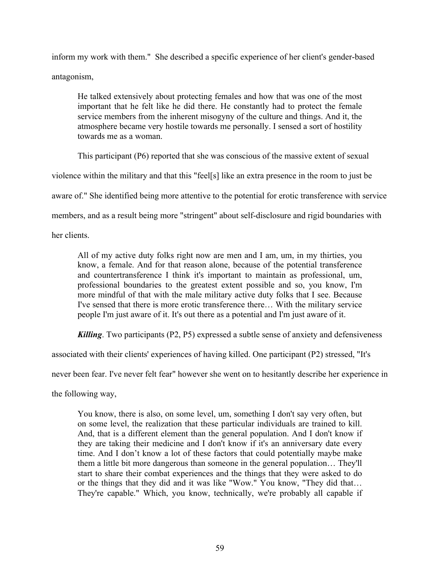inform my work with them." She described a specific experience of her client's gender-based antagonism,

He talked extensively about protecting females and how that was one of the most important that he felt like he did there. He constantly had to protect the female service members from the inherent misogyny of the culture and things. And it, the atmosphere became very hostile towards me personally. I sensed a sort of hostility towards me as a woman.

This participant (P6) reported that she was conscious of the massive extent of sexual

violence within the military and that this "feel[s] like an extra presence in the room to just be

aware of." She identified being more attentive to the potential for erotic transference with service

members, and as a result being more "stringent" about self-disclosure and rigid boundaries with

her clients.

All of my active duty folks right now are men and I am, um, in my thirties, you know, a female. And for that reason alone, because of the potential transference and countertransference I think it's important to maintain as professional, um, professional boundaries to the greatest extent possible and so, you know, I'm more mindful of that with the male military active duty folks that I see. Because I've sensed that there is more erotic transference there… With the military service people I'm just aware of it. It's out there as a potential and I'm just aware of it.

*Killing*. Two participants (P2, P5) expressed a subtle sense of anxiety and defensiveness

associated with their clients' experiences of having killed. One participant (P2) stressed, "It's

never been fear. I've never felt fear" however she went on to hesitantly describe her experience in

the following way,

You know, there is also, on some level, um, something I don't say very often, but on some level, the realization that these particular individuals are trained to kill. And, that is a different element than the general population. And I don't know if they are taking their medicine and I don't know if it's an anniversary date every time. And I don't know a lot of these factors that could potentially maybe make them a little bit more dangerous than someone in the general population… They'll start to share their combat experiences and the things that they were asked to do or the things that they did and it was like "Wow." You know, "They did that… They're capable." Which, you know, technically, we're probably all capable if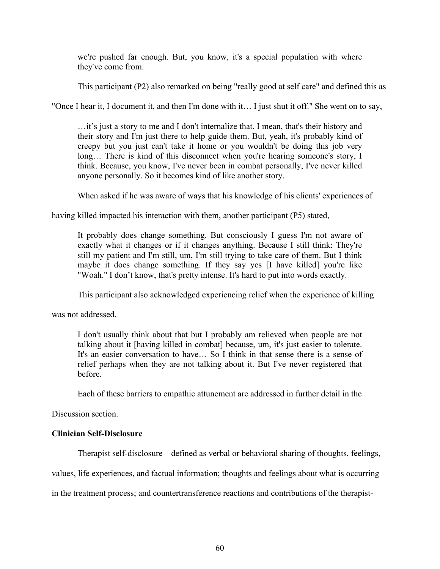we're pushed far enough. But, you know, it's a special population with where they've come from.

This participant (P2) also remarked on being "really good at self care" and defined this as

"Once I hear it, I document it, and then I'm done with it… I just shut it off." She went on to say,

…it's just a story to me and I don't internalize that. I mean, that's their history and their story and I'm just there to help guide them. But, yeah, it's probably kind of creepy but you just can't take it home or you wouldn't be doing this job very long... There is kind of this disconnect when you're hearing someone's story, I think. Because, you know, I've never been in combat personally, I've never killed anyone personally. So it becomes kind of like another story.

When asked if he was aware of ways that his knowledge of his clients' experiences of

having killed impacted his interaction with them, another participant (P5) stated,

It probably does change something. But consciously I guess I'm not aware of exactly what it changes or if it changes anything. Because I still think: They're still my patient and I'm still, um, I'm still trying to take care of them. But I think maybe it does change something. If they say yes [I have killed] you're like "Woah." I don't know, that's pretty intense. It's hard to put into words exactly.

This participant also acknowledged experiencing relief when the experience of killing

was not addressed,

I don't usually think about that but I probably am relieved when people are not talking about it [having killed in combat] because, um, it's just easier to tolerate. It's an easier conversation to have… So I think in that sense there is a sense of relief perhaps when they are not talking about it. But I've never registered that before.

Each of these barriers to empathic attunement are addressed in further detail in the

Discussion section.

# **Clinician Self-Disclosure**

Therapist self-disclosure—defined as verbal or behavioral sharing of thoughts, feelings,

values, life experiences, and factual information; thoughts and feelings about what is occurring

in the treatment process; and countertransference reactions and contributions of the therapist-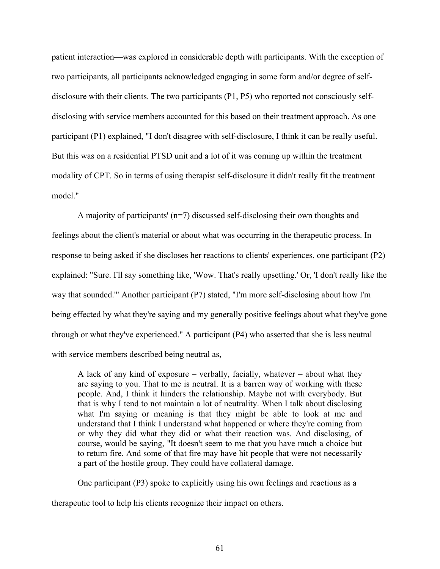patient interaction—was explored in considerable depth with participants. With the exception of two participants, all participants acknowledged engaging in some form and/or degree of selfdisclosure with their clients. The two participants (P1, P5) who reported not consciously selfdisclosing with service members accounted for this based on their treatment approach. As one participant (P1) explained, "I don't disagree with self-disclosure, I think it can be really useful. But this was on a residential PTSD unit and a lot of it was coming up within the treatment modality of CPT. So in terms of using therapist self-disclosure it didn't really fit the treatment model."

A majority of participants' (n=7) discussed self-disclosing their own thoughts and feelings about the client's material or about what was occurring in the therapeutic process. In response to being asked if she discloses her reactions to clients' experiences, one participant (P2) explained: "Sure. I'll say something like, 'Wow. That's really upsetting.' Or, 'I don't really like the way that sounded.'" Another participant (P7) stated, "I'm more self-disclosing about how I'm being effected by what they're saying and my generally positive feelings about what they've gone through or what they've experienced." A participant (P4) who asserted that she is less neutral with service members described being neutral as,

A lack of any kind of exposure – verbally, facially, whatever – about what they are saying to you. That to me is neutral. It is a barren way of working with these people. And, I think it hinders the relationship. Maybe not with everybody. But that is why I tend to not maintain a lot of neutrality. When I talk about disclosing what I'm saying or meaning is that they might be able to look at me and understand that I think I understand what happened or where they're coming from or why they did what they did or what their reaction was. And disclosing, of course, would be saying, "It doesn't seem to me that you have much a choice but to return fire. And some of that fire may have hit people that were not necessarily a part of the hostile group. They could have collateral damage.

One participant (P3) spoke to explicitly using his own feelings and reactions as a

therapeutic tool to help his clients recognize their impact on others.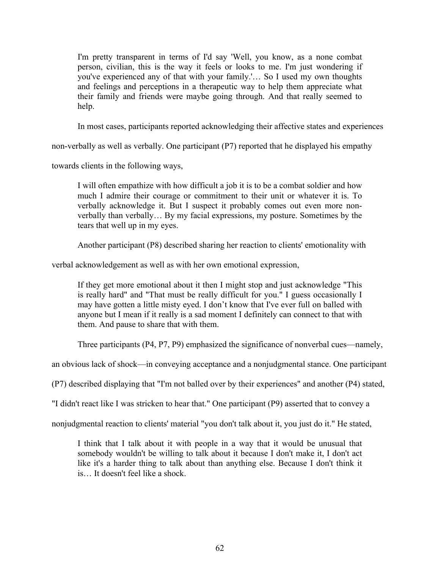I'm pretty transparent in terms of I'd say 'Well, you know, as a none combat person, civilian, this is the way it feels or looks to me. I'm just wondering if you've experienced any of that with your family.'… So I used my own thoughts and feelings and perceptions in a therapeutic way to help them appreciate what their family and friends were maybe going through. And that really seemed to help.

In most cases, participants reported acknowledging their affective states and experiences

non-verbally as well as verbally. One participant (P7) reported that he displayed his empathy

towards clients in the following ways,

I will often empathize with how difficult a job it is to be a combat soldier and how much I admire their courage or commitment to their unit or whatever it is. To verbally acknowledge it. But I suspect it probably comes out even more nonverbally than verbally… By my facial expressions, my posture. Sometimes by the tears that well up in my eyes.

Another participant (P8) described sharing her reaction to clients' emotionality with

verbal acknowledgement as well as with her own emotional expression,

If they get more emotional about it then I might stop and just acknowledge "This is really hard" and "That must be really difficult for you." I guess occasionally I may have gotten a little misty eyed. I don't know that I've ever full on balled with anyone but I mean if it really is a sad moment I definitely can connect to that with them. And pause to share that with them.

Three participants (P4, P7, P9) emphasized the significance of nonverbal cues—namely,

an obvious lack of shock—in conveying acceptance and a nonjudgmental stance. One participant

(P7) described displaying that "I'm not balled over by their experiences" and another (P4) stated,

"I didn't react like I was stricken to hear that." One participant (P9) asserted that to convey a

nonjudgmental reaction to clients' material "you don't talk about it, you just do it." He stated,

I think that I talk about it with people in a way that it would be unusual that somebody wouldn't be willing to talk about it because I don't make it, I don't act like it's a harder thing to talk about than anything else. Because I don't think it is… It doesn't feel like a shock.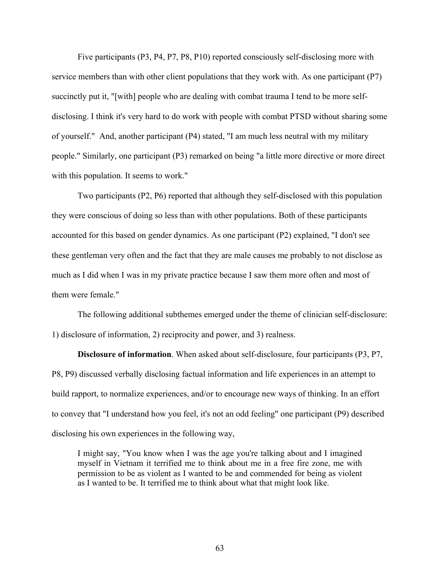Five participants (P3, P4, P7, P8, P10) reported consciously self-disclosing more with service members than with other client populations that they work with. As one participant (P7) succinctly put it, "[with] people who are dealing with combat trauma I tend to be more selfdisclosing. I think it's very hard to do work with people with combat PTSD without sharing some of yourself." And, another participant (P4) stated, "I am much less neutral with my military people." Similarly, one participant (P3) remarked on being "a little more directive or more direct with this population. It seems to work."

Two participants (P2, P6) reported that although they self-disclosed with this population they were conscious of doing so less than with other populations. Both of these participants accounted for this based on gender dynamics. As one participant (P2) explained, "I don't see these gentleman very often and the fact that they are male causes me probably to not disclose as much as I did when I was in my private practice because I saw them more often and most of them were female."

The following additional subthemes emerged under the theme of clinician self-disclosure: 1) disclosure of information, 2) reciprocity and power, and 3) realness.

**Disclosure of information**. When asked about self-disclosure, four participants (P3, P7, P8, P9) discussed verbally disclosing factual information and life experiences in an attempt to build rapport, to normalize experiences, and/or to encourage new ways of thinking. In an effort to convey that "I understand how you feel, it's not an odd feeling" one participant (P9) described disclosing his own experiences in the following way,

I might say, "You know when I was the age you're talking about and I imagined myself in Vietnam it terrified me to think about me in a free fire zone, me with permission to be as violent as I wanted to be and commended for being as violent as I wanted to be. It terrified me to think about what that might look like.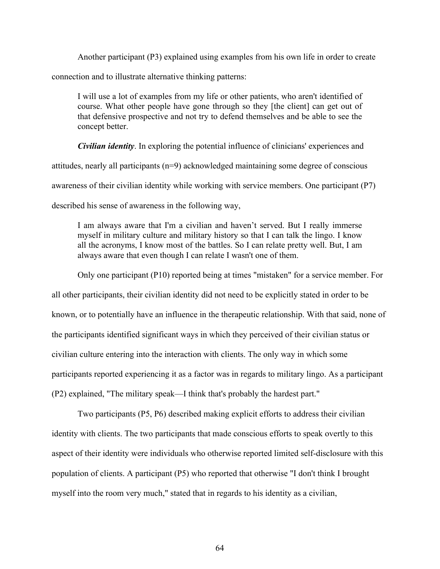Another participant (P3) explained using examples from his own life in order to create connection and to illustrate alternative thinking patterns:

I will use a lot of examples from my life or other patients, who aren't identified of course. What other people have gone through so they [the client] can get out of that defensive prospective and not try to defend themselves and be able to see the concept better.

*Civilian identity*. In exploring the potential influence of clinicians' experiences and attitudes, nearly all participants (n=9) acknowledged maintaining some degree of conscious awareness of their civilian identity while working with service members. One participant (P7) described his sense of awareness in the following way,

I am always aware that I'm a civilian and haven't served. But I really immerse myself in military culture and military history so that I can talk the lingo. I know all the acronyms, I know most of the battles. So I can relate pretty well. But, I am always aware that even though I can relate I wasn't one of them.

Only one participant (P10) reported being at times "mistaken" for a service member. For

all other participants, their civilian identity did not need to be explicitly stated in order to be known, or to potentially have an influence in the therapeutic relationship. With that said, none of the participants identified significant ways in which they perceived of their civilian status or civilian culture entering into the interaction with clients. The only way in which some participants reported experiencing it as a factor was in regards to military lingo. As a participant (P2) explained, "The military speak—I think that's probably the hardest part."

Two participants (P5, P6) described making explicit efforts to address their civilian identity with clients. The two participants that made conscious efforts to speak overtly to this aspect of their identity were individuals who otherwise reported limited self-disclosure with this population of clients. A participant (P5) who reported that otherwise "I don't think I brought myself into the room very much," stated that in regards to his identity as a civilian,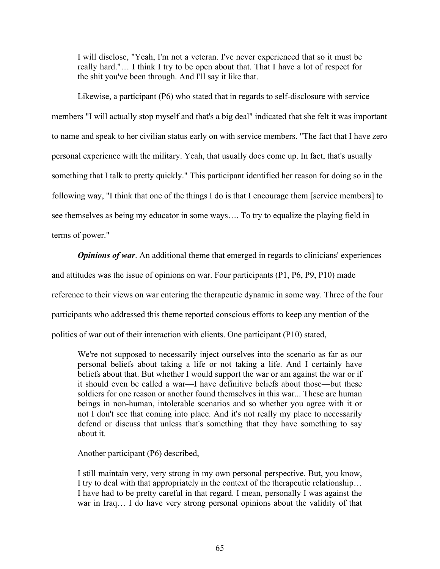I will disclose, "Yeah, I'm not a veteran. I've never experienced that so it must be really hard."… I think I try to be open about that. That I have a lot of respect for the shit you've been through. And I'll say it like that.

Likewise, a participant (P6) who stated that in regards to self-disclosure with service members "I will actually stop myself and that's a big deal" indicated that she felt it was important to name and speak to her civilian status early on with service members. "The fact that I have zero personal experience with the military. Yeah, that usually does come up. In fact, that's usually something that I talk to pretty quickly." This participant identified her reason for doing so in the following way, "I think that one of the things I do is that I encourage them [service members] to see themselves as being my educator in some ways…. To try to equalize the playing field in terms of power."

*Opinions of war.* An additional theme that emerged in regards to clinicians' experiences and attitudes was the issue of opinions on war. Four participants (P1, P6, P9, P10) made reference to their views on war entering the therapeutic dynamic in some way. Three of the four participants who addressed this theme reported conscious efforts to keep any mention of the politics of war out of their interaction with clients. One participant (P10) stated,

We're not supposed to necessarily inject ourselves into the scenario as far as our personal beliefs about taking a life or not taking a life. And I certainly have beliefs about that. But whether I would support the war or am against the war or if it should even be called a war—I have definitive beliefs about those—but these soldiers for one reason or another found themselves in this war... These are human beings in non-human, intolerable scenarios and so whether you agree with it or not I don't see that coming into place. And it's not really my place to necessarily defend or discuss that unless that's something that they have something to say about it.

Another participant (P6) described,

I still maintain very, very strong in my own personal perspective. But, you know, I try to deal with that appropriately in the context of the therapeutic relationship… I have had to be pretty careful in that regard. I mean, personally I was against the war in Iraq… I do have very strong personal opinions about the validity of that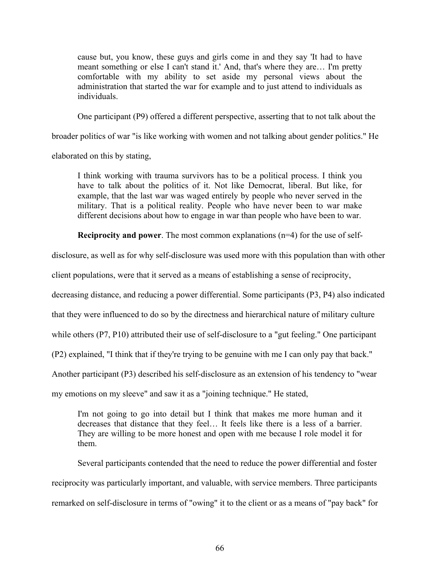cause but, you know, these guys and girls come in and they say 'It had to have meant something or else I can't stand it.' And, that's where they are… I'm pretty comfortable with my ability to set aside my personal views about the administration that started the war for example and to just attend to individuals as individuals.

One participant (P9) offered a different perspective, asserting that to not talk about the

broader politics of war "is like working with women and not talking about gender politics." He

elaborated on this by stating,

I think working with trauma survivors has to be a political process. I think you have to talk about the politics of it. Not like Democrat, liberal. But like, for example, that the last war was waged entirely by people who never served in the military. That is a political reality. People who have never been to war make different decisions about how to engage in war than people who have been to war.

**Reciprocity and power**. The most common explanations (n=4) for the use of self-

disclosure, as well as for why self-disclosure was used more with this population than with other

client populations, were that it served as a means of establishing a sense of reciprocity,

decreasing distance, and reducing a power differential. Some participants (P3, P4) also indicated

that they were influenced to do so by the directness and hierarchical nature of military culture

while others (P7, P10) attributed their use of self-disclosure to a "gut feeling." One participant

(P2) explained, "I think that if they're trying to be genuine with me I can only pay that back."

Another participant (P3) described his self-disclosure as an extension of his tendency to "wear

my emotions on my sleeve" and saw it as a "joining technique." He stated,

I'm not going to go into detail but I think that makes me more human and it decreases that distance that they feel… It feels like there is a less of a barrier. They are willing to be more honest and open with me because I role model it for them.

Several participants contended that the need to reduce the power differential and foster reciprocity was particularly important, and valuable, with service members. Three participants remarked on self-disclosure in terms of "owing" it to the client or as a means of "pay back" for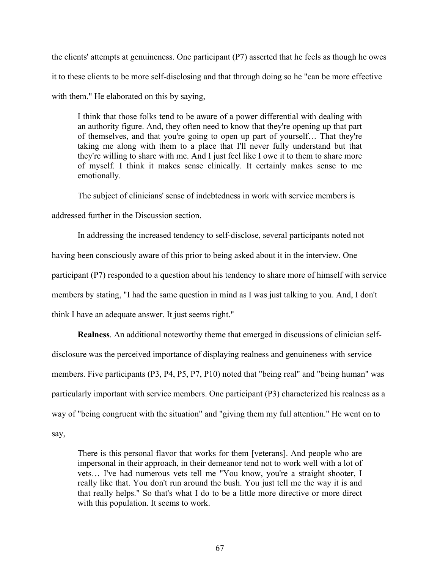the clients' attempts at genuineness. One participant (P7) asserted that he feels as though he owes it to these clients to be more self-disclosing and that through doing so he "can be more effective with them." He elaborated on this by saying,

I think that those folks tend to be aware of a power differential with dealing with an authority figure. And, they often need to know that they're opening up that part of themselves, and that you're going to open up part of yourself… That they're taking me along with them to a place that I'll never fully understand but that they're willing to share with me. And I just feel like I owe it to them to share more of myself. I think it makes sense clinically. It certainly makes sense to me emotionally.

The subject of clinicians' sense of indebtedness in work with service members is

addressed further in the Discussion section.

In addressing the increased tendency to self-disclose, several participants noted not having been consciously aware of this prior to being asked about it in the interview. One participant (P7) responded to a question about his tendency to share more of himself with service members by stating, "I had the same question in mind as I was just talking to you. And, I don't think I have an adequate answer. It just seems right."

**Realness**. An additional noteworthy theme that emerged in discussions of clinician selfdisclosure was the perceived importance of displaying realness and genuineness with service members. Five participants (P3, P4, P5, P7, P10) noted that "being real" and "being human" was particularly important with service members. One participant (P3) characterized his realness as a way of "being congruent with the situation" and "giving them my full attention." He went on to say,

There is this personal flavor that works for them [veterans]. And people who are impersonal in their approach, in their demeanor tend not to work well with a lot of vets… I've had numerous vets tell me "You know, you're a straight shooter, I really like that. You don't run around the bush. You just tell me the way it is and that really helps." So that's what I do to be a little more directive or more direct with this population. It seems to work.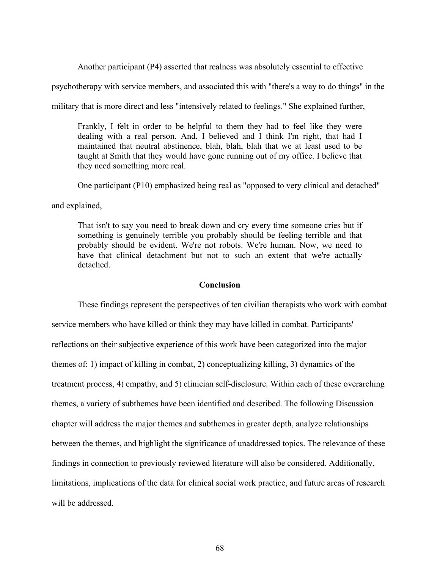Another participant (P4) asserted that realness was absolutely essential to effective

psychotherapy with service members, and associated this with "there's a way to do things" in the

military that is more direct and less "intensively related to feelings." She explained further,

Frankly, I felt in order to be helpful to them they had to feel like they were dealing with a real person. And, I believed and I think I'm right, that had I maintained that neutral abstinence, blah, blah, blah that we at least used to be taught at Smith that they would have gone running out of my office. I believe that they need something more real.

One participant (P10) emphasized being real as "opposed to very clinical and detached"

and explained,

That isn't to say you need to break down and cry every time someone cries but if something is genuinely terrible you probably should be feeling terrible and that probably should be evident. We're not robots. We're human. Now, we need to have that clinical detachment but not to such an extent that we're actually detached.

## **Conclusion**

These findings represent the perspectives of ten civilian therapists who work with combat service members who have killed or think they may have killed in combat. Participants' reflections on their subjective experience of this work have been categorized into the major themes of: 1) impact of killing in combat, 2) conceptualizing killing, 3) dynamics of the treatment process, 4) empathy, and 5) clinician self-disclosure. Within each of these overarching themes, a variety of subthemes have been identified and described. The following Discussion chapter will address the major themes and subthemes in greater depth, analyze relationships between the themes, and highlight the significance of unaddressed topics. The relevance of these findings in connection to previously reviewed literature will also be considered. Additionally, limitations, implications of the data for clinical social work practice, and future areas of research will be addressed.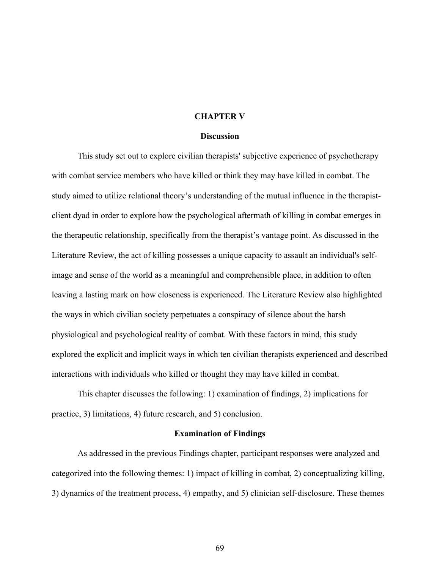## **CHAPTER V**

#### **Discussion**

This study set out to explore civilian therapists' subjective experience of psychotherapy with combat service members who have killed or think they may have killed in combat. The study aimed to utilize relational theory's understanding of the mutual influence in the therapistclient dyad in order to explore how the psychological aftermath of killing in combat emerges in the therapeutic relationship, specifically from the therapist's vantage point. As discussed in the Literature Review, the act of killing possesses a unique capacity to assault an individual's selfimage and sense of the world as a meaningful and comprehensible place, in addition to often leaving a lasting mark on how closeness is experienced. The Literature Review also highlighted the ways in which civilian society perpetuates a conspiracy of silence about the harsh physiological and psychological reality of combat. With these factors in mind, this study explored the explicit and implicit ways in which ten civilian therapists experienced and described interactions with individuals who killed or thought they may have killed in combat.

This chapter discusses the following: 1) examination of findings, 2) implications for practice, 3) limitations, 4) future research, and 5) conclusion.

#### **Examination of Findings**

As addressed in the previous Findings chapter, participant responses were analyzed and categorized into the following themes: 1) impact of killing in combat, 2) conceptualizing killing, 3) dynamics of the treatment process, 4) empathy, and 5) clinician self-disclosure. These themes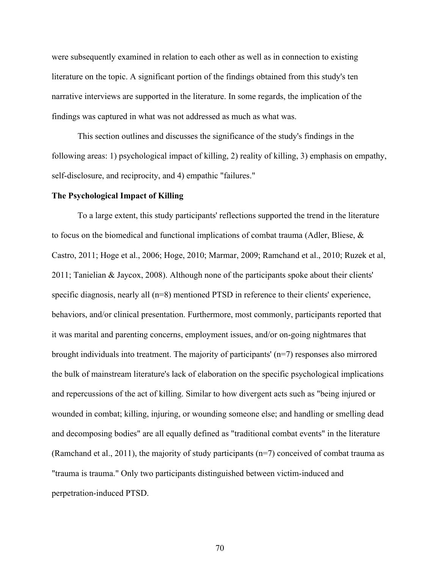were subsequently examined in relation to each other as well as in connection to existing literature on the topic. A significant portion of the findings obtained from this study's ten narrative interviews are supported in the literature. In some regards, the implication of the findings was captured in what was not addressed as much as what was.

This section outlines and discusses the significance of the study's findings in the following areas: 1) psychological impact of killing, 2) reality of killing, 3) emphasis on empathy, self-disclosure, and reciprocity, and 4) empathic "failures."

#### **The Psychological Impact of Killing**

To a large extent, this study participants' reflections supported the trend in the literature to focus on the biomedical and functional implications of combat trauma (Adler, Bliese, & Castro, 2011; Hoge et al., 2006; Hoge, 2010; Marmar, 2009; Ramchand et al., 2010; Ruzek et al, 2011; Tanielian & Jaycox, 2008). Although none of the participants spoke about their clients' specific diagnosis, nearly all (n=8) mentioned PTSD in reference to their clients' experience, behaviors, and/or clinical presentation. Furthermore, most commonly, participants reported that it was marital and parenting concerns, employment issues, and/or on-going nightmares that brought individuals into treatment. The majority of participants' (n=7) responses also mirrored the bulk of mainstream literature's lack of elaboration on the specific psychological implications and repercussions of the act of killing. Similar to how divergent acts such as "being injured or wounded in combat; killing, injuring, or wounding someone else; and handling or smelling dead and decomposing bodies" are all equally defined as "traditional combat events" in the literature (Ramchand et al., 2011), the majority of study participants (n=7) conceived of combat trauma as "trauma is trauma." Only two participants distinguished between victim-induced and perpetration-induced PTSD.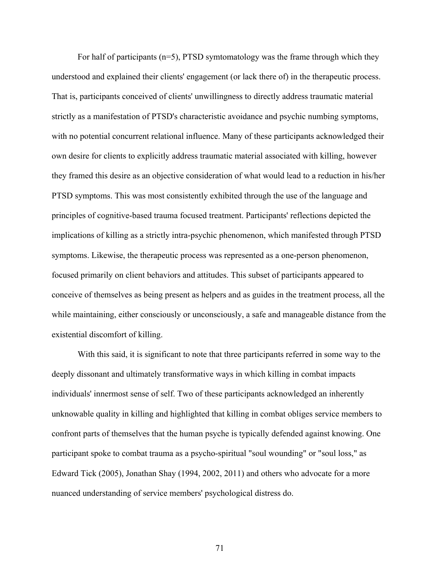For half of participants (n=5), PTSD symtomatology was the frame through which they understood and explained their clients' engagement (or lack there of) in the therapeutic process. That is, participants conceived of clients' unwillingness to directly address traumatic material strictly as a manifestation of PTSD's characteristic avoidance and psychic numbing symptoms, with no potential concurrent relational influence. Many of these participants acknowledged their own desire for clients to explicitly address traumatic material associated with killing, however they framed this desire as an objective consideration of what would lead to a reduction in his/her PTSD symptoms. This was most consistently exhibited through the use of the language and principles of cognitive-based trauma focused treatment. Participants' reflections depicted the implications of killing as a strictly intra-psychic phenomenon, which manifested through PTSD symptoms. Likewise, the therapeutic process was represented as a one-person phenomenon, focused primarily on client behaviors and attitudes. This subset of participants appeared to conceive of themselves as being present as helpers and as guides in the treatment process, all the while maintaining, either consciously or unconsciously, a safe and manageable distance from the existential discomfort of killing.

With this said, it is significant to note that three participants referred in some way to the deeply dissonant and ultimately transformative ways in which killing in combat impacts individuals' innermost sense of self. Two of these participants acknowledged an inherently unknowable quality in killing and highlighted that killing in combat obliges service members to confront parts of themselves that the human psyche is typically defended against knowing. One participant spoke to combat trauma as a psycho-spiritual "soul wounding" or "soul loss," as Edward Tick (2005), Jonathan Shay (1994, 2002, 2011) and others who advocate for a more nuanced understanding of service members' psychological distress do.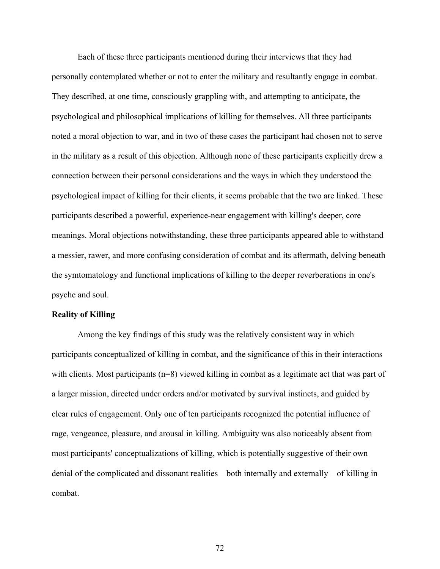Each of these three participants mentioned during their interviews that they had personally contemplated whether or not to enter the military and resultantly engage in combat. They described, at one time, consciously grappling with, and attempting to anticipate, the psychological and philosophical implications of killing for themselves. All three participants noted a moral objection to war, and in two of these cases the participant had chosen not to serve in the military as a result of this objection. Although none of these participants explicitly drew a connection between their personal considerations and the ways in which they understood the psychological impact of killing for their clients, it seems probable that the two are linked. These participants described a powerful, experience-near engagement with killing's deeper, core meanings. Moral objections notwithstanding, these three participants appeared able to withstand a messier, rawer, and more confusing consideration of combat and its aftermath, delving beneath the symtomatology and functional implications of killing to the deeper reverberations in one's psyche and soul.

#### **Reality of Killing**

Among the key findings of this study was the relatively consistent way in which participants conceptualized of killing in combat, and the significance of this in their interactions with clients. Most participants (n=8) viewed killing in combat as a legitimate act that was part of a larger mission, directed under orders and/or motivated by survival instincts, and guided by clear rules of engagement. Only one of ten participants recognized the potential influence of rage, vengeance, pleasure, and arousal in killing. Ambiguity was also noticeably absent from most participants' conceptualizations of killing, which is potentially suggestive of their own denial of the complicated and dissonant realities—both internally and externally—of killing in combat.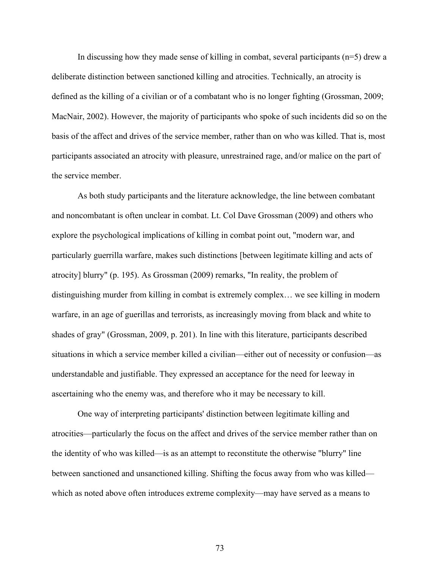In discussing how they made sense of killing in combat, several participants  $(n=5)$  drew a deliberate distinction between sanctioned killing and atrocities. Technically, an atrocity is defined as the killing of a civilian or of a combatant who is no longer fighting (Grossman, 2009; MacNair, 2002). However, the majority of participants who spoke of such incidents did so on the basis of the affect and drives of the service member, rather than on who was killed. That is, most participants associated an atrocity with pleasure, unrestrained rage, and/or malice on the part of the service member.

As both study participants and the literature acknowledge, the line between combatant and noncombatant is often unclear in combat. Lt. Col Dave Grossman (2009) and others who explore the psychological implications of killing in combat point out, "modern war, and particularly guerrilla warfare, makes such distinctions [between legitimate killing and acts of atrocity] blurry" (p. 195). As Grossman (2009) remarks, "In reality, the problem of distinguishing murder from killing in combat is extremely complex… we see killing in modern warfare, in an age of guerillas and terrorists, as increasingly moving from black and white to shades of gray" (Grossman, 2009, p. 201). In line with this literature, participants described situations in which a service member killed a civilian—either out of necessity or confusion—as understandable and justifiable. They expressed an acceptance for the need for leeway in ascertaining who the enemy was, and therefore who it may be necessary to kill.

One way of interpreting participants' distinction between legitimate killing and atrocities—particularly the focus on the affect and drives of the service member rather than on the identity of who was killed—is as an attempt to reconstitute the otherwise "blurry" line between sanctioned and unsanctioned killing. Shifting the focus away from who was killed which as noted above often introduces extreme complexity—may have served as a means to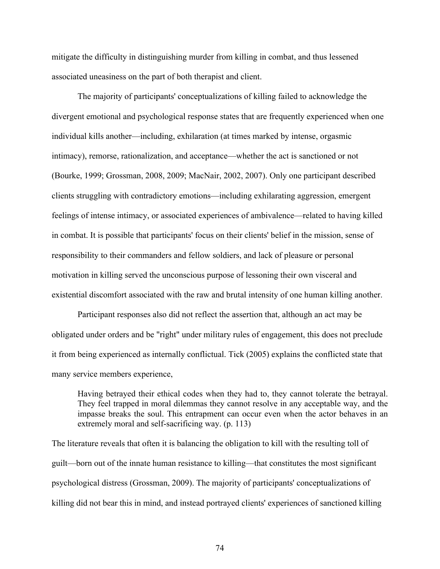mitigate the difficulty in distinguishing murder from killing in combat, and thus lessened associated uneasiness on the part of both therapist and client.

The majority of participants' conceptualizations of killing failed to acknowledge the divergent emotional and psychological response states that are frequently experienced when one individual kills another—including, exhilaration (at times marked by intense, orgasmic intimacy), remorse, rationalization, and acceptance—whether the act is sanctioned or not (Bourke, 1999; Grossman, 2008, 2009; MacNair, 2002, 2007). Only one participant described clients struggling with contradictory emotions—including exhilarating aggression, emergent feelings of intense intimacy, or associated experiences of ambivalence—related to having killed in combat. It is possible that participants' focus on their clients' belief in the mission, sense of responsibility to their commanders and fellow soldiers, and lack of pleasure or personal motivation in killing served the unconscious purpose of lessoning their own visceral and existential discomfort associated with the raw and brutal intensity of one human killing another.

Participant responses also did not reflect the assertion that, although an act may be obligated under orders and be "right" under military rules of engagement, this does not preclude it from being experienced as internally conflictual. Tick (2005) explains the conflicted state that many service members experience,

Having betrayed their ethical codes when they had to, they cannot tolerate the betrayal. They feel trapped in moral dilemmas they cannot resolve in any acceptable way, and the impasse breaks the soul. This entrapment can occur even when the actor behaves in an extremely moral and self-sacrificing way. (p. 113)

The literature reveals that often it is balancing the obligation to kill with the resulting toll of guilt—born out of the innate human resistance to killing—that constitutes the most significant psychological distress (Grossman, 2009). The majority of participants' conceptualizations of killing did not bear this in mind, and instead portrayed clients' experiences of sanctioned killing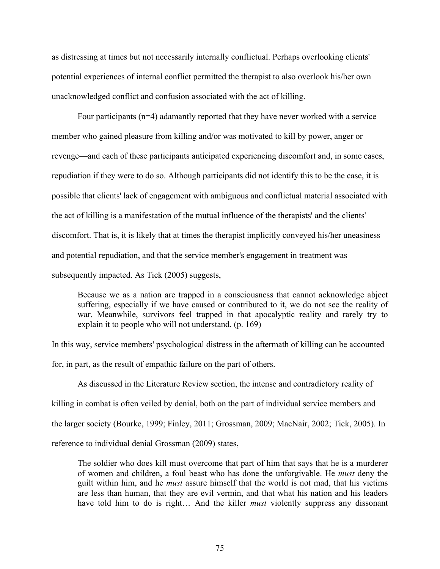as distressing at times but not necessarily internally conflictual. Perhaps overlooking clients' potential experiences of internal conflict permitted the therapist to also overlook his/her own unacknowledged conflict and confusion associated with the act of killing.

Four participants (n=4) adamantly reported that they have never worked with a service member who gained pleasure from killing and/or was motivated to kill by power, anger or revenge—and each of these participants anticipated experiencing discomfort and, in some cases, repudiation if they were to do so. Although participants did not identify this to be the case, it is possible that clients' lack of engagement with ambiguous and conflictual material associated with the act of killing is a manifestation of the mutual influence of the therapists' and the clients' discomfort. That is, it is likely that at times the therapist implicitly conveyed his/her uneasiness and potential repudiation, and that the service member's engagement in treatment was subsequently impacted. As Tick (2005) suggests,

Because we as a nation are trapped in a consciousness that cannot acknowledge abject suffering, especially if we have caused or contributed to it, we do not see the reality of war. Meanwhile, survivors feel trapped in that apocalyptic reality and rarely try to explain it to people who will not understand. (p. 169)

In this way, service members' psychological distress in the aftermath of killing can be accounted for, in part, as the result of empathic failure on the part of others.

As discussed in the Literature Review section, the intense and contradictory reality of killing in combat is often veiled by denial, both on the part of individual service members and the larger society (Bourke, 1999; Finley, 2011; Grossman, 2009; MacNair, 2002; Tick, 2005). In reference to individual denial Grossman (2009) states,

The soldier who does kill must overcome that part of him that says that he is a murderer of women and children, a foul beast who has done the unforgivable. He *must* deny the guilt within him, and he *must* assure himself that the world is not mad, that his victims are less than human, that they are evil vermin, and that what his nation and his leaders have told him to do is right… And the killer *must* violently suppress any dissonant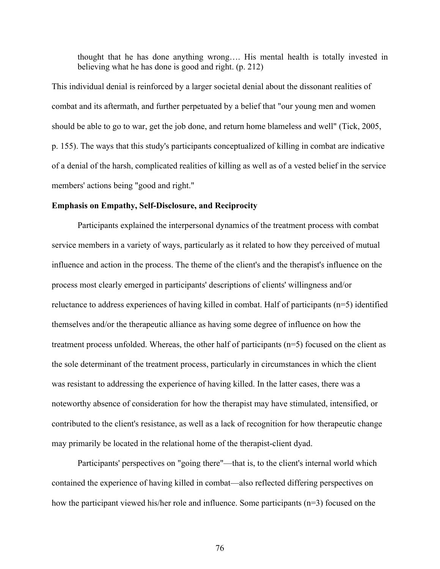thought that he has done anything wrong…. His mental health is totally invested in believing what he has done is good and right. (p. 212)

This individual denial is reinforced by a larger societal denial about the dissonant realities of combat and its aftermath, and further perpetuated by a belief that "our young men and women should be able to go to war, get the job done, and return home blameless and well" (Tick, 2005, p. 155). The ways that this study's participants conceptualized of killing in combat are indicative of a denial of the harsh, complicated realities of killing as well as of a vested belief in the service members' actions being "good and right."

## **Emphasis on Empathy, Self-Disclosure, and Reciprocity**

Participants explained the interpersonal dynamics of the treatment process with combat service members in a variety of ways, particularly as it related to how they perceived of mutual influence and action in the process. The theme of the client's and the therapist's influence on the process most clearly emerged in participants' descriptions of clients' willingness and/or reluctance to address experiences of having killed in combat. Half of participants (n=5) identified themselves and/or the therapeutic alliance as having some degree of influence on how the treatment process unfolded. Whereas, the other half of participants (n=5) focused on the client as the sole determinant of the treatment process, particularly in circumstances in which the client was resistant to addressing the experience of having killed. In the latter cases, there was a noteworthy absence of consideration for how the therapist may have stimulated, intensified, or contributed to the client's resistance, as well as a lack of recognition for how therapeutic change may primarily be located in the relational home of the therapist-client dyad.

Participants' perspectives on "going there"—that is, to the client's internal world which contained the experience of having killed in combat—also reflected differing perspectives on how the participant viewed his/her role and influence. Some participants (n=3) focused on the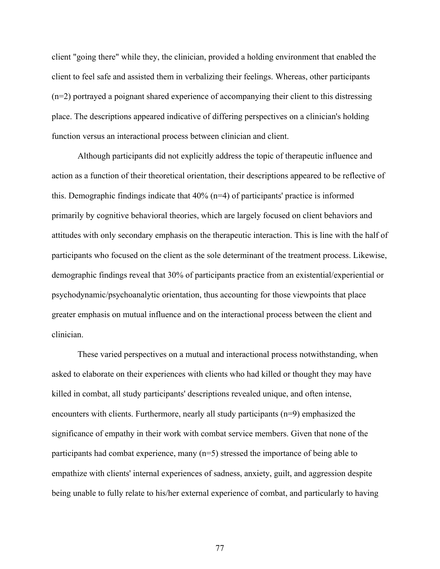client "going there" while they, the clinician, provided a holding environment that enabled the client to feel safe and assisted them in verbalizing their feelings. Whereas, other participants (n=2) portrayed a poignant shared experience of accompanying their client to this distressing place. The descriptions appeared indicative of differing perspectives on a clinician's holding function versus an interactional process between clinician and client.

Although participants did not explicitly address the topic of therapeutic influence and action as a function of their theoretical orientation, their descriptions appeared to be reflective of this. Demographic findings indicate that 40% (n=4) of participants' practice is informed primarily by cognitive behavioral theories, which are largely focused on client behaviors and attitudes with only secondary emphasis on the therapeutic interaction. This is line with the half of participants who focused on the client as the sole determinant of the treatment process. Likewise, demographic findings reveal that 30% of participants practice from an existential/experiential or psychodynamic/psychoanalytic orientation, thus accounting for those viewpoints that place greater emphasis on mutual influence and on the interactional process between the client and clinician.

These varied perspectives on a mutual and interactional process notwithstanding, when asked to elaborate on their experiences with clients who had killed or thought they may have killed in combat, all study participants' descriptions revealed unique, and often intense, encounters with clients. Furthermore, nearly all study participants (n=9) emphasized the significance of empathy in their work with combat service members. Given that none of the participants had combat experience, many (n=5) stressed the importance of being able to empathize with clients' internal experiences of sadness, anxiety, guilt, and aggression despite being unable to fully relate to his/her external experience of combat, and particularly to having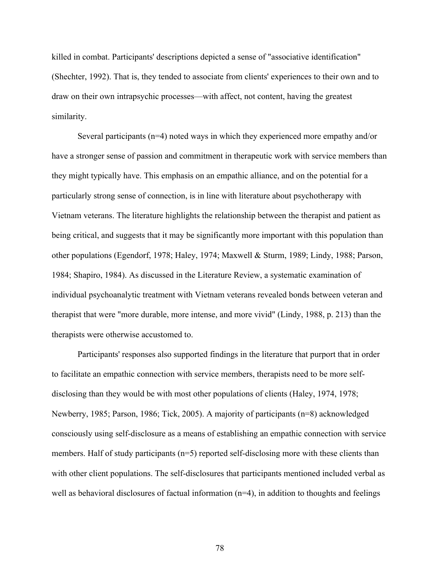killed in combat. Participants' descriptions depicted a sense of "associative identification" (Shechter, 1992). That is, they tended to associate from clients' experiences to their own and to draw on their own intrapsychic processes—with affect, not content, having the greatest similarity.

Several participants (n=4) noted ways in which they experienced more empathy and/or have a stronger sense of passion and commitment in therapeutic work with service members than they might typically have. This emphasis on an empathic alliance, and on the potential for a particularly strong sense of connection, is in line with literature about psychotherapy with Vietnam veterans. The literature highlights the relationship between the therapist and patient as being critical, and suggests that it may be significantly more important with this population than other populations (Egendorf, 1978; Haley, 1974; Maxwell & Sturm, 1989; Lindy, 1988; Parson, 1984; Shapiro, 1984). As discussed in the Literature Review, a systematic examination of individual psychoanalytic treatment with Vietnam veterans revealed bonds between veteran and therapist that were "more durable, more intense, and more vivid" (Lindy, 1988, p. 213) than the therapists were otherwise accustomed to.

Participants' responses also supported findings in the literature that purport that in order to facilitate an empathic connection with service members, therapists need to be more selfdisclosing than they would be with most other populations of clients (Haley, 1974, 1978; Newberry, 1985; Parson, 1986; Tick, 2005). A majority of participants (n=8) acknowledged consciously using self-disclosure as a means of establishing an empathic connection with service members. Half of study participants (n=5) reported self-disclosing more with these clients than with other client populations. The self-disclosures that participants mentioned included verbal as well as behavioral disclosures of factual information  $(n=4)$ , in addition to thoughts and feelings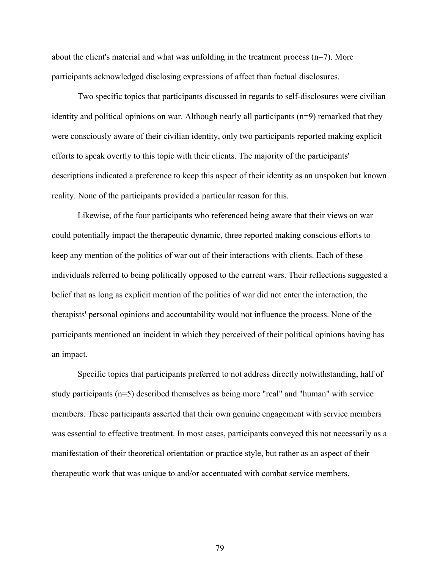about the client's material and what was unfolding in the treatment process  $(n=7)$ . More participants acknowledged disclosing expressions of affect than factual disclosures.

Two specific topics that participants discussed in regards to self-disclosures were civilian identity and political opinions on war. Although nearly all participants (n=9) remarked that they were consciously aware of their civilian identity, only two participants reported making explicit efforts to speak overtly to this topic with their clients. The majority of the participants' descriptions indicated a preference to keep this aspect of their identity as an unspoken but known reality. None of the participants provided a particular reason for this.

Likewise, of the four participants who referenced being aware that their views on war could potentially impact the therapeutic dynamic, three reported making conscious efforts to keep any mention of the politics of war out of their interactions with clients. Each of these individuals referred to being politically opposed to the current wars. Their reflections suggested a belief that as long as explicit mention of the politics of war did not enter the interaction, the therapists' personal opinions and accountability would not influence the process. None of the participants mentioned an incident in which they perceived of their political opinions having has an impact.

Specific topics that participants preferred to not address directly notwithstanding, half of study participants (n=5) described themselves as being more "real" and "human" with service members. These participants asserted that their own genuine engagement with service members was essential to effective treatment. In most cases, participants conveyed this not necessarily as a manifestation of their theoretical orientation or practice style, but rather as an aspect of their therapeutic work that was unique to and/or accentuated with combat service members.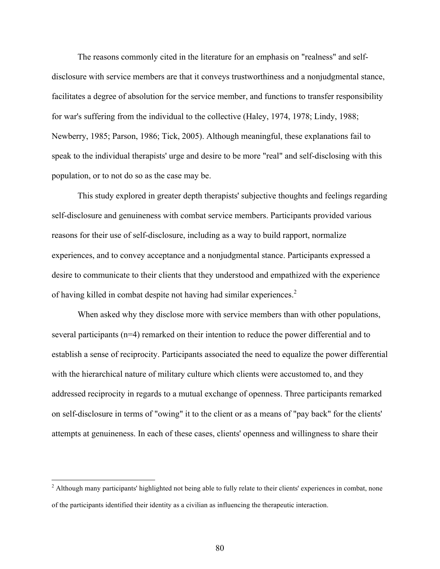The reasons commonly cited in the literature for an emphasis on "realness" and selfdisclosure with service members are that it conveys trustworthiness and a nonjudgmental stance, facilitates a degree of absolution for the service member, and functions to transfer responsibility for war's suffering from the individual to the collective (Haley, 1974, 1978; Lindy, 1988; Newberry, 1985; Parson, 1986; Tick, 2005). Although meaningful, these explanations fail to speak to the individual therapists' urge and desire to be more "real" and self-disclosing with this population, or to not do so as the case may be.

This study explored in greater depth therapists' subjective thoughts and feelings regarding self-disclosure and genuineness with combat service members. Participants provided various reasons for their use of self-disclosure, including as a way to build rapport, normalize experiences, and to convey acceptance and a nonjudgmental stance. Participants expressed a desire to communicate to their clients that they understood and empathized with the experience of having killed in combat despite not having had similar experiences.<sup>2</sup>

When asked why they disclose more with service members than with other populations, several participants (n=4) remarked on their intention to reduce the power differential and to establish a sense of reciprocity. Participants associated the need to equalize the power differential with the hierarchical nature of military culture which clients were accustomed to, and they addressed reciprocity in regards to a mutual exchange of openness. Three participants remarked on self-disclosure in terms of "owing" it to the client or as a means of "pay back" for the clients' attempts at genuineness. In each of these cases, clients' openness and willingness to share their

<sup>&</sup>lt;sup>2</sup> Although many participants' highlighted not being able to fully relate to their clients' experiences in combat, none of the participants identified their identity as a civilian as influencing the therapeutic interaction.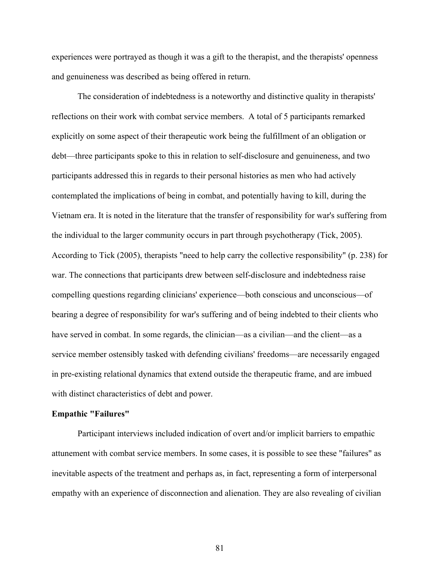experiences were portrayed as though it was a gift to the therapist, and the therapists' openness and genuineness was described as being offered in return.

The consideration of indebtedness is a noteworthy and distinctive quality in therapists' reflections on their work with combat service members. A total of 5 participants remarked explicitly on some aspect of their therapeutic work being the fulfillment of an obligation or debt—three participants spoke to this in relation to self-disclosure and genuineness, and two participants addressed this in regards to their personal histories as men who had actively contemplated the implications of being in combat, and potentially having to kill, during the Vietnam era. It is noted in the literature that the transfer of responsibility for war's suffering from the individual to the larger community occurs in part through psychotherapy (Tick, 2005). According to Tick (2005), therapists "need to help carry the collective responsibility" (p. 238) for war. The connections that participants drew between self-disclosure and indebtedness raise compelling questions regarding clinicians' experience—both conscious and unconscious—of bearing a degree of responsibility for war's suffering and of being indebted to their clients who have served in combat. In some regards, the clinician—as a civilian—and the client—as a service member ostensibly tasked with defending civilians' freedoms—are necessarily engaged in pre-existing relational dynamics that extend outside the therapeutic frame, and are imbued with distinct characteristics of debt and power.

#### **Empathic "Failures"**

Participant interviews included indication of overt and/or implicit barriers to empathic attunement with combat service members. In some cases, it is possible to see these "failures" as inevitable aspects of the treatment and perhaps as, in fact, representing a form of interpersonal empathy with an experience of disconnection and alienation. They are also revealing of civilian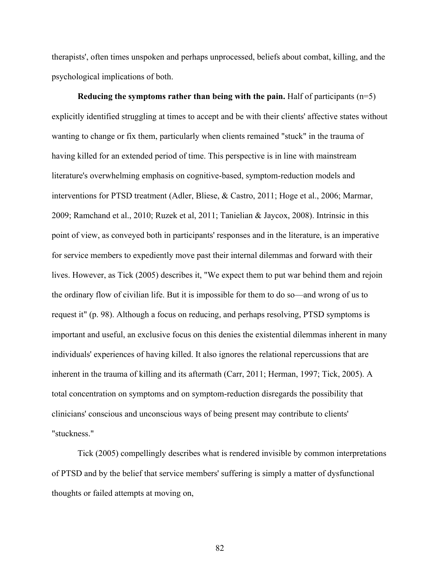therapists', often times unspoken and perhaps unprocessed, beliefs about combat, killing, and the psychological implications of both.

**Reducing the symptoms rather than being with the pain.** Half of participants (n=5) explicitly identified struggling at times to accept and be with their clients' affective states without wanting to change or fix them, particularly when clients remained "stuck" in the trauma of having killed for an extended period of time. This perspective is in line with mainstream literature's overwhelming emphasis on cognitive-based, symptom-reduction models and interventions for PTSD treatment (Adler, Bliese, & Castro, 2011; Hoge et al., 2006; Marmar, 2009; Ramchand et al., 2010; Ruzek et al, 2011; Tanielian & Jaycox, 2008). Intrinsic in this point of view, as conveyed both in participants' responses and in the literature, is an imperative for service members to expediently move past their internal dilemmas and forward with their lives. However, as Tick (2005) describes it, "We expect them to put war behind them and rejoin the ordinary flow of civilian life. But it is impossible for them to do so—and wrong of us to request it" (p. 98). Although a focus on reducing, and perhaps resolving, PTSD symptoms is important and useful, an exclusive focus on this denies the existential dilemmas inherent in many individuals' experiences of having killed. It also ignores the relational repercussions that are inherent in the trauma of killing and its aftermath (Carr, 2011; Herman, 1997; Tick, 2005). A total concentration on symptoms and on symptom-reduction disregards the possibility that clinicians' conscious and unconscious ways of being present may contribute to clients' "stuckness."

Tick (2005) compellingly describes what is rendered invisible by common interpretations of PTSD and by the belief that service members' suffering is simply a matter of dysfunctional thoughts or failed attempts at moving on,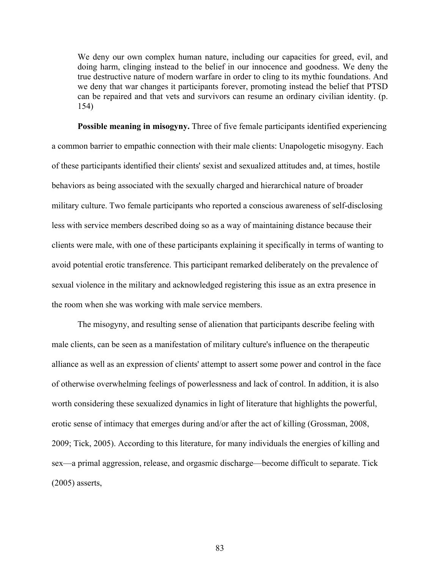We deny our own complex human nature, including our capacities for greed, evil, and doing harm, clinging instead to the belief in our innocence and goodness. We deny the true destructive nature of modern warfare in order to cling to its mythic foundations. And we deny that war changes it participants forever, promoting instead the belief that PTSD can be repaired and that vets and survivors can resume an ordinary civilian identity. (p. 154)

**Possible meaning in misogyny.** Three of five female participants identified experiencing a common barrier to empathic connection with their male clients: Unapologetic misogyny. Each of these participants identified their clients' sexist and sexualized attitudes and, at times, hostile behaviors as being associated with the sexually charged and hierarchical nature of broader military culture. Two female participants who reported a conscious awareness of self-disclosing less with service members described doing so as a way of maintaining distance because their clients were male, with one of these participants explaining it specifically in terms of wanting to avoid potential erotic transference. This participant remarked deliberately on the prevalence of sexual violence in the military and acknowledged registering this issue as an extra presence in the room when she was working with male service members.

The misogyny, and resulting sense of alienation that participants describe feeling with male clients, can be seen as a manifestation of military culture's influence on the therapeutic alliance as well as an expression of clients' attempt to assert some power and control in the face of otherwise overwhelming feelings of powerlessness and lack of control. In addition, it is also worth considering these sexualized dynamics in light of literature that highlights the powerful, erotic sense of intimacy that emerges during and/or after the act of killing (Grossman, 2008, 2009; Tick, 2005). According to this literature, for many individuals the energies of killing and sex—a primal aggression, release, and orgasmic discharge—become difficult to separate. Tick (2005) asserts,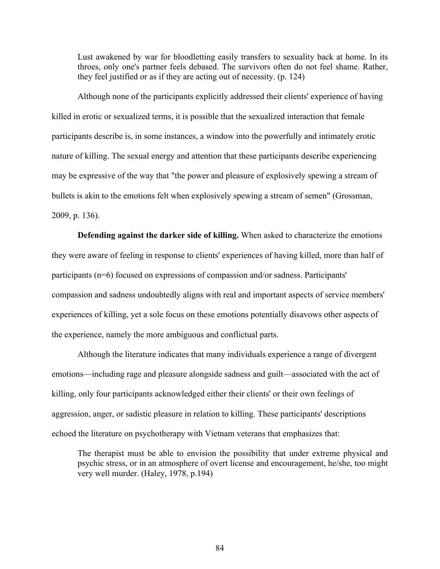Lust awakened by war for bloodletting easily transfers to sexuality back at home. In its throes, only one's partner feels debased. The survivors often do not feel shame. Rather, they feel justified or as if they are acting out of necessity. (p. 124)

Although none of the participants explicitly addressed their clients' experience of having killed in erotic or sexualized terms, it is possible that the sexualized interaction that female participants describe is, in some instances, a window into the powerfully and intimately erotic nature of killing. The sexual energy and attention that these participants describe experiencing may be expressive of the way that "the power and pleasure of explosively spewing a stream of bullets is akin to the emotions felt when explosively spewing a stream of semen" (Grossman, 2009, p. 136).

**Defending against the darker side of killing.** When asked to characterize the emotions they were aware of feeling in response to clients' experiences of having killed, more than half of participants (n=6) focused on expressions of compassion and/or sadness. Participants' compassion and sadness undoubtedly aligns with real and important aspects of service members' experiences of killing, yet a sole focus on these emotions potentially disavows other aspects of the experience, namely the more ambiguous and conflictual parts.

Although the literature indicates that many individuals experience a range of divergent emotions—including rage and pleasure alongside sadness and guilt—associated with the act of killing, only four participants acknowledged either their clients' or their own feelings of aggression, anger, or sadistic pleasure in relation to killing. These participants' descriptions echoed the literature on psychotherapy with Vietnam veterans that emphasizes that:

The therapist must be able to envision the possibility that under extreme physical and psychic stress, or in an atmosphere of overt license and encouragement, he/she, too might very well murder. (Haley, 1978, p.194)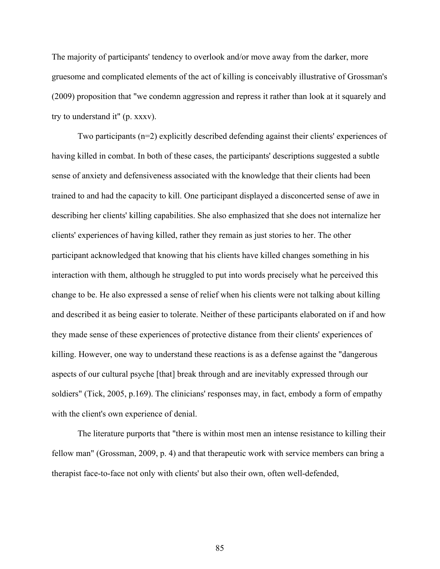The majority of participants' tendency to overlook and/or move away from the darker, more gruesome and complicated elements of the act of killing is conceivably illustrative of Grossman's (2009) proposition that "we condemn aggression and repress it rather than look at it squarely and try to understand it" (p. xxxv).

Two participants (n=2) explicitly described defending against their clients' experiences of having killed in combat. In both of these cases, the participants' descriptions suggested a subtle sense of anxiety and defensiveness associated with the knowledge that their clients had been trained to and had the capacity to kill. One participant displayed a disconcerted sense of awe in describing her clients' killing capabilities. She also emphasized that she does not internalize her clients' experiences of having killed, rather they remain as just stories to her. The other participant acknowledged that knowing that his clients have killed changes something in his interaction with them, although he struggled to put into words precisely what he perceived this change to be. He also expressed a sense of relief when his clients were not talking about killing and described it as being easier to tolerate. Neither of these participants elaborated on if and how they made sense of these experiences of protective distance from their clients' experiences of killing. However, one way to understand these reactions is as a defense against the "dangerous aspects of our cultural psyche [that] break through and are inevitably expressed through our soldiers" (Tick, 2005, p.169). The clinicians' responses may, in fact, embody a form of empathy with the client's own experience of denial.

The literature purports that "there is within most men an intense resistance to killing their fellow man" (Grossman, 2009, p. 4) and that therapeutic work with service members can bring a therapist face-to-face not only with clients' but also their own, often well-defended,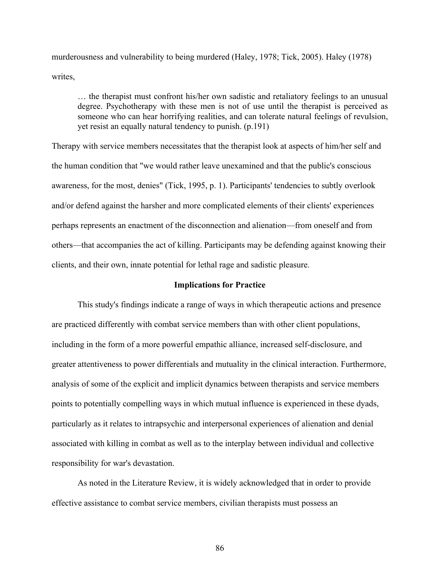murderousness and vulnerability to being murdered (Haley, 1978; Tick, 2005). Haley (1978) writes,

… the therapist must confront his/her own sadistic and retaliatory feelings to an unusual degree. Psychotherapy with these men is not of use until the therapist is perceived as someone who can hear horrifying realities, and can tolerate natural feelings of revulsion, yet resist an equally natural tendency to punish. (p.191)

Therapy with service members necessitates that the therapist look at aspects of him/her self and the human condition that "we would rather leave unexamined and that the public's conscious awareness, for the most, denies" (Tick, 1995, p. 1). Participants' tendencies to subtly overlook and/or defend against the harsher and more complicated elements of their clients' experiences perhaps represents an enactment of the disconnection and alienation—from oneself and from others—that accompanies the act of killing. Participants may be defending against knowing their clients, and their own, innate potential for lethal rage and sadistic pleasure.

#### **Implications for Practice**

This study's findings indicate a range of ways in which therapeutic actions and presence are practiced differently with combat service members than with other client populations, including in the form of a more powerful empathic alliance, increased self-disclosure, and greater attentiveness to power differentials and mutuality in the clinical interaction. Furthermore, analysis of some of the explicit and implicit dynamics between therapists and service members points to potentially compelling ways in which mutual influence is experienced in these dyads, particularly as it relates to intrapsychic and interpersonal experiences of alienation and denial associated with killing in combat as well as to the interplay between individual and collective responsibility for war's devastation.

As noted in the Literature Review, it is widely acknowledged that in order to provide effective assistance to combat service members, civilian therapists must possess an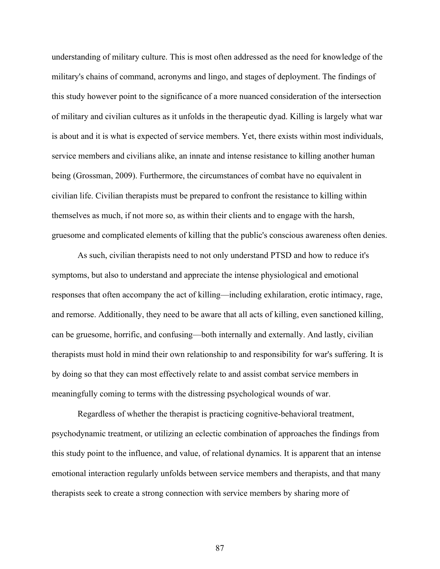understanding of military culture. This is most often addressed as the need for knowledge of the military's chains of command, acronyms and lingo, and stages of deployment. The findings of this study however point to the significance of a more nuanced consideration of the intersection of military and civilian cultures as it unfolds in the therapeutic dyad. Killing is largely what war is about and it is what is expected of service members. Yet, there exists within most individuals, service members and civilians alike, an innate and intense resistance to killing another human being (Grossman, 2009). Furthermore, the circumstances of combat have no equivalent in civilian life. Civilian therapists must be prepared to confront the resistance to killing within themselves as much, if not more so, as within their clients and to engage with the harsh, gruesome and complicated elements of killing that the public's conscious awareness often denies.

As such, civilian therapists need to not only understand PTSD and how to reduce it's symptoms, but also to understand and appreciate the intense physiological and emotional responses that often accompany the act of killing—including exhilaration, erotic intimacy, rage, and remorse. Additionally, they need to be aware that all acts of killing, even sanctioned killing, can be gruesome, horrific, and confusing—both internally and externally. And lastly, civilian therapists must hold in mind their own relationship to and responsibility for war's suffering. It is by doing so that they can most effectively relate to and assist combat service members in meaningfully coming to terms with the distressing psychological wounds of war.

Regardless of whether the therapist is practicing cognitive-behavioral treatment, psychodynamic treatment, or utilizing an eclectic combination of approaches the findings from this study point to the influence, and value, of relational dynamics. It is apparent that an intense emotional interaction regularly unfolds between service members and therapists, and that many therapists seek to create a strong connection with service members by sharing more of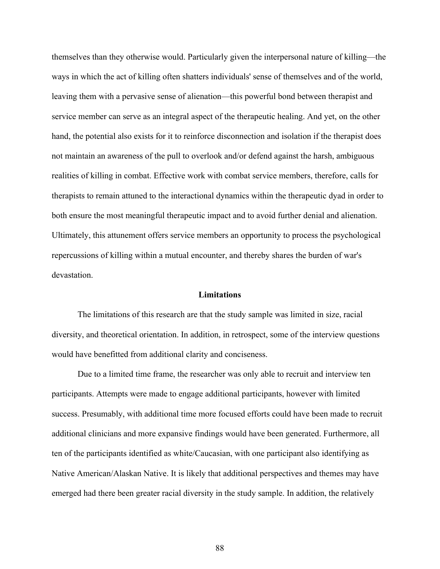themselves than they otherwise would. Particularly given the interpersonal nature of killing—the ways in which the act of killing often shatters individuals' sense of themselves and of the world, leaving them with a pervasive sense of alienation—this powerful bond between therapist and service member can serve as an integral aspect of the therapeutic healing. And yet, on the other hand, the potential also exists for it to reinforce disconnection and isolation if the therapist does not maintain an awareness of the pull to overlook and/or defend against the harsh, ambiguous realities of killing in combat. Effective work with combat service members, therefore, calls for therapists to remain attuned to the interactional dynamics within the therapeutic dyad in order to both ensure the most meaningful therapeutic impact and to avoid further denial and alienation. Ultimately, this attunement offers service members an opportunity to process the psychological repercussions of killing within a mutual encounter, and thereby shares the burden of war's devastation.

#### **Limitations**

The limitations of this research are that the study sample was limited in size, racial diversity, and theoretical orientation. In addition, in retrospect, some of the interview questions would have benefitted from additional clarity and conciseness.

Due to a limited time frame, the researcher was only able to recruit and interview ten participants. Attempts were made to engage additional participants, however with limited success. Presumably, with additional time more focused efforts could have been made to recruit additional clinicians and more expansive findings would have been generated. Furthermore, all ten of the participants identified as white/Caucasian, with one participant also identifying as Native American/Alaskan Native. It is likely that additional perspectives and themes may have emerged had there been greater racial diversity in the study sample. In addition, the relatively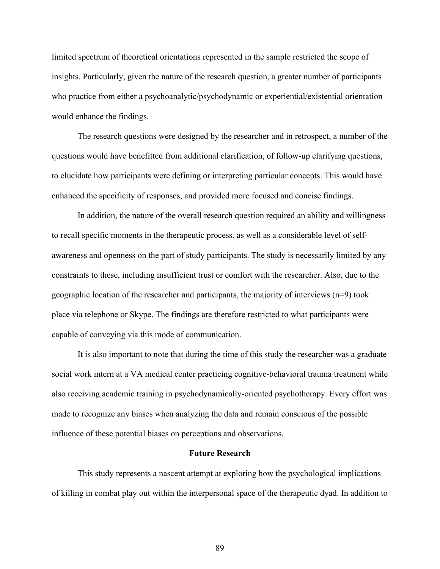limited spectrum of theoretical orientations represented in the sample restricted the scope of insights. Particularly, given the nature of the research question, a greater number of participants who practice from either a psychoanalytic/psychodynamic or experiential/existential orientation would enhance the findings.

The research questions were designed by the researcher and in retrospect, a number of the questions would have benefitted from additional clarification, of follow-up clarifying questions, to elucidate how participants were defining or interpreting particular concepts. This would have enhanced the specificity of responses, and provided more focused and concise findings.

In addition, the nature of the overall research question required an ability and willingness to recall specific moments in the therapeutic process, as well as a considerable level of selfawareness and openness on the part of study participants. The study is necessarily limited by any constraints to these, including insufficient trust or comfort with the researcher. Also, due to the geographic location of the researcher and participants, the majority of interviews (n=9) took place via telephone or Skype. The findings are therefore restricted to what participants were capable of conveying via this mode of communication.

It is also important to note that during the time of this study the researcher was a graduate social work intern at a VA medical center practicing cognitive-behavioral trauma treatment while also receiving academic training in psychodynamically-oriented psychotherapy. Every effort was made to recognize any biases when analyzing the data and remain conscious of the possible influence of these potential biases on perceptions and observations.

## **Future Research**

This study represents a nascent attempt at exploring how the psychological implications of killing in combat play out within the interpersonal space of the therapeutic dyad. In addition to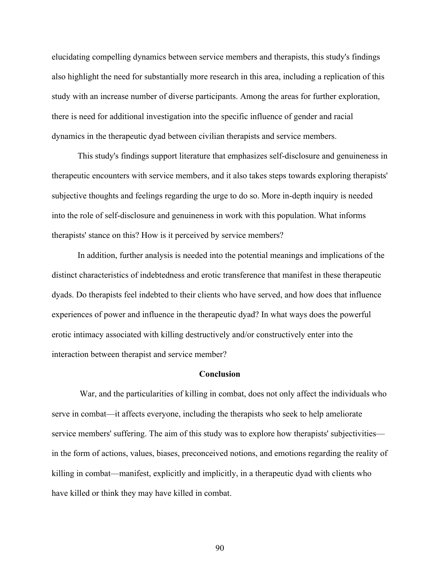elucidating compelling dynamics between service members and therapists, this study's findings also highlight the need for substantially more research in this area, including a replication of this study with an increase number of diverse participants. Among the areas for further exploration, there is need for additional investigation into the specific influence of gender and racial dynamics in the therapeutic dyad between civilian therapists and service members.

This study's findings support literature that emphasizes self-disclosure and genuineness in therapeutic encounters with service members, and it also takes steps towards exploring therapists' subjective thoughts and feelings regarding the urge to do so. More in-depth inquiry is needed into the role of self-disclosure and genuineness in work with this population. What informs therapists' stance on this? How is it perceived by service members?

In addition, further analysis is needed into the potential meanings and implications of the distinct characteristics of indebtedness and erotic transference that manifest in these therapeutic dyads. Do therapists feel indebted to their clients who have served, and how does that influence experiences of power and influence in the therapeutic dyad? In what ways does the powerful erotic intimacy associated with killing destructively and/or constructively enter into the interaction between therapist and service member?

#### **Conclusion**

War, and the particularities of killing in combat, does not only affect the individuals who serve in combat—it affects everyone, including the therapists who seek to help ameliorate service members' suffering. The aim of this study was to explore how therapists' subjectivities in the form of actions, values, biases, preconceived notions, and emotions regarding the reality of killing in combat—manifest, explicitly and implicitly, in a therapeutic dyad with clients who have killed or think they may have killed in combat.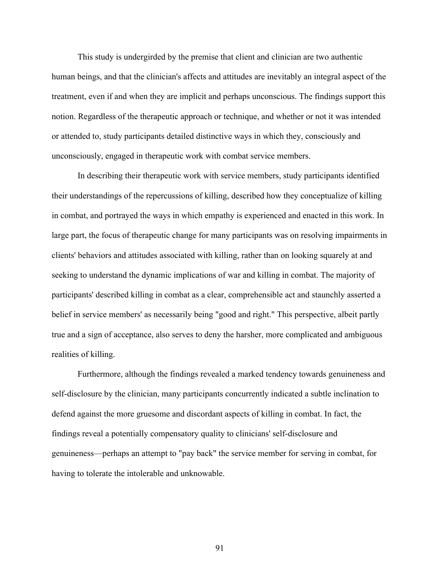This study is undergirded by the premise that client and clinician are two authentic human beings, and that the clinician's affects and attitudes are inevitably an integral aspect of the treatment, even if and when they are implicit and perhaps unconscious. The findings support this notion. Regardless of the therapeutic approach or technique, and whether or not it was intended or attended to, study participants detailed distinctive ways in which they, consciously and unconsciously, engaged in therapeutic work with combat service members.

In describing their therapeutic work with service members, study participants identified their understandings of the repercussions of killing, described how they conceptualize of killing in combat, and portrayed the ways in which empathy is experienced and enacted in this work. In large part, the focus of therapeutic change for many participants was on resolving impairments in clients' behaviors and attitudes associated with killing, rather than on looking squarely at and seeking to understand the dynamic implications of war and killing in combat. The majority of participants' described killing in combat as a clear, comprehensible act and staunchly asserted a belief in service members' as necessarily being "good and right." This perspective, albeit partly true and a sign of acceptance, also serves to deny the harsher, more complicated and ambiguous realities of killing.

Furthermore, although the findings revealed a marked tendency towards genuineness and self-disclosure by the clinician, many participants concurrently indicated a subtle inclination to defend against the more gruesome and discordant aspects of killing in combat. In fact, the findings reveal a potentially compensatory quality to clinicians' self-disclosure and genuineness—perhaps an attempt to "pay back" the service member for serving in combat, for having to tolerate the intolerable and unknowable.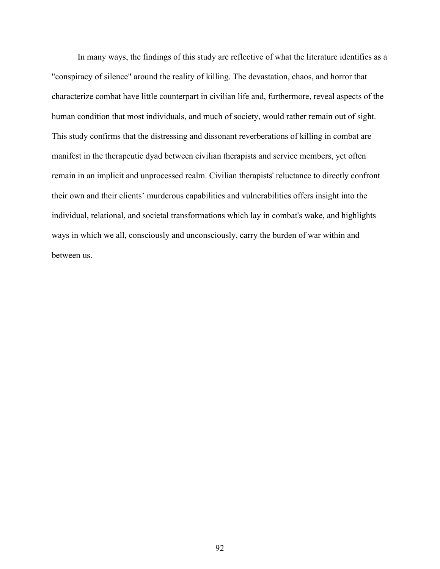In many ways, the findings of this study are reflective of what the literature identifies as a "conspiracy of silence" around the reality of killing. The devastation, chaos, and horror that characterize combat have little counterpart in civilian life and, furthermore, reveal aspects of the human condition that most individuals, and much of society, would rather remain out of sight. This study confirms that the distressing and dissonant reverberations of killing in combat are manifest in the therapeutic dyad between civilian therapists and service members, yet often remain in an implicit and unprocessed realm. Civilian therapists' reluctance to directly confront their own and their clients' murderous capabilities and vulnerabilities offers insight into the individual, relational, and societal transformations which lay in combat's wake, and highlights ways in which we all, consciously and unconsciously, carry the burden of war within and between us.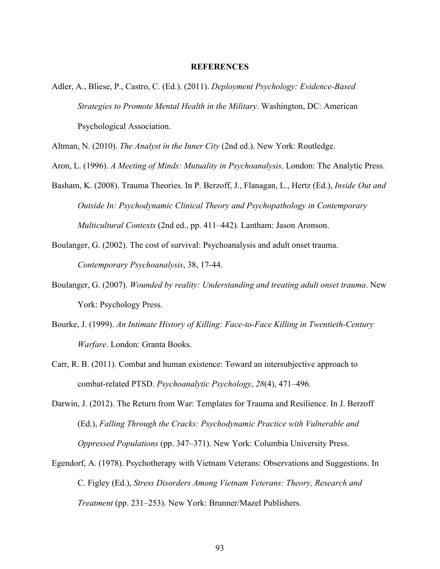#### **REFERENCES**

Adler, A., Bliese, P., Castro, C. (Ed.). (2011). *Deployment Psychology: Evidence-Based Strategies to Promote Mental Health in the Military*. Washington, DC: American Psychological Association.

Altman, N. (2010). *The Analyst in the Inner City* (2nd ed.). New York: Routledge.

Aron, L. (1996). *A Meeting of Minds: Mutuality in Psychoanalysis*. London: The Analytic Press.

- Basham, K. (2008). Trauma Theories. In P. Berzoff, J., Flanagan, L., Hertz (Ed.), *Inside Out and Outside In: Psychodynamic Clinical Theory and Psychopathology in Contemporary Multicultural Contexts* (2nd ed., pp. 411–442). Lantham: Jason Aronson.
- Boulanger, G. (2002). The cost of survival: Psychoanalysis and adult onset trauma. *Contemporary Psychoanalysis*, 38, 17-44.
- Boulanger, G. (2007). *Wounded by reality: Understanding and treating adult onset trauma*. New York: Psychology Press.
- Bourke, J. (1999). *An Intimate History of Killing: Face-to-Face Killing in Twentieth-Century Warfare*. London: Granta Books.
- Carr, R. B. (2011). Combat and human existence: Toward an intersubjective approach to combat-related PTSD. *Psychoanalytic Psychology*, *28*(4), 471–496.
- Darwin, J. (2012). The Return from War: Templates for Trauma and Resilience. In J. Berzoff (Ed.), *Falling Through the Cracks: Psychodynamic Practice with Vulnerable and Oppressed Populations* (pp. 347–371). New York: Columbia University Press.
- Egendorf, A. (1978). Psychotherapy with Vietnam Veterans: Observations and Suggestions. In C. Figley (Ed.), *Stress Disorders Among Vietnam Veterans: Theory, Research and Treatment* (pp. 231–253). New York: Brunner/Mazel Publishers.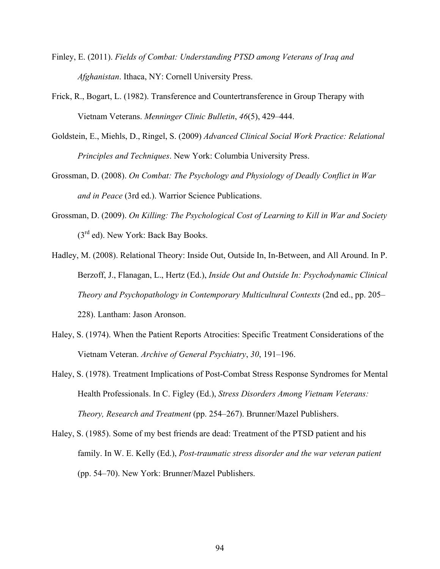- Finley, E. (2011). *Fields of Combat: Understanding PTSD among Veterans of Iraq and Afghanistan*. Ithaca, NY: Cornell University Press.
- Frick, R., Bogart, L. (1982). Transference and Countertransference in Group Therapy with Vietnam Veterans. *Menninger Clinic Bulletin*, *46*(5), 429–444.
- Goldstein, E., Miehls, D., Ringel, S. (2009) *Advanced Clinical Social Work Practice: Relational Principles and Techniques*. New York: Columbia University Press.
- Grossman, D. (2008). *On Combat: The Psychology and Physiology of Deadly Conflict in War and in Peace* (3rd ed.). Warrior Science Publications.
- Grossman, D. (2009). *On Killing: The Psychological Cost of Learning to Kill in War and Society* (3rd ed). New York: Back Bay Books.
- Hadley, M. (2008). Relational Theory: Inside Out, Outside In, In-Between, and All Around. In P. Berzoff, J., Flanagan, L., Hertz (Ed.), *Inside Out and Outside In: Psychodynamic Clinical Theory and Psychopathology in Contemporary Multicultural Contexts* (2nd ed., pp. 205– 228). Lantham: Jason Aronson.
- Haley, S. (1974). When the Patient Reports Atrocities: Specific Treatment Considerations of the Vietnam Veteran. *Archive of General Psychiatry*, *30*, 191–196.
- Haley, S. (1978). Treatment Implications of Post-Combat Stress Response Syndromes for Mental Health Professionals. In C. Figley (Ed.), *Stress Disorders Among Vietnam Veterans: Theory, Research and Treatment* (pp. 254–267). Brunner/Mazel Publishers.
- Haley, S. (1985). Some of my best friends are dead: Treatment of the PTSD patient and his family. In W. E. Kelly (Ed.), *Post-traumatic stress disorder and the war veteran patient* (pp. 54–70). New York: Brunner/Mazel Publishers.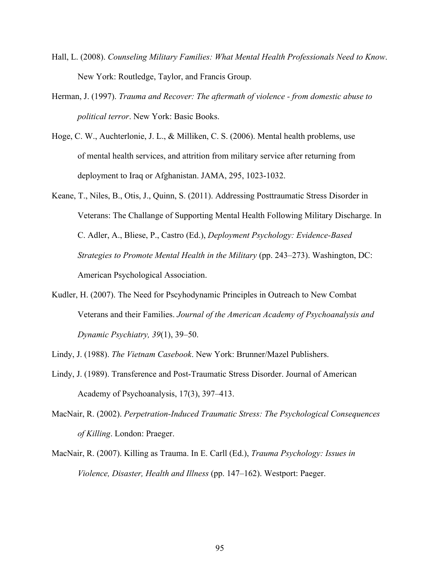- Hall, L. (2008). *Counseling Military Families: What Mental Health Professionals Need to Know*. New York: Routledge, Taylor, and Francis Group.
- Herman, J. (1997). *Trauma and Recover: The aftermath of violence - from domestic abuse to political terror*. New York: Basic Books.
- Hoge, C. W., Auchterlonie, J. L., & Milliken, C. S. (2006). Mental health problems, use of mental health services, and attrition from military service after returning from deployment to Iraq or Afghanistan. JAMA, 295, 1023-1032.
- Keane, T., Niles, B., Otis, J., Quinn, S. (2011). Addressing Posttraumatic Stress Disorder in Veterans: The Challange of Supporting Mental Health Following Military Discharge. In C. Adler, A., Bliese, P., Castro (Ed.), *Deployment Psychology: Evidence-Based Strategies to Promote Mental Health in the Military* (pp. 243–273). Washington, DC: American Psychological Association.
- Kudler, H. (2007). The Need for Pscyhodynamic Principles in Outreach to New Combat Veterans and their Families. *Journal of the American Academy of Psychoanalysis and Dynamic Psychiatry, 39*(1), 39–50.
- Lindy, J. (1988). *The Vietnam Casebook*. New York: Brunner/Mazel Publishers.
- Lindy, J. (1989). Transference and Post-Traumatic Stress Disorder. Journal of American Academy of Psychoanalysis, 17(3), 397–413.
- MacNair, R. (2002). *Perpetration-Induced Traumatic Stress: The Psychological Consequences of Killing*. London: Praeger.
- MacNair, R. (2007). Killing as Trauma. In E. Carll (Ed.), *Trauma Psychology: Issues in Violence, Disaster, Health and Illness* (pp. 147–162). Westport: Paeger.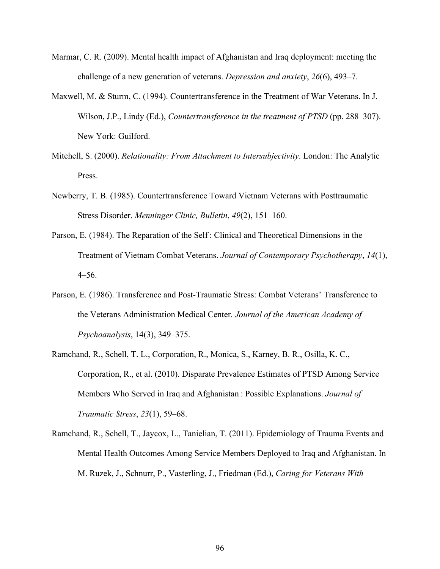- Marmar, C. R. (2009). Mental health impact of Afghanistan and Iraq deployment: meeting the challenge of a new generation of veterans. *Depression and anxiety*, *26*(6), 493–7.
- Maxwell, M. & Sturm, C. (1994). Countertransference in the Treatment of War Veterans. In J. Wilson, J.P., Lindy (Ed.), *Countertransference in the treatment of PTSD* (pp. 288–307). New York: Guilford.
- Mitchell, S. (2000). *Relationality: From Attachment to Intersubjectivity*. London: The Analytic Press.
- Newberry, T. B. (1985). Countertransference Toward Vietnam Veterans with Posttraumatic Stress Disorder. *Menninger Clinic, Bulletin*, *49*(2), 151–160.
- Parson, E. (1984). The Reparation of the Self : Clinical and Theoretical Dimensions in the Treatment of Vietnam Combat Veterans. *Journal of Contemporary Psychotherapy*, *14*(1), 4–56.
- Parson, E. (1986). Transference and Post-Traumatic Stress: Combat Veterans' Transference to the Veterans Administration Medical Center*. Journal of the American Academy of Psychoanalysis*, 14(3), 349–375.
- Ramchand, R., Schell, T. L., Corporation, R., Monica, S., Karney, B. R., Osilla, K. C., Corporation, R., et al. (2010). Disparate Prevalence Estimates of PTSD Among Service Members Who Served in Iraq and Afghanistan : Possible Explanations. *Journal of Traumatic Stress*, *23*(1), 59–68.
- Ramchand, R., Schell, T., Jaycox, L., Tanielian, T. (2011). Epidemiology of Trauma Events and Mental Health Outcomes Among Service Members Deployed to Iraq and Afghanistan. In M. Ruzek, J., Schnurr, P., Vasterling, J., Friedman (Ed.), *Caring for Veterans With*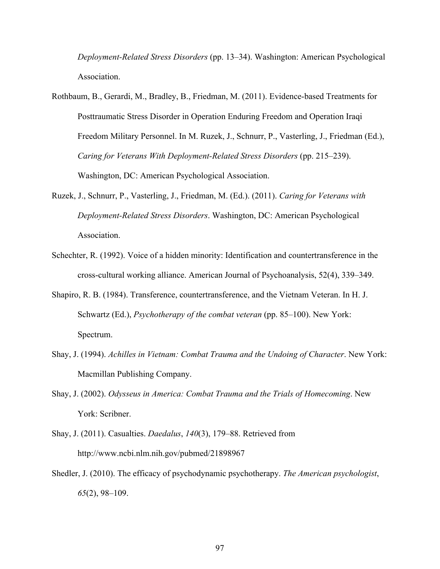*Deployment-Related Stress Disorders* (pp. 13–34). Washington: American Psychological Association.

- Rothbaum, B., Gerardi, M., Bradley, B., Friedman, M. (2011). Evidence-based Treatments for Posttraumatic Stress Disorder in Operation Enduring Freedom and Operation Iraqi Freedom Military Personnel. In M. Ruzek, J., Schnurr, P., Vasterling, J., Friedman (Ed.), *Caring for Veterans With Deployment-Related Stress Disorders* (pp. 215–239). Washington, DC: American Psychological Association.
- Ruzek, J., Schnurr, P., Vasterling, J., Friedman, M. (Ed.). (2011). *Caring for Veterans with Deployment-Related Stress Disorders*. Washington, DC: American Psychological Association.
- Schechter, R. (1992). Voice of a hidden minority: Identification and countertransference in the cross-cultural working alliance. American Journal of Psychoanalysis, 52(4), 339–349.
- Shapiro, R. B. (1984). Transference, countertransference, and the Vietnam Veteran. In H. J. Schwartz (Ed.), *Psychotherapy of the combat veteran* (pp. 85–100). New York: Spectrum.
- Shay, J. (1994). *Achilles in Vietnam: Combat Trauma and the Undoing of Character*. New York: Macmillan Publishing Company.
- Shay, J. (2002). *Odysseus in America: Combat Trauma and the Trials of Homecoming*. New York: Scribner.
- Shay, J. (2011). Casualties. *Daedalus*, *140*(3), 179–88. Retrieved from http://www.ncbi.nlm.nih.gov/pubmed/21898967
- Shedler, J. (2010). The efficacy of psychodynamic psychotherapy. *The American psychologist*, *65*(2), 98–109.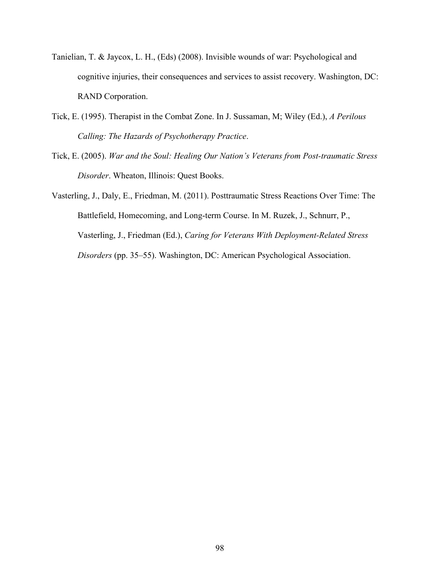- Tanielian, T. & Jaycox, L. H., (Eds) (2008). Invisible wounds of war: Psychological and cognitive injuries, their consequences and services to assist recovery. Washington, DC: RAND Corporation.
- Tick, E. (1995). Therapist in the Combat Zone. In J. Sussaman, M; Wiley (Ed.), *A Perilous Calling: The Hazards of Psychotherapy Practice*.
- Tick, E. (2005). *War and the Soul: Healing Our Nation's Veterans from Post-traumatic Stress Disorder*. Wheaton, Illinois: Quest Books.

Vasterling, J., Daly, E., Friedman, M. (2011). Posttraumatic Stress Reactions Over Time: The Battlefield, Homecoming, and Long-term Course. In M. Ruzek, J., Schnurr, P., Vasterling, J., Friedman (Ed.), *Caring for Veterans With Deployment-Related Stress Disorders* (pp. 35–55). Washington, DC: American Psychological Association.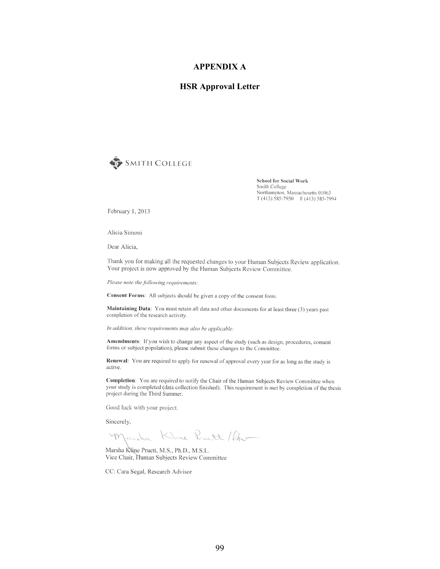#### **APPENDIX A**

## **HSR Approval Letter**



**School for Social Work** Smith College Northampton, Massachusetts 01063  $T(413)$  585-7950 F (413) 585-7994

February 1, 2013

Alicia Simoni

Dear Alicia.

Thank you for making all the requested changes to your Human Subjects Review application. Your project is now approved by the Human Subjects Review Committee.

Please note the following requirements:

Consent Forms: All subjects should be given a copy of the consent form.

Maintaining Data: You must retain all data and other documents for at least three (3) years past completion of the research activity.

In addition, these requirements may also be applicable:

Amendments: If you wish to change any aspect of the study (such as design, procedures, consent forms or subject population), please submit these changes to the Committee.

Renewal: You are required to apply for renewal of approval every year for as long as the study is active.

Completion: You are required to notify the Chair of the Human Subjects Review Committee when your study is completed (data collection finished). This requirement is met by completion of the thesis project during the Third Summer.

Good luck with your project.

Sincerely,

aska Kline Pruett / Cher m

Marsha Kline Pruett, M.S., Ph.D., M.S.L. Vice Chair, Human Subjects Review Committee

CC: Cara Segal, Research Advisor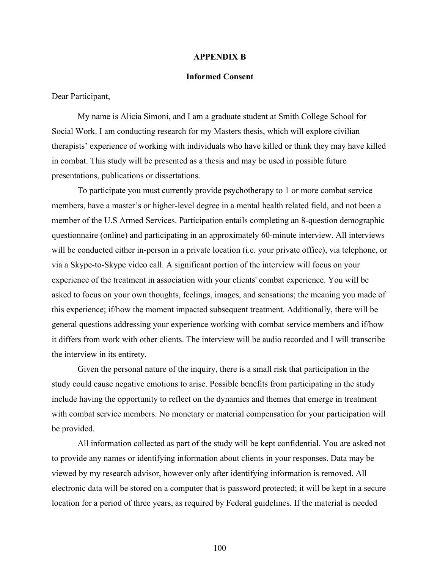#### **APPENDIX B**

#### **Informed Consent**

Dear Participant,

My name is Alicia Simoni, and I am a graduate student at Smith College School for Social Work. I am conducting research for my Masters thesis, which will explore civilian therapists' experience of working with individuals who have killed or think they may have killed in combat. This study will be presented as a thesis and may be used in possible future presentations, publications or dissertations.

To participate you must currently provide psychotherapy to 1 or more combat service members, have a master's or higher-level degree in a mental health related field, and not been a member of the U.S Armed Services. Participation entails completing an 8-question demographic questionnaire (online) and participating in an approximately 60-minute interview. All interviews will be conducted either in-person in a private location (i.e. your private office), via telephone, or via a Skype-to-Skype video call. A significant portion of the interview will focus on your experience of the treatment in association with your clients' combat experience. You will be asked to focus on your own thoughts, feelings, images, and sensations; the meaning you made of this experience; if/how the moment impacted subsequent treatment. Additionally, there will be general questions addressing your experience working with combat service members and if/how it differs from work with other clients. The interview will be audio recorded and I will transcribe the interview in its entirety.

Given the personal nature of the inquiry, there is a small risk that participation in the study could cause negative emotions to arise. Possible benefits from participating in the study include having the opportunity to reflect on the dynamics and themes that emerge in treatment with combat service members. No monetary or material compensation for your participation will be provided.

All information collected as part of the study will be kept confidential. You are asked not to provide any names or identifying information about clients in your responses. Data may be viewed by my research advisor, however only after identifying information is removed. All electronic data will be stored on a computer that is password protected; it will be kept in a secure location for a period of three years, as required by Federal guidelines. If the material is needed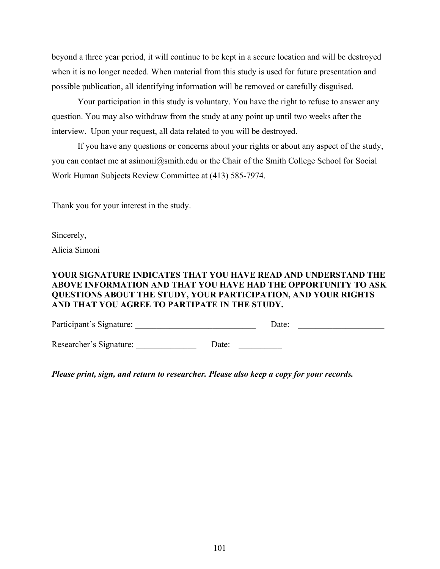beyond a three year period, it will continue to be kept in a secure location and will be destroyed when it is no longer needed. When material from this study is used for future presentation and possible publication, all identifying information will be removed or carefully disguised.

Your participation in this study is voluntary. You have the right to refuse to answer any question. You may also withdraw from the study at any point up until two weeks after the interview. Upon your request, all data related to you will be destroyed.

If you have any questions or concerns about your rights or about any aspect of the study, you can contact me at asimoni@smith.edu or the Chair of the Smith College School for Social Work Human Subjects Review Committee at (413) 585-7974.

Thank you for your interest in the study.

Sincerely,

Alicia Simoni

# **YOUR SIGNATURE INDICATES THAT YOU HAVE READ AND UNDERSTAND THE ABOVE INFORMATION AND THAT YOU HAVE HAD THE OPPORTUNITY TO ASK QUESTIONS ABOUT THE STUDY, YOUR PARTICIPATION, AND YOUR RIGHTS AND THAT YOU AGREE TO PARTIPATE IN THE STUDY.**

Participant's Signature: <br>
Date: Date:

Researcher's Signature: \_\_\_\_\_\_\_\_\_\_\_\_\_\_\_\_\_ Date: \_\_\_\_\_\_\_\_\_\_\_

*Please print, sign, and return to researcher. Please also keep a copy for your records.*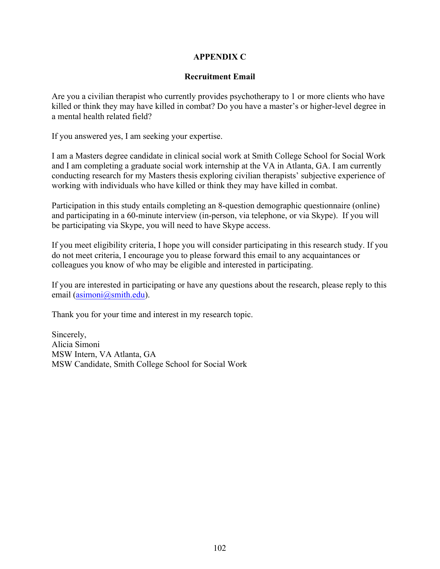# **APPENDIX C**

# **Recruitment Email**

Are you a civilian therapist who currently provides psychotherapy to 1 or more clients who have killed or think they may have killed in combat? Do you have a master's or higher-level degree in a mental health related field?

If you answered yes, I am seeking your expertise.

I am a Masters degree candidate in clinical social work at Smith College School for Social Work and I am completing a graduate social work internship at the VA in Atlanta, GA. I am currently conducting research for my Masters thesis exploring civilian therapists' subjective experience of working with individuals who have killed or think they may have killed in combat.

Participation in this study entails completing an 8-question demographic questionnaire (online) and participating in a 60-minute interview (in-person, via telephone, or via Skype). If you will be participating via Skype, you will need to have Skype access.

If you meet eligibility criteria, I hope you will consider participating in this research study. If you do not meet criteria, I encourage you to please forward this email to any acquaintances or colleagues you know of who may be eligible and interested in participating.

If you are interested in participating or have any questions about the research, please reply to this email (asimoni@smith.edu).

Thank you for your time and interest in my research topic.

Sincerely, Alicia Simoni MSW Intern, VA Atlanta, GA MSW Candidate, Smith College School for Social Work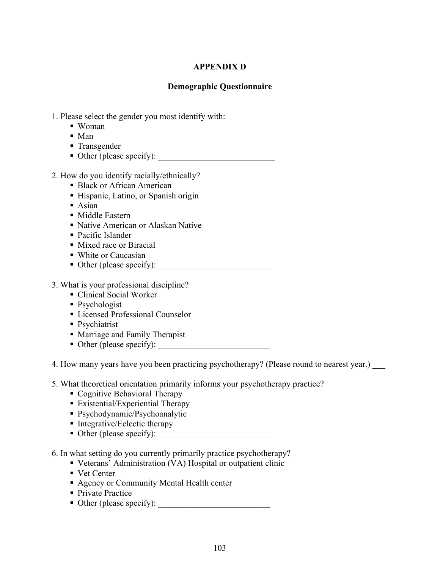# **APPENDIX D**

# **Demographic Questionnaire**

- 1. Please select the gender you most identify with:
	- § Woman
	- Man
	- Transgender
	- § Other (please specify): \_\_\_\_\_\_\_\_\_\_\_\_\_\_\_\_\_\_\_\_\_\_\_\_\_\_\_
- 2. How do you identify racially/ethnically?
	- Black or African American
	- Hispanic, Latino, or Spanish origin
	- Asian
	- Middle Eastern
	- Native American or Alaskan Native
	- Pacific Islander
	- Mixed race or Biracial
	- White or Caucasian
	- Other (please specify):
- 3. What is your professional discipline?
	- Clinical Social Worker
	- Psychologist
	- Licensed Professional Counselor
	- Psychiatrist
	- Marriage and Family Therapist
	- Other (please specify): ■

4. How many years have you been practicing psychotherapy? (Please round to nearest year.)

- 5. What theoretical orientation primarily informs your psychotherapy practice?
	- Cognitive Behavioral Therapy
	- Existential/Experiential Therapy
	- § Psychodynamic/Psychoanalytic
	- Integrative/Eclectic therapy
	- § Other (please specify): \_\_\_\_\_\_\_\_\_\_\_\_\_\_\_\_\_\_\_\_\_\_\_\_\_\_
- 6. In what setting do you currently primarily practice psychotherapy?
	- Veterans' Administration (VA) Hospital or outpatient clinic
	- Vet Center
	- Agency or Community Mental Health center
	- Private Practice
	- § Other (please specify): \_\_\_\_\_\_\_\_\_\_\_\_\_\_\_\_\_\_\_\_\_\_\_\_\_\_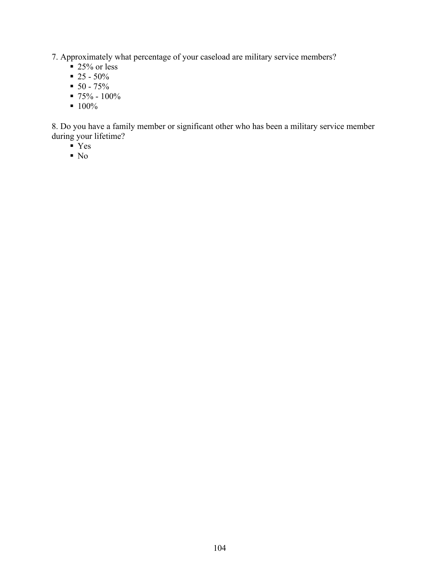7. Approximately what percentage of your caseload are military service members?

- $\approx 25\%$  or less
- $\blacksquare$  25 50%
- $\blacksquare$  50 75%
- $\blacksquare$  75% 100%
- $100\%$

8. Do you have a family member or significant other who has been a military service member during your lifetime?

- $\overline{Y}$ es
- $\blacksquare$  No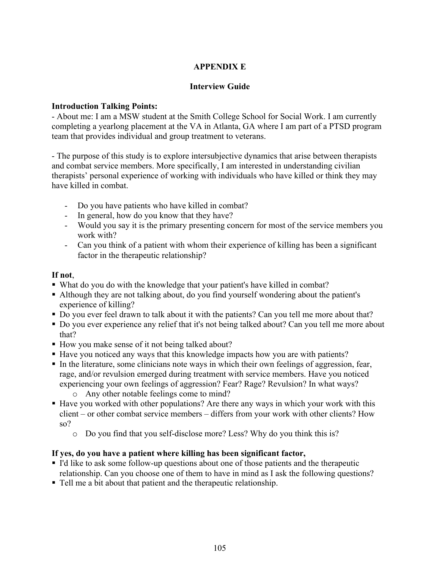# **APPENDIX E**

### **Interview Guide**

### **Introduction Talking Points:**

- About me: I am a MSW student at the Smith College School for Social Work. I am currently completing a yearlong placement at the VA in Atlanta, GA where I am part of a PTSD program team that provides individual and group treatment to veterans.

- The purpose of this study is to explore intersubjective dynamics that arise between therapists and combat service members. More specifically, I am interested in understanding civilian therapists' personal experience of working with individuals who have killed or think they may have killed in combat.

- Do you have patients who have killed in combat?
- In general, how do you know that they have?
- Would you say it is the primary presenting concern for most of the service members you work with?
- Can you think of a patient with whom their experience of killing has been a significant factor in the therapeutic relationship?

### **If not**,

- What do you do with the knowledge that your patient's have killed in combat?
- § Although they are not talking about, do you find yourself wondering about the patient's experience of killing?
- § Do you ever feel drawn to talk about it with the patients? Can you tell me more about that?
- Do you ever experience any relief that it's not being talked about? Can you tell me more about that?
- How you make sense of it not being talked about?
- § Have you noticed any ways that this knowledge impacts how you are with patients?
- § In the literature, some clinicians note ways in which their own feelings of aggression, fear, rage, and/or revulsion emerged during treatment with service members. Have you noticed experiencing your own feelings of aggression? Fear? Rage? Revulsion? In what ways?
	- o Any other notable feelings come to mind?
- Have you worked with other populations? Are there any ways in which your work with this client – or other combat service members – differs from your work with other clients? How so?
	- o Do you find that you self-disclose more? Less? Why do you think this is?

### **If yes, do you have a patient where killing has been significant factor,**

- I'd like to ask some follow-up questions about one of those patients and the therapeutic relationship. Can you choose one of them to have in mind as I ask the following questions?
- § Tell me a bit about that patient and the therapeutic relationship.